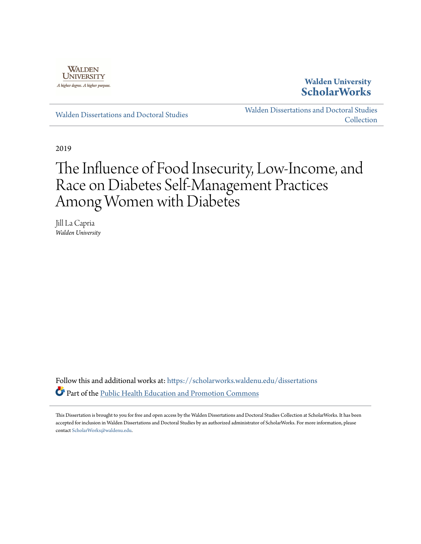

**Walden University [ScholarWorks](https://scholarworks.waldenu.edu?utm_source=scholarworks.waldenu.edu%2Fdissertations%2F6913&utm_medium=PDF&utm_campaign=PDFCoverPages)**

[Walden Dissertations and Doctoral Studies](https://scholarworks.waldenu.edu/dissertations?utm_source=scholarworks.waldenu.edu%2Fdissertations%2F6913&utm_medium=PDF&utm_campaign=PDFCoverPages)

[Walden Dissertations and Doctoral Studies](https://scholarworks.waldenu.edu/dissanddoc?utm_source=scholarworks.waldenu.edu%2Fdissertations%2F6913&utm_medium=PDF&utm_campaign=PDFCoverPages) **[Collection](https://scholarworks.waldenu.edu/dissanddoc?utm_source=scholarworks.waldenu.edu%2Fdissertations%2F6913&utm_medium=PDF&utm_campaign=PDFCoverPages)** 

2019

# The Influence of Food Insecurity, Low-Income, and Race on Diabetes Self-Management Practices Among Women with Diabetes

Jill La Capria *Walden University*

Follow this and additional works at: [https://scholarworks.waldenu.edu/dissertations](https://scholarworks.waldenu.edu/dissertations?utm_source=scholarworks.waldenu.edu%2Fdissertations%2F6913&utm_medium=PDF&utm_campaign=PDFCoverPages) Part of the [Public Health Education and Promotion Commons](http://network.bepress.com/hgg/discipline/743?utm_source=scholarworks.waldenu.edu%2Fdissertations%2F6913&utm_medium=PDF&utm_campaign=PDFCoverPages)

This Dissertation is brought to you for free and open access by the Walden Dissertations and Doctoral Studies Collection at ScholarWorks. It has been accepted for inclusion in Walden Dissertations and Doctoral Studies by an authorized administrator of ScholarWorks. For more information, please contact [ScholarWorks@waldenu.edu](mailto:ScholarWorks@waldenu.edu).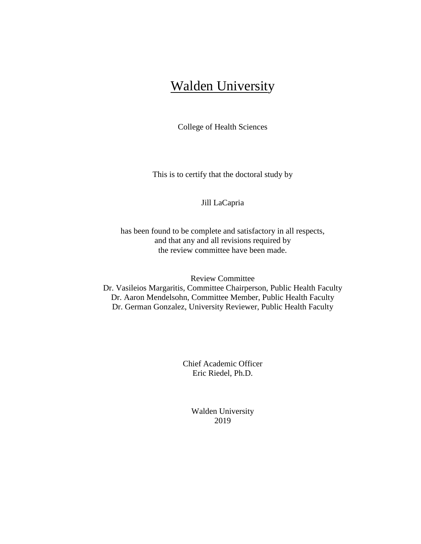# Walden University

College of Health Sciences

This is to certify that the doctoral study by

#### Jill LaCapria

has been found to be complete and satisfactory in all respects, and that any and all revisions required by the review committee have been made.

Review Committee

Dr. Vasileios Margaritis, Committee Chairperson, Public Health Faculty Dr. Aaron Mendelsohn, Committee Member, Public Health Faculty Dr. German Gonzalez, University Reviewer, Public Health Faculty

> Chief Academic Officer Eric Riedel, Ph.D.

> > Walden University 2019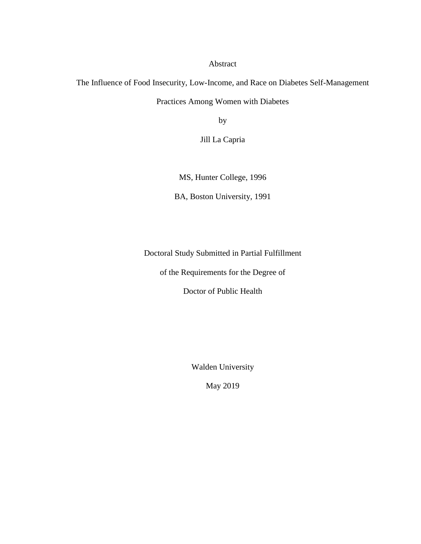Abstract

The Influence of Food Insecurity, Low-Income, and Race on Diabetes Self-Management Practices Among Women with Diabetes

by

Jill La Capria

MS, Hunter College, 1996

BA, Boston University, 1991

Doctoral Study Submitted in Partial Fulfillment

of the Requirements for the Degree of

Doctor of Public Health

Walden University

May 2019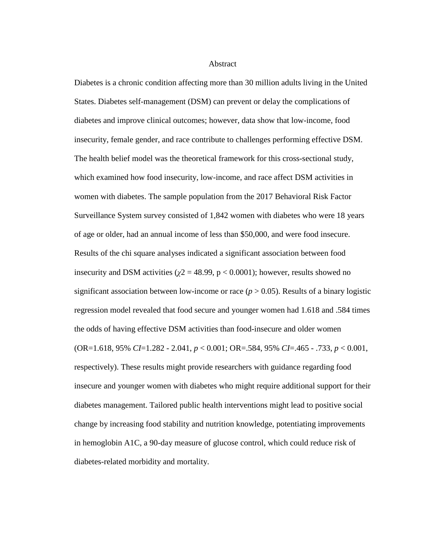#### **Abstract**

Diabetes is a chronic condition affecting more than 30 million adults living in the United States. Diabetes self-management (DSM) can prevent or delay the complications of diabetes and improve clinical outcomes; however, data show that low-income, food insecurity, female gender, and race contribute to challenges performing effective DSM. The health belief model was the theoretical framework for this cross-sectional study, which examined how food insecurity, low-income, and race affect DSM activities in women with diabetes. The sample population from the 2017 Behavioral Risk Factor Surveillance System survey consisted of 1,842 women with diabetes who were 18 years of age or older, had an annual income of less than \$50,000, and were food insecure. Results of the chi square analyses indicated a significant association between food insecurity and DSM activities ( $\chi$ 2 = 48.99, p < 0.0001); however, results showed no significant association between low-income or race  $(p > 0.05)$ . Results of a binary logistic regression model revealed that food secure and younger women had 1.618 and .584 times the odds of having effective DSM activities than food-insecure and older women (OR=1.618, 95% *CI*=1.282 - 2.041, *p* < 0.001; OR=.584, 95% *CI*=.465 - .733, *p* < 0.001, respectively). These results might provide researchers with guidance regarding food insecure and younger women with diabetes who might require additional support for their diabetes management. Tailored public health interventions might lead to positive social change by increasing food stability and nutrition knowledge, potentiating improvements in hemoglobin A1C, a 90-day measure of glucose control, which could reduce risk of diabetes-related morbidity and mortality.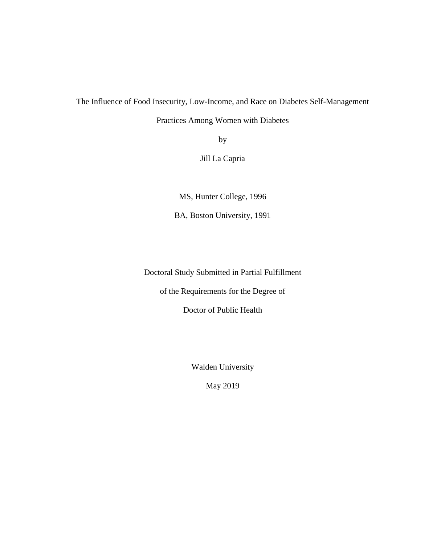The Influence of Food Insecurity, Low-Income, and Race on Diabetes Self-Management

Practices Among Women with Diabetes

by

Jill La Capria

MS, Hunter College, 1996

BA, Boston University, 1991

Doctoral Study Submitted in Partial Fulfillment

of the Requirements for the Degree of

Doctor of Public Health

Walden University

May 2019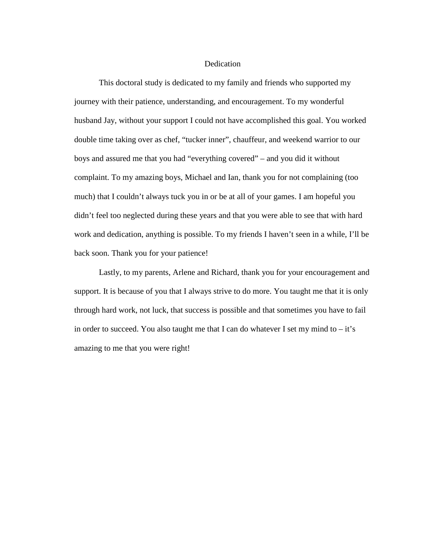#### **Dedication**

This doctoral study is dedicated to my family and friends who supported my journey with their patience, understanding, and encouragement. To my wonderful husband Jay, without your support I could not have accomplished this goal. You worked double time taking over as chef, "tucker inner", chauffeur, and weekend warrior to our boys and assured me that you had "everything covered" – and you did it without complaint. To my amazing boys, Michael and Ian, thank you for not complaining (too much) that I couldn't always tuck you in or be at all of your games. I am hopeful you didn't feel too neglected during these years and that you were able to see that with hard work and dedication, anything is possible. To my friends I haven't seen in a while, I'll be back soon. Thank you for your patience!

Lastly, to my parents, Arlene and Richard, thank you for your encouragement and support. It is because of you that I always strive to do more. You taught me that it is only through hard work, not luck, that success is possible and that sometimes you have to fail in order to succeed. You also taught me that I can do whatever I set my mind to  $-$  it's amazing to me that you were right!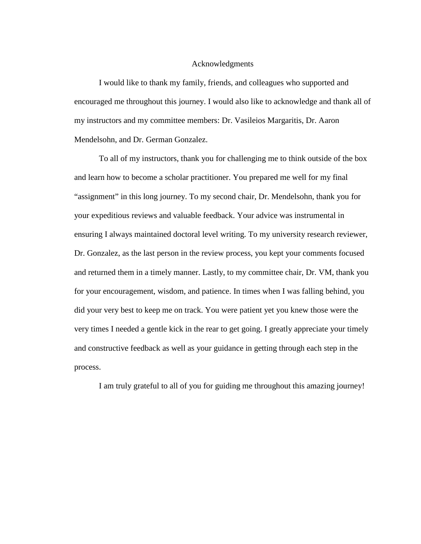#### Acknowledgments

I would like to thank my family, friends, and colleagues who supported and encouraged me throughout this journey. I would also like to acknowledge and thank all of my instructors and my committee members: Dr. Vasileios Margaritis, Dr. Aaron Mendelsohn, and Dr. German Gonzalez.

To all of my instructors, thank you for challenging me to think outside of the box and learn how to become a scholar practitioner. You prepared me well for my final "assignment" in this long journey. To my second chair, Dr. Mendelsohn, thank you for your expeditious reviews and valuable feedback. Your advice was instrumental in ensuring I always maintained doctoral level writing. To my university research reviewer, Dr. Gonzalez, as the last person in the review process, you kept your comments focused and returned them in a timely manner. Lastly, to my committee chair, Dr. VM, thank you for your encouragement, wisdom, and patience. In times when I was falling behind, you did your very best to keep me on track. You were patient yet you knew those were the very times I needed a gentle kick in the rear to get going. I greatly appreciate your timely and constructive feedback as well as your guidance in getting through each step in the process.

I am truly grateful to all of you for guiding me throughout this amazing journey!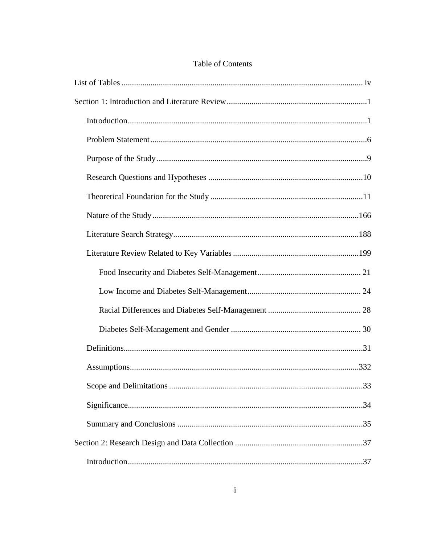### Table of Contents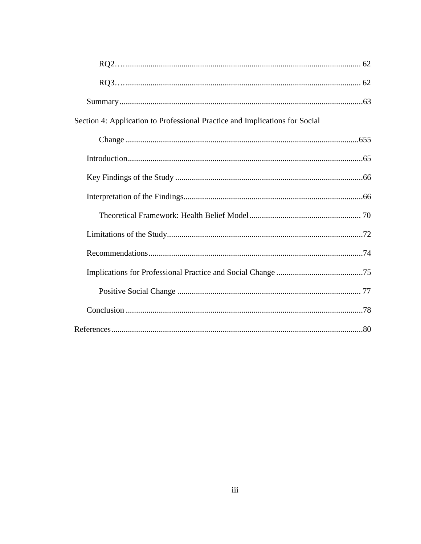| Section 4: Application to Professional Practice and Implications for Social |  |
|-----------------------------------------------------------------------------|--|
|                                                                             |  |
|                                                                             |  |
|                                                                             |  |
|                                                                             |  |
|                                                                             |  |
|                                                                             |  |
|                                                                             |  |
|                                                                             |  |
|                                                                             |  |
|                                                                             |  |
|                                                                             |  |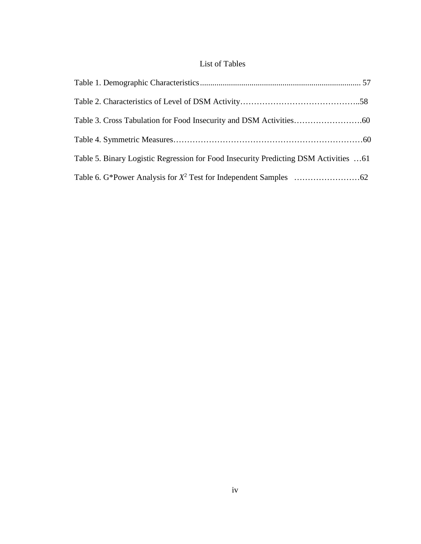## List of Tables

<span id="page-10-0"></span>

| Table 5. Binary Logistic Regression for Food Insecurity Predicting DSM Activities 61 |  |
|--------------------------------------------------------------------------------------|--|
|                                                                                      |  |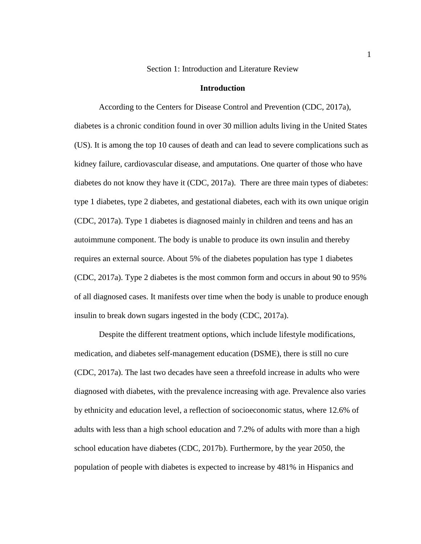Section 1: Introduction and Literature Review

#### **Introduction**

<span id="page-11-1"></span><span id="page-11-0"></span>According to the Centers for Disease Control and Prevention (CDC, 2017a), diabetes is a chronic condition found in over 30 million adults living in the United States (US). It is among the top 10 causes of death and can lead to severe complications such as kidney failure, cardiovascular disease, and amputations. One quarter of those who have diabetes do not know they have it (CDC, 2017a). There are three main types of diabetes: type 1 diabetes, type 2 diabetes, and gestational diabetes, each with its own unique origin (CDC, 2017a). Type 1 diabetes is diagnosed mainly in children and teens and has an autoimmune component. The body is unable to produce its own insulin and thereby requires an external source. About 5% of the diabetes population has type 1 diabetes (CDC, 2017a). Type 2 diabetes is the most common form and occurs in about 90 to 95% of all diagnosed cases. It manifests over time when the body is unable to produce enough insulin to break down sugars ingested in the body (CDC, 2017a).

Despite the different treatment options, which include lifestyle modifications, medication, and diabetes self-management education (DSME), there is still no cure (CDC, 2017a). The last two decades have seen a threefold increase in adults who were diagnosed with diabetes, with the prevalence increasing with age. Prevalence also varies by ethnicity and education level, a reflection of socioeconomic status, where 12.6% of adults with less than a high school education and 7.2% of adults with more than a high school education have diabetes (CDC, 2017b). Furthermore, by the year 2050, the population of people with diabetes is expected to increase by 481% in Hispanics and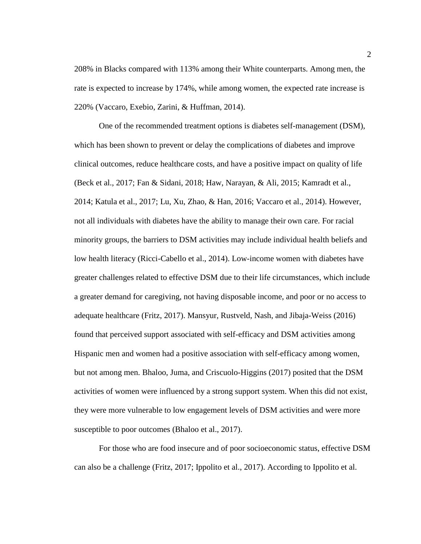208% in Blacks compared with 113% among their White counterparts. Among men, the rate is expected to increase by 174%, while among women, the expected rate increase is 220% (Vaccaro, Exebio, Zarini, & Huffman, 2014).

One of the recommended treatment options is diabetes self-management (DSM), which has been shown to prevent or delay the complications of diabetes and improve clinical outcomes, reduce healthcare costs, and have a positive impact on quality of life (Beck et al., 2017; Fan & Sidani, 2018; Haw, Narayan, & Ali, 2015; Kamradt et al., 2014; Katula et al., 2017; Lu, Xu, Zhao, & Han, 2016; Vaccaro et al., 2014). However, not all individuals with diabetes have the ability to manage their own care. For racial minority groups, the barriers to DSM activities may include individual health beliefs and low health literacy (Ricci-Cabello et al., 2014). Low-income women with diabetes have greater challenges related to effective DSM due to their life circumstances, which include a greater demand for caregiving, not having disposable income, and poor or no access to adequate healthcare (Fritz, 2017). Mansyur, Rustveld, Nash, and Jibaja-Weiss (2016) found that perceived support associated with self-efficacy and DSM activities among Hispanic men and women had a positive association with self-efficacy among women, but not among men. Bhaloo, Juma, and Criscuolo-Higgins (2017) posited that the DSM activities of women were influenced by a strong support system. When this did not exist, they were more vulnerable to low engagement levels of DSM activities and were more susceptible to poor outcomes (Bhaloo et al., 2017).

For those who are food insecure and of poor socioeconomic status, effective DSM can also be a challenge (Fritz, 2017; Ippolito et al., 2017). According to Ippolito et al.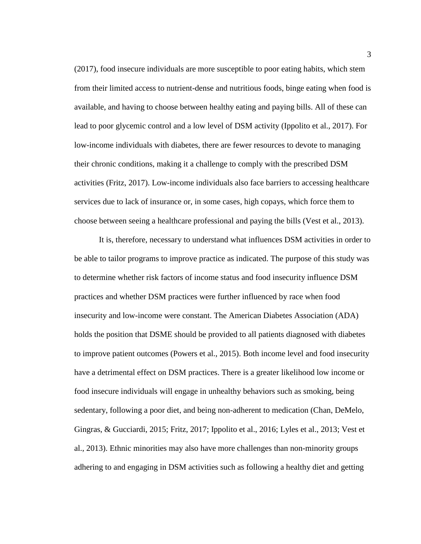(2017), food insecure individuals are more susceptible to poor eating habits, which stem from their limited access to nutrient-dense and nutritious foods, binge eating when food is available, and having to choose between healthy eating and paying bills. All of these can lead to poor glycemic control and a low level of DSM activity (Ippolito et al., 2017). For low-income individuals with diabetes, there are fewer resources to devote to managing their chronic conditions, making it a challenge to comply with the prescribed DSM activities (Fritz, 2017). Low-income individuals also face barriers to accessing healthcare services due to lack of insurance or, in some cases, high copays, which force them to choose between seeing a healthcare professional and paying the bills (Vest et al., 2013).

It is, therefore, necessary to understand what influences DSM activities in order to be able to tailor programs to improve practice as indicated. The purpose of this study was to determine whether risk factors of income status and food insecurity influence DSM practices and whether DSM practices were further influenced by race when food insecurity and low-income were constant. The American Diabetes Association (ADA) holds the position that DSME should be provided to all patients diagnosed with diabetes to improve patient outcomes (Powers et al., 2015). Both income level and food insecurity have a detrimental effect on DSM practices. There is a greater likelihood low income or food insecure individuals will engage in unhealthy behaviors such as smoking, being sedentary, following a poor diet, and being non-adherent to medication (Chan, DeMelo, Gingras, & Gucciardi, 2015; Fritz, 2017; Ippolito et al., 2016; Lyles et al., 2013; Vest et al., 2013). Ethnic minorities may also have more challenges than non-minority groups adhering to and engaging in DSM activities such as following a healthy diet and getting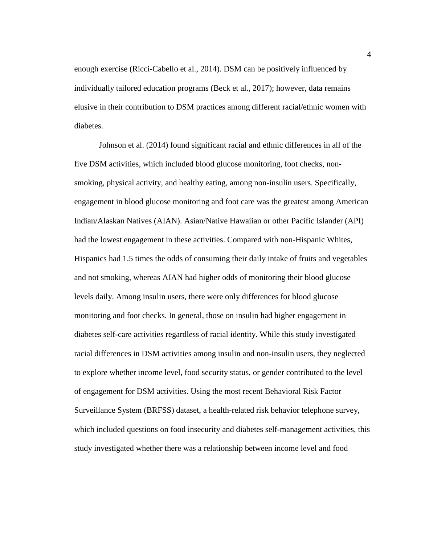enough exercise (Ricci-Cabello et al., 2014). DSM can be positively influenced by individually tailored education programs (Beck et al., 2017); however, data remains elusive in their contribution to DSM practices among different racial/ethnic women with diabetes.

Johnson et al. (2014) found significant racial and ethnic differences in all of the five DSM activities, which included blood glucose monitoring, foot checks, nonsmoking, physical activity, and healthy eating, among non-insulin users. Specifically, engagement in blood glucose monitoring and foot care was the greatest among American Indian/Alaskan Natives (AIAN). Asian/Native Hawaiian or other Pacific Islander (API) had the lowest engagement in these activities. Compared with non-Hispanic Whites, Hispanics had 1.5 times the odds of consuming their daily intake of fruits and vegetables and not smoking, whereas AIAN had higher odds of monitoring their blood glucose levels daily. Among insulin users, there were only differences for blood glucose monitoring and foot checks. In general, those on insulin had higher engagement in diabetes self-care activities regardless of racial identity. While this study investigated racial differences in DSM activities among insulin and non-insulin users, they neglected to explore whether income level, food security status, or gender contributed to the level of engagement for DSM activities. Using the most recent Behavioral Risk Factor Surveillance System (BRFSS) dataset, a health-related risk behavior telephone survey, which included questions on food insecurity and diabetes self-management activities, this study investigated whether there was a relationship between income level and food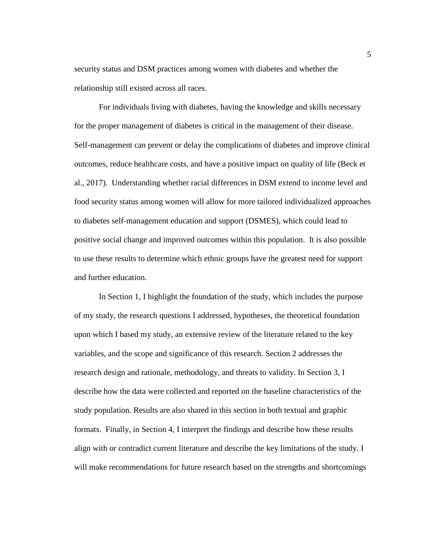security status and DSM practices among women with diabetes and whether the relationship still existed across all races.

For individuals living with diabetes, having the knowledge and skills necessary for the proper management of diabetes is critical in the management of their disease. Self-management can prevent or delay the complications of diabetes and improve clinical outcomes, reduce healthcare costs, and have a positive impact on quality of life (Beck et al., 2017). Understanding whether racial differences in DSM extend to income level and food security status among women will allow for more tailored individualized approaches to diabetes self-management education and support (DSMES), which could lead to positive social change and improved outcomes within this population. It is also possible to use these results to determine which ethnic groups have the greatest need for support and further education.

In Section 1, I highlight the foundation of the study, which includes the purpose of my study, the research questions I addressed, hypotheses, the theoretical foundation upon which I based my study, an extensive review of the literature related to the key variables, and the scope and significance of this research. Section 2 addresses the research design and rationale, methodology, and threats to validity. In Section 3, I describe how the data were collected and reported on the baseline characteristics of the study population. Results are also shared in this section in both textual and graphic formats. Finally, in Section 4, I interpret the findings and describe how these results align with or contradict current literature and describe the key limitations of the study. I will make recommendations for future research based on the strengths and shortcomings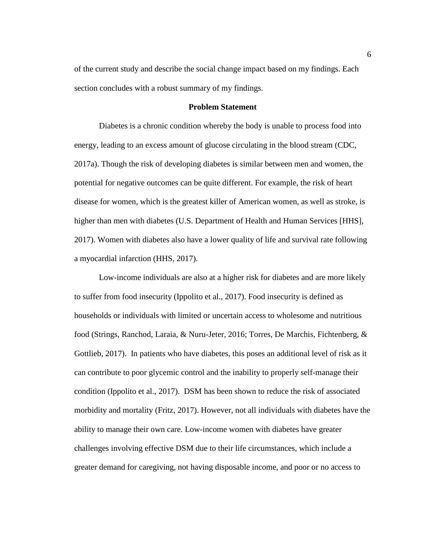of the current study and describe the social change impact based on my findings. Each section concludes with a robust summary of my findings.

#### **Problem Statement**

<span id="page-16-0"></span>Diabetes is a chronic condition whereby the body is unable to process food into energy, leading to an excess amount of glucose circulating in the blood stream (CDC, 2017a). Though the risk of developing diabetes is similar between men and women, the potential for negative outcomes can be quite different. For example, the risk of heart disease for women, which is the greatest killer of American women, as well as stroke, is higher than men with diabetes (U.S. Department of Health and Human Services [HHS], 2017). Women with diabetes also have a lower quality of life and survival rate following a myocardial infarction (HHS, 2017).

Low-income individuals are also at a higher risk for diabetes and are more likely to suffer from food insecurity (Ippolito et al., 2017). Food insecurity is defined as households or individuals with limited or uncertain access to wholesome and nutritious food (Strings, Ranchod, Laraia, & Nuru-Jeter, 2016; Torres, De Marchis, Fichtenberg, & Gottlieb, 2017). In patients who have diabetes, this poses an additional level of risk as it can contribute to poor glycemic control and the inability to properly self-manage their condition (Ippolito et al., 2017). DSM has been shown to reduce the risk of associated morbidity and mortality (Fritz, 2017). However, not all individuals with diabetes have the ability to manage their own care. Low-income women with diabetes have greater challenges involving effective DSM due to their life circumstances, which include a greater demand for caregiving, not having disposable income, and poor or no access to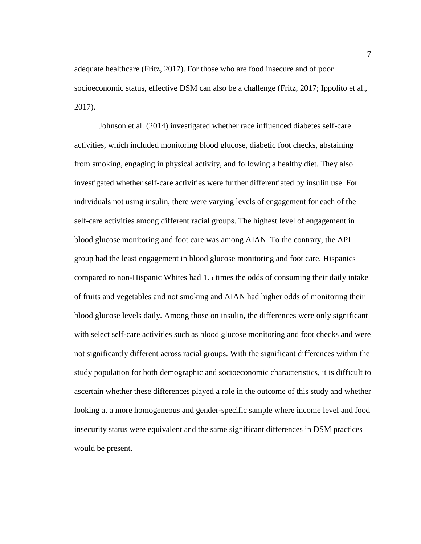adequate healthcare (Fritz, 2017). For those who are food insecure and of poor socioeconomic status, effective DSM can also be a challenge (Fritz, 2017; Ippolito et al., 2017).

Johnson et al. (2014) investigated whether race influenced diabetes self-care activities, which included monitoring blood glucose, diabetic foot checks, abstaining from smoking, engaging in physical activity, and following a healthy diet. They also investigated whether self-care activities were further differentiated by insulin use. For individuals not using insulin, there were varying levels of engagement for each of the self-care activities among different racial groups. The highest level of engagement in blood glucose monitoring and foot care was among AIAN. To the contrary, the API group had the least engagement in blood glucose monitoring and foot care. Hispanics compared to non-Hispanic Whites had 1.5 times the odds of consuming their daily intake of fruits and vegetables and not smoking and AIAN had higher odds of monitoring their blood glucose levels daily. Among those on insulin, the differences were only significant with select self-care activities such as blood glucose monitoring and foot checks and were not significantly different across racial groups. With the significant differences within the study population for both demographic and socioeconomic characteristics, it is difficult to ascertain whether these differences played a role in the outcome of this study and whether looking at a more homogeneous and gender-specific sample where income level and food insecurity status were equivalent and the same significant differences in DSM practices would be present.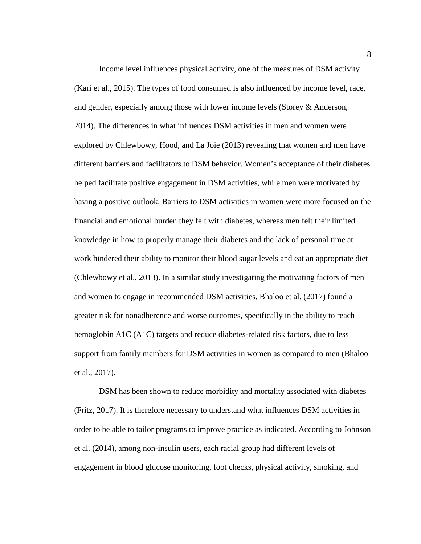Income level influences physical activity, one of the measures of DSM activity (Kari et al., 2015). The types of food consumed is also influenced by income level, race, and gender, especially among those with lower income levels (Storey & Anderson, 2014). The differences in what influences DSM activities in men and women were explored by Chlewbowy, Hood, and La Joie (2013) revealing that women and men have different barriers and facilitators to DSM behavior. Women's acceptance of their diabetes helped facilitate positive engagement in DSM activities, while men were motivated by having a positive outlook. Barriers to DSM activities in women were more focused on the financial and emotional burden they felt with diabetes, whereas men felt their limited knowledge in how to properly manage their diabetes and the lack of personal time at work hindered their ability to monitor their blood sugar levels and eat an appropriate diet (Chlewbowy et al., 2013). In a similar study investigating the motivating factors of men and women to engage in recommended DSM activities, Bhaloo et al. (2017) found a greater risk for nonadherence and worse outcomes, specifically in the ability to reach hemoglobin A1C (A1C) targets and reduce diabetes-related risk factors, due to less support from family members for DSM activities in women as compared to men (Bhaloo et al., 2017).

DSM has been shown to reduce morbidity and mortality associated with diabetes (Fritz, 2017). It is therefore necessary to understand what influences DSM activities in order to be able to tailor programs to improve practice as indicated. According to Johnson et al. (2014), among non-insulin users, each racial group had different levels of engagement in blood glucose monitoring, foot checks, physical activity, smoking, and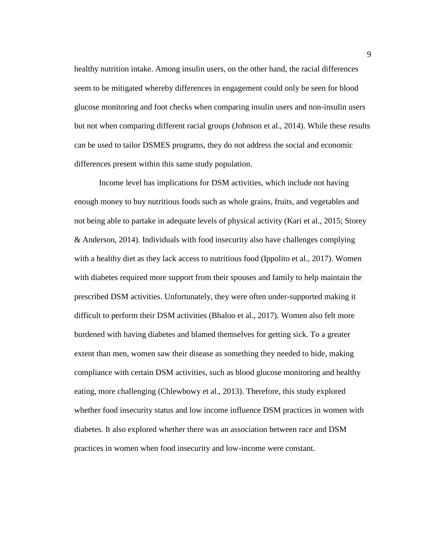healthy nutrition intake. Among insulin users, on the other hand, the racial differences seem to be mitigated whereby differences in engagement could only be seen for blood glucose monitoring and foot checks when comparing insulin users and non-insulin users but not when comparing different racial groups (Johnson et al., 2014). While these results can be used to tailor DSMES programs, they do not address the social and economic differences present within this same study population.

Income level has implications for DSM activities, which include not having enough money to buy nutritious foods such as whole grains, fruits, and vegetables and not being able to partake in adequate levels of physical activity (Kari et al., 2015; Storey & Anderson, 2014). Individuals with food insecurity also have challenges complying with a healthy diet as they lack access to nutritious food (Ippolito et al., 2017). Women with diabetes required more support from their spouses and family to help maintain the prescribed DSM activities. Unfortunately, they were often under-supported making it difficult to perform their DSM activities (Bhaloo et al., 2017). Women also felt more burdened with having diabetes and blamed themselves for getting sick. To a greater extent than men, women saw their disease as something they needed to hide, making compliance with certain DSM activities, such as blood glucose monitoring and healthy eating, more challenging (Chlewbowy et al., 2013). Therefore, this study explored whether food insecurity status and low income influence DSM practices in women with diabetes. It also explored whether there was an association between race and DSM practices in women when food insecurity and low-income were constant.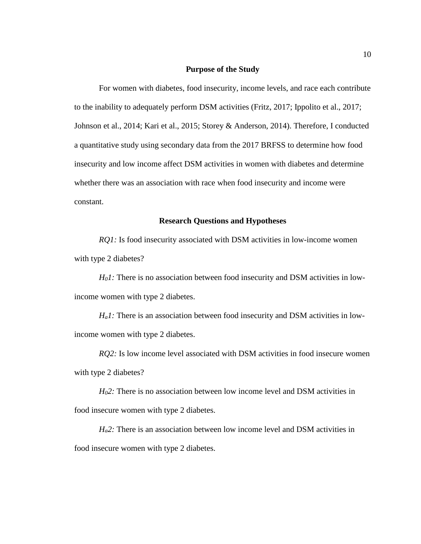#### **Purpose of the Study**

<span id="page-20-0"></span>For women with diabetes, food insecurity, income levels, and race each contribute to the inability to adequately perform DSM activities (Fritz, 2017; Ippolito et al., 2017; Johnson et al., 2014; Kari et al., 2015; Storey & Anderson, 2014). Therefore, I conducted a quantitative study using secondary data from the 2017 BRFSS to determine how food insecurity and low income affect DSM activities in women with diabetes and determine whether there was an association with race when food insecurity and income were constant.

#### **Research Questions and Hypotheses**

<span id="page-20-1"></span>*RQ1*: Is food insecurity associated with DSM activities in low-income women with type 2 diabetes?

*H<sub>0</sub>1*: There is no association between food insecurity and DSM activities in lowincome women with type 2 diabetes.

*H<sub>a</sub>l*: There is an association between food insecurity and DSM activities in lowincome women with type 2 diabetes.

*RO2*: Is low income level associated with DSM activities in food insecure women with type 2 diabetes?

*H02:* There is no association between low income level and DSM activities in food insecure women with type 2 diabetes.

*H<sub>a</sub>2*: There is an association between low income level and DSM activities in food insecure women with type 2 diabetes.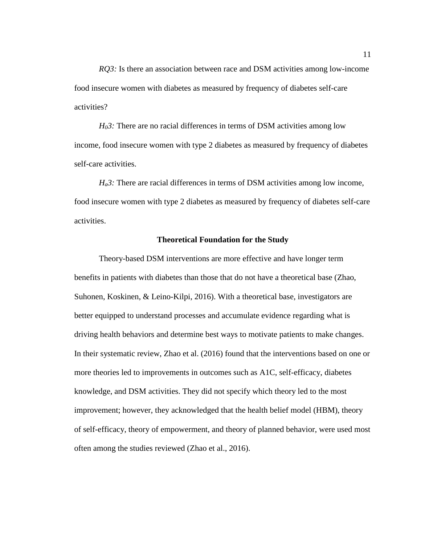*RQ3:* Is there an association between race and DSM activities among low-income food insecure women with diabetes as measured by frequency of diabetes self-care activities?

*H<sub>0</sub>3*: There are no racial differences in terms of DSM activities among low income, food insecure women with type 2 diabetes as measured by frequency of diabetes self-care activities.

*Ha3:* There are racial differences in terms of DSM activities among low income, food insecure women with type 2 diabetes as measured by frequency of diabetes self-care activities.

#### **Theoretical Foundation for the Study**

<span id="page-21-0"></span>Theory-based DSM interventions are more effective and have longer term benefits in patients with diabetes than those that do not have a theoretical base (Zhao, Suhonen, Koskinen, & Leino-Kilpi, 2016). With a theoretical base, investigators are better equipped to understand processes and accumulate evidence regarding what is driving health behaviors and determine best ways to motivate patients to make changes. In their systematic review, Zhao et al. (2016) found that the interventions based on one or more theories led to improvements in outcomes such as A1C, self-efficacy, diabetes knowledge, and DSM activities. They did not specify which theory led to the most improvement; however, they acknowledged that the health belief model (HBM), theory of self-efficacy, theory of empowerment, and theory of planned behavior, were used most often among the studies reviewed (Zhao et al., 2016).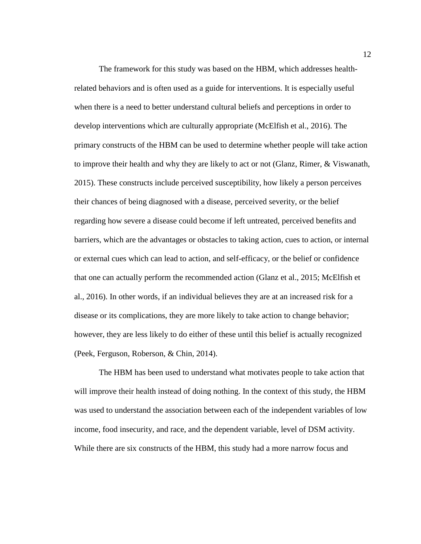The framework for this study was based on the HBM, which addresses healthrelated behaviors and is often used as a guide for interventions. It is especially useful when there is a need to better understand cultural beliefs and perceptions in order to develop interventions which are culturally appropriate (McElfish et al., 2016). The primary constructs of the HBM can be used to determine whether people will take action to improve their health and why they are likely to act or not (Glanz, Rimer, & Viswanath, 2015). These constructs include perceived susceptibility, how likely a person perceives their chances of being diagnosed with a disease, perceived severity, or the belief regarding how severe a disease could become if left untreated, perceived benefits and barriers, which are the advantages or obstacles to taking action, cues to action, or internal or external cues which can lead to action, and self-efficacy, or the belief or confidence that one can actually perform the recommended action (Glanz et al., 2015; McElfish et al., 2016). In other words, if an individual believes they are at an increased risk for a disease or its complications, they are more likely to take action to change behavior; however, they are less likely to do either of these until this belief is actually recognized (Peek, Ferguson, Roberson, & Chin, 2014).

The HBM has been used to understand what motivates people to take action that will improve their health instead of doing nothing. In the context of this study, the HBM was used to understand the association between each of the independent variables of low income, food insecurity, and race, and the dependent variable, level of DSM activity. While there are six constructs of the HBM, this study had a more narrow focus and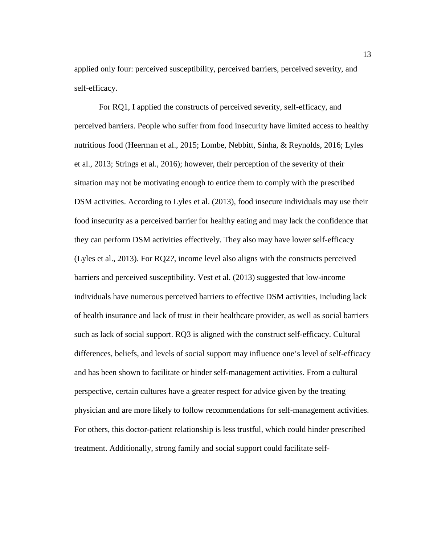applied only four: perceived susceptibility, perceived barriers, perceived severity, and self-efficacy.

For RQ1, I applied the constructs of perceived severity, self-efficacy, and perceived barriers. People who suffer from food insecurity have limited access to healthy nutritious food (Heerman et al., 2015; Lombe, Nebbitt, Sinha, & Reynolds, 2016; Lyles et al., 2013; Strings et al., 2016); however, their perception of the severity of their situation may not be motivating enough to entice them to comply with the prescribed DSM activities. According to Lyles et al. (2013), food insecure individuals may use their food insecurity as a perceived barrier for healthy eating and may lack the confidence that they can perform DSM activities effectively. They also may have lower self-efficacy (Lyles et al., 2013). For RQ2*?*, income level also aligns with the constructs perceived barriers and perceived susceptibility. Vest et al. (2013) suggested that low-income individuals have numerous perceived barriers to effective DSM activities, including lack of health insurance and lack of trust in their healthcare provider, as well as social barriers such as lack of social support. RQ3 is aligned with the construct self-efficacy. Cultural differences, beliefs, and levels of social support may influence one's level of self-efficacy and has been shown to facilitate or hinder self-management activities. From a cultural perspective, certain cultures have a greater respect for advice given by the treating physician and are more likely to follow recommendations for self-management activities. For others, this doctor-patient relationship is less trustful, which could hinder prescribed treatment. Additionally, strong family and social support could facilitate self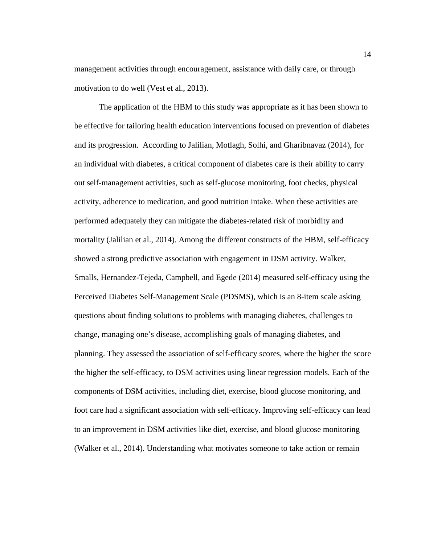management activities through encouragement, assistance with daily care, or through motivation to do well (Vest et al., 2013).

The application of the HBM to this study was appropriate as it has been shown to be effective for tailoring health education interventions focused on prevention of diabetes and its progression. According to Jalilian, Motlagh, Solhi, and Gharibnavaz (2014), for an individual with diabetes, a critical component of diabetes care is their ability to carry out self-management activities, such as self-glucose monitoring, foot checks, physical activity, adherence to medication, and good nutrition intake. When these activities are performed adequately they can mitigate the diabetes-related risk of morbidity and mortality (Jalilian et al., 2014). Among the different constructs of the HBM, self-efficacy showed a strong predictive association with engagement in DSM activity. Walker, Smalls, Hernandez-Tejeda, Campbell, and Egede (2014) measured self-efficacy using the Perceived Diabetes Self-Management Scale (PDSMS), which is an 8-item scale asking questions about finding solutions to problems with managing diabetes, challenges to change, managing one's disease, accomplishing goals of managing diabetes, and planning. They assessed the association of self-efficacy scores, where the higher the score the higher the self-efficacy, to DSM activities using linear regression models. Each of the components of DSM activities, including diet, exercise, blood glucose monitoring, and foot care had a significant association with self-efficacy. Improving self-efficacy can lead to an improvement in DSM activities like diet, exercise, and blood glucose monitoring (Walker et al., 2014). Understanding what motivates someone to take action or remain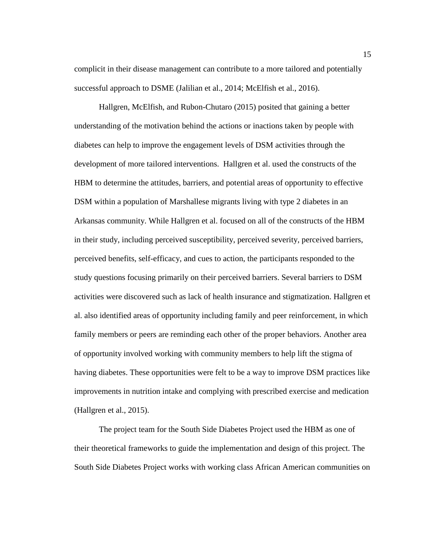complicit in their disease management can contribute to a more tailored and potentially successful approach to DSME (Jalilian et al., 2014; McElfish et al., 2016).

Hallgren, McElfish, and Rubon-Chutaro (2015) posited that gaining a better understanding of the motivation behind the actions or inactions taken by people with diabetes can help to improve the engagement levels of DSM activities through the development of more tailored interventions. Hallgren et al. used the constructs of the HBM to determine the attitudes, barriers, and potential areas of opportunity to effective DSM within a population of Marshallese migrants living with type 2 diabetes in an Arkansas community. While Hallgren et al. focused on all of the constructs of the HBM in their study, including perceived susceptibility, perceived severity, perceived barriers, perceived benefits, self-efficacy, and cues to action, the participants responded to the study questions focusing primarily on their perceived barriers. Several barriers to DSM activities were discovered such as lack of health insurance and stigmatization. Hallgren et al. also identified areas of opportunity including family and peer reinforcement, in which family members or peers are reminding each other of the proper behaviors. Another area of opportunity involved working with community members to help lift the stigma of having diabetes. These opportunities were felt to be a way to improve DSM practices like improvements in nutrition intake and complying with prescribed exercise and medication (Hallgren et al., 2015).

The project team for the South Side Diabetes Project used the HBM as one of their theoretical frameworks to guide the implementation and design of this project. The South Side Diabetes Project works with working class African American communities on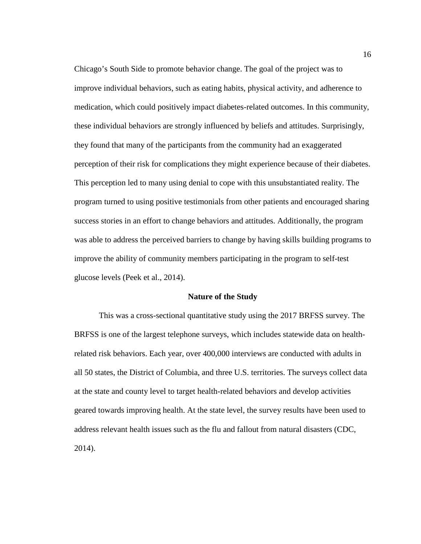Chicago's South Side to promote behavior change. The goal of the project was to improve individual behaviors, such as eating habits, physical activity, and adherence to medication, which could positively impact diabetes-related outcomes. In this community, these individual behaviors are strongly influenced by beliefs and attitudes. Surprisingly, they found that many of the participants from the community had an exaggerated perception of their risk for complications they might experience because of their diabetes. This perception led to many using denial to cope with this unsubstantiated reality. The program turned to using positive testimonials from other patients and encouraged sharing success stories in an effort to change behaviors and attitudes. Additionally, the program was able to address the perceived barriers to change by having skills building programs to improve the ability of community members participating in the program to self-test glucose levels (Peek et al., 2014).

#### **Nature of the Study**

<span id="page-26-0"></span>This was a cross-sectional quantitative study using the 2017 BRFSS survey. The BRFSS is one of the largest telephone surveys, which includes statewide data on healthrelated risk behaviors. Each year, over 400,000 interviews are conducted with adults in all 50 states, the District of Columbia, and three U.S. territories. The surveys collect data at the state and county level to target health-related behaviors and develop activities geared towards improving health. At the state level, the survey results have been used to address relevant health issues such as the flu and fallout from natural disasters (CDC, 2014).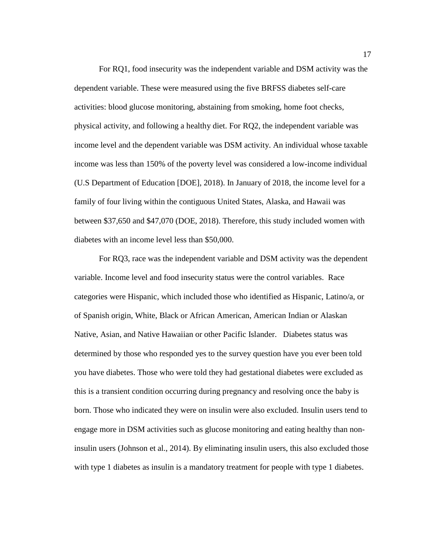For RQ1, food insecurity was the independent variable and DSM activity was the dependent variable. These were measured using the five BRFSS diabetes self-care activities: blood glucose monitoring, abstaining from smoking, home foot checks, physical activity, and following a healthy diet. For RQ2, the independent variable was income level and the dependent variable was DSM activity. An individual whose taxable income was less than 150% of the poverty level was considered a low-income individual (U.S Department of Education [DOE], 2018). In January of 2018, the income level for a family of four living within the contiguous United States, Alaska, and Hawaii was between \$37,650 and \$47,070 (DOE, 2018). Therefore, this study included women with diabetes with an income level less than \$50,000.

For RQ3, race was the independent variable and DSM activity was the dependent variable. Income level and food insecurity status were the control variables. Race categories were Hispanic, which included those who identified as Hispanic, Latino/a, or of Spanish origin, White, Black or African American, American Indian or Alaskan Native, Asian, and Native Hawaiian or other Pacific Islander. Diabetes status was determined by those who responded yes to the survey question have you ever been told you have diabetes. Those who were told they had gestational diabetes were excluded as this is a transient condition occurring during pregnancy and resolving once the baby is born. Those who indicated they were on insulin were also excluded. Insulin users tend to engage more in DSM activities such as glucose monitoring and eating healthy than noninsulin users (Johnson et al., 2014). By eliminating insulin users, this also excluded those with type 1 diabetes as insulin is a mandatory treatment for people with type 1 diabetes.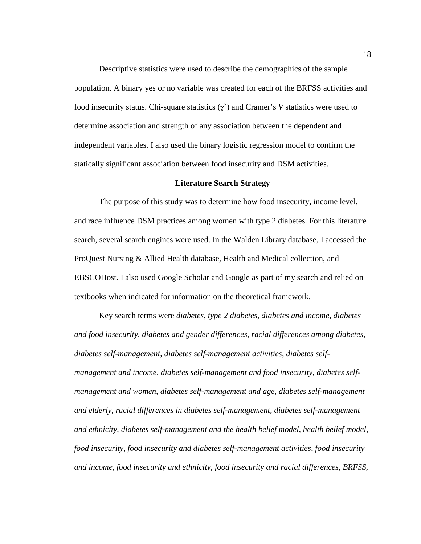Descriptive statistics were used to describe the demographics of the sample population. A binary yes or no variable was created for each of the BRFSS activities and food insecurity status. Chi-square statistics  $(\chi^2)$  and Cramer's *V* statistics were used to determine association and strength of any association between the dependent and independent variables. I also used the binary logistic regression model to confirm the statically significant association between food insecurity and DSM activities.

#### **Literature Search Strategy**

<span id="page-28-0"></span>The purpose of this study was to determine how food insecurity, income level, and race influence DSM practices among women with type 2 diabetes. For this literature search, several search engines were used. In the Walden Library database, I accessed the ProQuest Nursing & Allied Health database, Health and Medical collection, and EBSCOHost. I also used Google Scholar and Google as part of my search and relied on textbooks when indicated for information on the theoretical framework.

Key search terms were *diabetes*, *type 2 diabetes*, *diabetes and income*, *diabetes and food insecurity*, *diabetes and gender differences*, *racial differences among diabetes*, *diabetes self-management*, *diabetes self-management activities*, *diabetes selfmanagement and income*, *diabetes self-management and food insecurity*, *diabetes selfmanagement and women*, *diabetes self-management and age*, *diabetes self-management and elderly*, *racial differences in diabetes self-management, diabetes self-management and ethnicity*, *diabetes self-management and the health belief model*, *health belief model*, *food insecurity*, *food insecurity and diabetes self-management activities*, *food insecurity and income*, *food insecurity and ethnicity*, *food insecurity and racial differences*, *BRFSS*,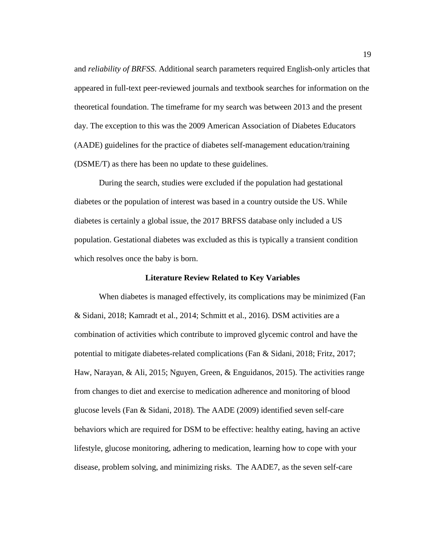and *reliability of BRFSS*. Additional search parameters required English-only articles that appeared in full-text peer-reviewed journals and textbook searches for information on the theoretical foundation. The timeframe for my search was between 2013 and the present day. The exception to this was the 2009 American Association of Diabetes Educators (AADE) guidelines for the practice of diabetes self-management education/training (DSME/T) as there has been no update to these guidelines.

During the search, studies were excluded if the population had gestational diabetes or the population of interest was based in a country outside the US. While diabetes is certainly a global issue, the 2017 BRFSS database only included a US population. Gestational diabetes was excluded as this is typically a transient condition which resolves once the baby is born.

#### **Literature Review Related to Key Variables**

<span id="page-29-0"></span>When diabetes is managed effectively, its complications may be minimized (Fan & Sidani, 2018; Kamradt et al., 2014; Schmitt et al., 2016). DSM activities are a combination of activities which contribute to improved glycemic control and have the potential to mitigate diabetes-related complications (Fan & Sidani, 2018; Fritz, 2017; Haw, Narayan, & Ali, 2015; Nguyen, Green, & Enguidanos, 2015). The activities range from changes to diet and exercise to medication adherence and monitoring of blood glucose levels (Fan & Sidani, 2018). The AADE (2009) identified seven self-care behaviors which are required for DSM to be effective: healthy eating, having an active lifestyle, glucose monitoring, adhering to medication, learning how to cope with your disease, problem solving, and minimizing risks. The AADE7, as the seven self-care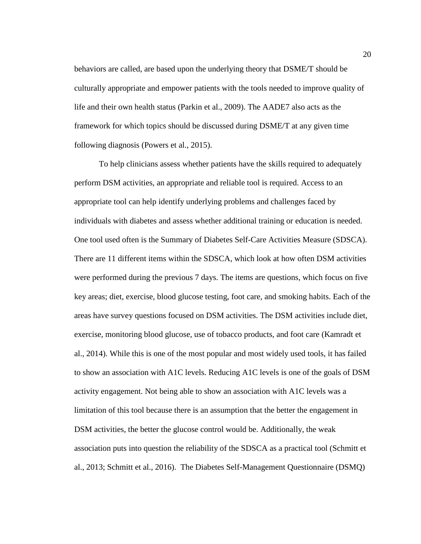behaviors are called, are based upon the underlying theory that DSME/T should be culturally appropriate and empower patients with the tools needed to improve quality of life and their own health status (Parkin et al., 2009). The AADE7 also acts as the framework for which topics should be discussed during DSME/T at any given time following diagnosis (Powers et al., 2015).

To help clinicians assess whether patients have the skills required to adequately perform DSM activities, an appropriate and reliable tool is required. Access to an appropriate tool can help identify underlying problems and challenges faced by individuals with diabetes and assess whether additional training or education is needed. One tool used often is the Summary of Diabetes Self-Care Activities Measure (SDSCA). There are 11 different items within the SDSCA, which look at how often DSM activities were performed during the previous 7 days. The items are questions, which focus on five key areas; diet, exercise, blood glucose testing, foot care, and smoking habits. Each of the areas have survey questions focused on DSM activities. The DSM activities include diet, exercise, monitoring blood glucose, use of tobacco products, and foot care (Kamradt et al., 2014). While this is one of the most popular and most widely used tools, it has failed to show an association with A1C levels. Reducing A1C levels is one of the goals of DSM activity engagement. Not being able to show an association with A1C levels was a limitation of this tool because there is an assumption that the better the engagement in DSM activities, the better the glucose control would be. Additionally, the weak association puts into question the reliability of the SDSCA as a practical tool (Schmitt et al., 2013; Schmitt et al., 2016). The Diabetes Self-Management Questionnaire (DSMQ)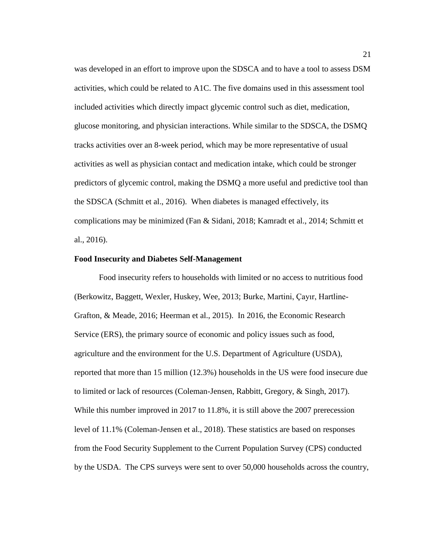was developed in an effort to improve upon the SDSCA and to have a tool to assess DSM activities, which could be related to A1C. The five domains used in this assessment tool included activities which directly impact glycemic control such as diet, medication, glucose monitoring, and physician interactions. While similar to the SDSCA, the DSMQ tracks activities over an 8-week period, which may be more representative of usual activities as well as physician contact and medication intake, which could be stronger predictors of glycemic control, making the DSMQ a more useful and predictive tool than the SDSCA (Schmitt et al., 2016). When diabetes is managed effectively, its complications may be minimized (Fan & Sidani, 2018; Kamradt et al., 2014; Schmitt et al., 2016).

#### <span id="page-31-0"></span>**Food Insecurity and Diabetes Self-Management**

Food insecurity refers to households with limited or no access to nutritious food (Berkowitz, Baggett, Wexler, Huskey, Wee, 2013; Burke, Martini, Çayır, Hartline-Grafton, & Meade, 2016; Heerman et al., 2015). In 2016, the Economic Research Service (ERS), the primary source of economic and policy issues such as food, agriculture and the environment for the U.S. Department of Agriculture (USDA), reported that more than 15 million (12.3%) households in the US were food insecure due to limited or lack of resources (Coleman-Jensen, Rabbitt, Gregory, & Singh, 2017). While this number improved in 2017 to 11.8%, it is still above the 2007 prerecession level of 11.1% (Coleman-Jensen et al., 2018). These statistics are based on responses from the Food Security Supplement to the Current Population Survey (CPS) conducted by the USDA. The CPS surveys were sent to over 50,000 households across the country,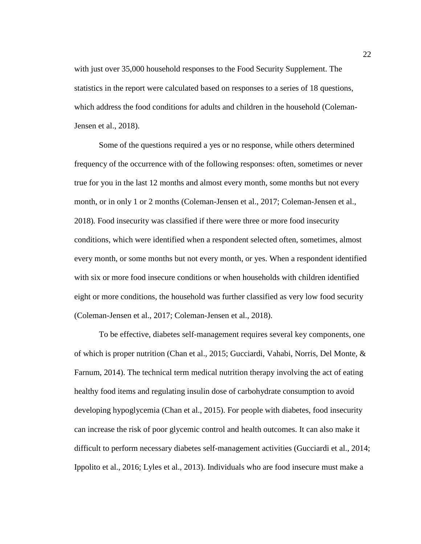with just over 35,000 household responses to the Food Security Supplement. The statistics in the report were calculated based on responses to a series of 18 questions, which address the food conditions for adults and children in the household (Coleman-Jensen et al., 2018).

Some of the questions required a yes or no response, while others determined frequency of the occurrence with of the following responses: often, sometimes or never true for you in the last 12 months and almost every month, some months but not every month, or in only 1 or 2 months (Coleman-Jensen et al., 2017; Coleman-Jensen et al., 2018)*.* Food insecurity was classified if there were three or more food insecurity conditions, which were identified when a respondent selected often, sometimes, almost every month, or some months but not every month, or yes. When a respondent identified with six or more food insecure conditions or when households with children identified eight or more conditions, the household was further classified as very low food security (Coleman-Jensen et al., 2017; Coleman-Jensen et al., 2018).

To be effective, diabetes self-management requires several key components, one of which is proper nutrition (Chan et al., 2015; Gucciardi, Vahabi, Norris, Del Monte, & Farnum, 2014). The technical term medical nutrition therapy involving the act of eating healthy food items and regulating insulin dose of carbohydrate consumption to avoid developing hypoglycemia (Chan et al., 2015). For people with diabetes, food insecurity can increase the risk of poor glycemic control and health outcomes. It can also make it difficult to perform necessary diabetes self-management activities (Gucciardi et al., 2014; Ippolito et al., 2016; Lyles et al., 2013). Individuals who are food insecure must make a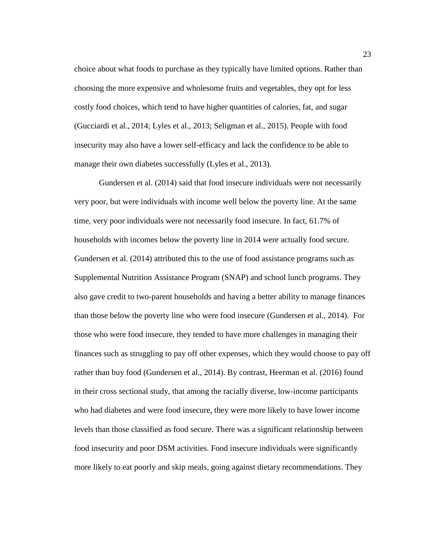choice about what foods to purchase as they typically have limited options. Rather than choosing the more expensive and wholesome fruits and vegetables, they opt for less costly food choices, which tend to have higher quantities of calories, fat, and sugar (Gucciardi et al., 2014; Lyles et al., 2013; Seligman et al., 2015). People with food insecurity may also have a lower self-efficacy and lack the confidence to be able to manage their own diabetes successfully (Lyles et al., 2013).

Gundersen et al. (2014) said that food insecure individuals were not necessarily very poor, but were individuals with income well below the poverty line. At the same time, very poor individuals were not necessarily food insecure. In fact, 61.7% of households with incomes below the poverty line in 2014 were actually food secure. Gundersen et al. (2014) attributed this to the use of food assistance programs such as Supplemental Nutrition Assistance Program (SNAP) and school lunch programs. They also gave credit to two-parent households and having a better ability to manage finances than those below the poverty line who were food insecure (Gundersen et al., 2014). For those who were food insecure, they tended to have more challenges in managing their finances such as struggling to pay off other expenses, which they would choose to pay off rather than buy food (Gundersen et al., 2014). By contrast, Heerman et al. (2016) found in their cross sectional study, that among the racially diverse, low-income participants who had diabetes and were food insecure, they were more likely to have lower income levels than those classified as food secure. There was a significant relationship between food insecurity and poor DSM activities. Food insecure individuals were significantly more likely to eat poorly and skip meals, going against dietary recommendations. They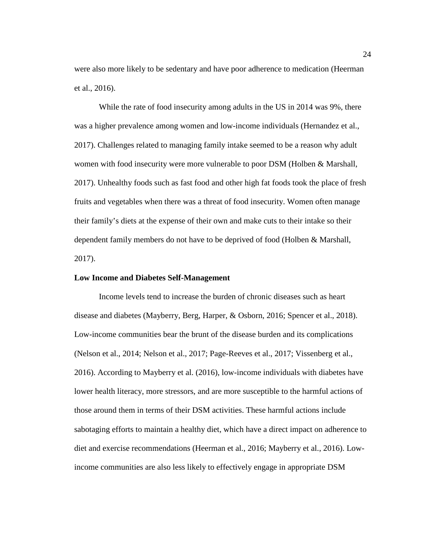were also more likely to be sedentary and have poor adherence to medication (Heerman et al., 2016).

While the rate of food insecurity among adults in the US in 2014 was 9%, there was a higher prevalence among women and low-income individuals (Hernandez et al., 2017). Challenges related to managing family intake seemed to be a reason why adult women with food insecurity were more vulnerable to poor DSM (Holben & Marshall, 2017). Unhealthy foods such as fast food and other high fat foods took the place of fresh fruits and vegetables when there was a threat of food insecurity. Women often manage their family's diets at the expense of their own and make cuts to their intake so their dependent family members do not have to be deprived of food (Holben & Marshall, 2017).

#### <span id="page-34-0"></span>**Low Income and Diabetes Self-Management**

Income levels tend to increase the burden of chronic diseases such as heart disease and diabetes (Mayberry, Berg, Harper, & Osborn, 2016; Spencer et al., 2018). Low-income communities bear the brunt of the disease burden and its complications (Nelson et al., 2014; Nelson et al., 2017; Page-Reeves et al., 2017; Vissenberg et al., 2016). According to Mayberry et al. (2016), low-income individuals with diabetes have lower health literacy, more stressors, and are more susceptible to the harmful actions of those around them in terms of their DSM activities. These harmful actions include sabotaging efforts to maintain a healthy diet, which have a direct impact on adherence to diet and exercise recommendations (Heerman et al., 2016; Mayberry et al., 2016). Lowincome communities are also less likely to effectively engage in appropriate DSM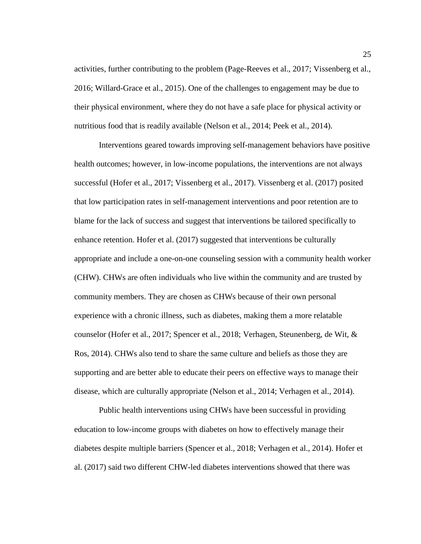activities, further contributing to the problem (Page-Reeves et al., 2017; Vissenberg et al., 2016; Willard-Grace et al., 2015). One of the challenges to engagement may be due to their physical environment, where they do not have a safe place for physical activity or nutritious food that is readily available (Nelson et al., 2014; Peek et al., 2014).

Interventions geared towards improving self-management behaviors have positive health outcomes; however, in low-income populations, the interventions are not always successful (Hofer et al., 2017; Vissenberg et al., 2017). Vissenberg et al. (2017) posited that low participation rates in self-management interventions and poor retention are to blame for the lack of success and suggest that interventions be tailored specifically to enhance retention. Hofer et al. (2017) suggested that interventions be culturally appropriate and include a one-on-one counseling session with a community health worker (CHW). CHWs are often individuals who live within the community and are trusted by community members. They are chosen as CHWs because of their own personal experience with a chronic illness, such as diabetes, making them a more relatable counselor (Hofer et al., 2017; Spencer et al., 2018; Verhagen, Steunenberg, de Wit, & Ros, 2014). CHWs also tend to share the same culture and beliefs as those they are supporting and are better able to educate their peers on effective ways to manage their disease, which are culturally appropriate (Nelson et al., 2014; Verhagen et al., 2014).

Public health interventions using CHWs have been successful in providing education to low-income groups with diabetes on how to effectively manage their diabetes despite multiple barriers (Spencer et al., 2018; Verhagen et al., 2014). Hofer et al. (2017) said two different CHW-led diabetes interventions showed that there was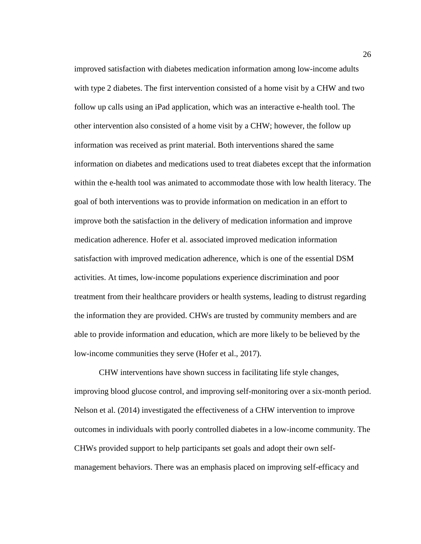improved satisfaction with diabetes medication information among low-income adults with type 2 diabetes. The first intervention consisted of a home visit by a CHW and two follow up calls using an iPad application, which was an interactive e-health tool. The other intervention also consisted of a home visit by a CHW; however, the follow up information was received as print material. Both interventions shared the same information on diabetes and medications used to treat diabetes except that the information within the e-health tool was animated to accommodate those with low health literacy. The goal of both interventions was to provide information on medication in an effort to improve both the satisfaction in the delivery of medication information and improve medication adherence. Hofer et al. associated improved medication information satisfaction with improved medication adherence, which is one of the essential DSM activities. At times, low-income populations experience discrimination and poor treatment from their healthcare providers or health systems, leading to distrust regarding the information they are provided. CHWs are trusted by community members and are able to provide information and education, which are more likely to be believed by the low-income communities they serve (Hofer et al., 2017).

CHW interventions have shown success in facilitating life style changes, improving blood glucose control, and improving self-monitoring over a six-month period. Nelson et al. (2014) investigated the effectiveness of a CHW intervention to improve outcomes in individuals with poorly controlled diabetes in a low-income community. The CHWs provided support to help participants set goals and adopt their own selfmanagement behaviors. There was an emphasis placed on improving self-efficacy and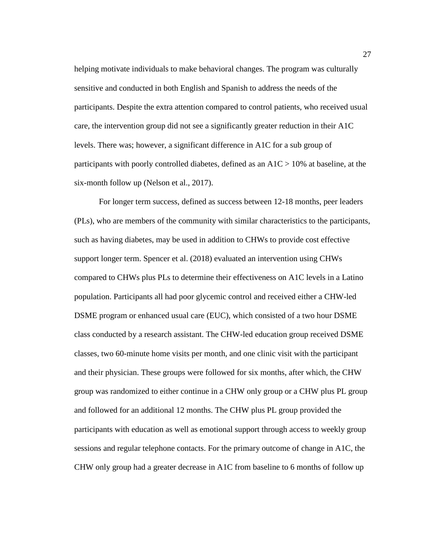helping motivate individuals to make behavioral changes. The program was culturally sensitive and conducted in both English and Spanish to address the needs of the participants. Despite the extra attention compared to control patients, who received usual care, the intervention group did not see a significantly greater reduction in their A1C levels. There was; however, a significant difference in A1C for a sub group of participants with poorly controlled diabetes, defined as an A1C > 10% at baseline, at the six-month follow up (Nelson et al., 2017).

For longer term success, defined as success between 12-18 months, peer leaders (PLs), who are members of the community with similar characteristics to the participants, such as having diabetes, may be used in addition to CHWs to provide cost effective support longer term. Spencer et al. (2018) evaluated an intervention using CHWs compared to CHWs plus PLs to determine their effectiveness on A1C levels in a Latino population. Participants all had poor glycemic control and received either a CHW-led DSME program or enhanced usual care (EUC), which consisted of a two hour DSME class conducted by a research assistant. The CHW-led education group received DSME classes, two 60-minute home visits per month, and one clinic visit with the participant and their physician. These groups were followed for six months, after which, the CHW group was randomized to either continue in a CHW only group or a CHW plus PL group and followed for an additional 12 months. The CHW plus PL group provided the participants with education as well as emotional support through access to weekly group sessions and regular telephone contacts. For the primary outcome of change in A1C, the CHW only group had a greater decrease in A1C from baseline to 6 months of follow up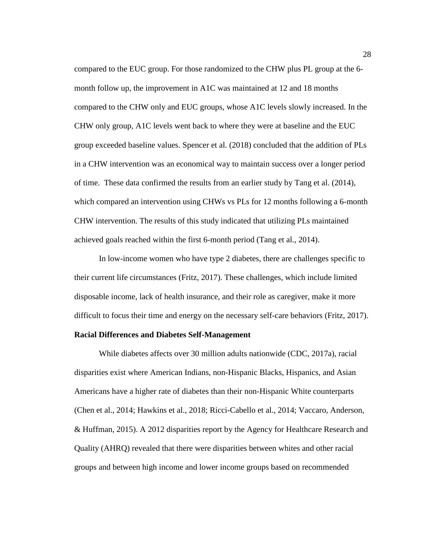compared to the EUC group. For those randomized to the CHW plus PL group at the 6 month follow up, the improvement in A1C was maintained at 12 and 18 months compared to the CHW only and EUC groups, whose A1C levels slowly increased. In the CHW only group, A1C levels went back to where they were at baseline and the EUC group exceeded baseline values. Spencer et al. (2018) concluded that the addition of PLs in a CHW intervention was an economical way to maintain success over a longer period of time. These data confirmed the results from an earlier study by Tang et al. (2014), which compared an intervention using CHWs vs PLs for 12 months following a 6-month CHW intervention. The results of this study indicated that utilizing PLs maintained achieved goals reached within the first 6-month period (Tang et al., 2014).

In low-income women who have type 2 diabetes, there are challenges specific to their current life circumstances (Fritz, 2017). These challenges, which include limited disposable income, lack of health insurance, and their role as caregiver, make it more difficult to focus their time and energy on the necessary self-care behaviors (Fritz, 2017).

### **Racial Differences and Diabetes Self-Management**

While diabetes affects over 30 million adults nationwide (CDC, 2017a), racial disparities exist where American Indians, non-Hispanic Blacks, Hispanics, and Asian Americans have a higher rate of diabetes than their non-Hispanic White counterparts (Chen et al., 2014; Hawkins et al., 2018; Ricci-Cabello et al., 2014; Vaccaro, Anderson, & Huffman, 2015). A 2012 disparities report by the Agency for Healthcare Research and Quality (AHRQ) revealed that there were disparities between whites and other racial groups and between high income and lower income groups based on recommended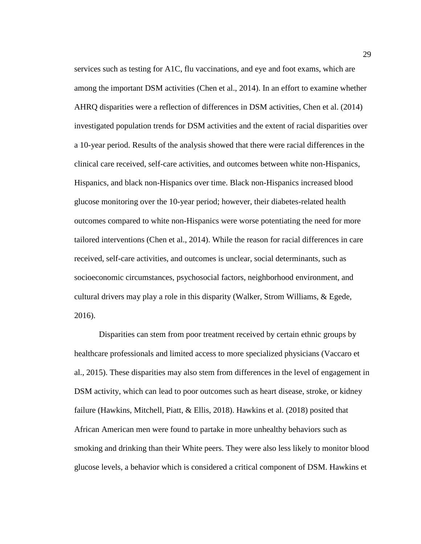services such as testing for A1C, flu vaccinations, and eye and foot exams, which are among the important DSM activities (Chen et al., 2014). In an effort to examine whether AHRQ disparities were a reflection of differences in DSM activities, Chen et al. (2014) investigated population trends for DSM activities and the extent of racial disparities over a 10-year period. Results of the analysis showed that there were racial differences in the clinical care received, self-care activities, and outcomes between white non-Hispanics, Hispanics, and black non-Hispanics over time. Black non-Hispanics increased blood glucose monitoring over the 10-year period; however, their diabetes-related health outcomes compared to white non-Hispanics were worse potentiating the need for more tailored interventions (Chen et al., 2014). While the reason for racial differences in care received, self-care activities, and outcomes is unclear, social determinants, such as socioeconomic circumstances, psychosocial factors, neighborhood environment, and cultural drivers may play a role in this disparity (Walker, Strom Williams, & Egede, 2016).

Disparities can stem from poor treatment received by certain ethnic groups by healthcare professionals and limited access to more specialized physicians (Vaccaro et al., 2015). These disparities may also stem from differences in the level of engagement in DSM activity, which can lead to poor outcomes such as heart disease, stroke, or kidney failure (Hawkins, Mitchell, Piatt, & Ellis, 2018). Hawkins et al. (2018) posited that African American men were found to partake in more unhealthy behaviors such as smoking and drinking than their White peers. They were also less likely to monitor blood glucose levels, a behavior which is considered a critical component of DSM. Hawkins et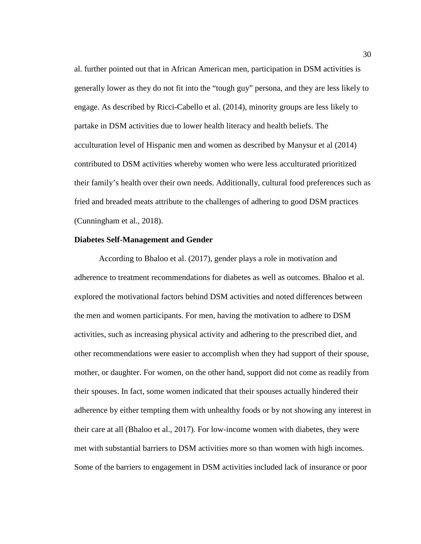al. further pointed out that in African American men, participation in DSM activities is generally lower as they do not fit into the "tough guy" persona, and they are less likely to engage. As described by Ricci-Cabello et al. (2014), minority groups are less likely to partake in DSM activities due to lower health literacy and health beliefs. The acculturation level of Hispanic men and women as described by Manysur et al (2014) contributed to DSM activities whereby women who were less acculturated prioritized their family's health over their own needs. Additionally, cultural food preferences such as fried and breaded meats attribute to the challenges of adhering to good DSM practices (Cunningham et al., 2018).

# **Diabetes Self-Management and Gender**

According to Bhaloo et al. (2017), gender plays a role in motivation and adherence to treatment recommendations for diabetes as well as outcomes. Bhaloo et al. explored the motivational factors behind DSM activities and noted differences between the men and women participants. For men, having the motivation to adhere to DSM activities, such as increasing physical activity and adhering to the prescribed diet, and other recommendations were easier to accomplish when they had support of their spouse, mother, or daughter. For women, on the other hand, support did not come as readily from their spouses. In fact, some women indicated that their spouses actually hindered their adherence by either tempting them with unhealthy foods or by not showing any interest in their care at all (Bhaloo et al., 2017). For low-income women with diabetes, they were met with substantial barriers to DSM activities more so than women with high incomes. Some of the barriers to engagement in DSM activities included lack of insurance or poor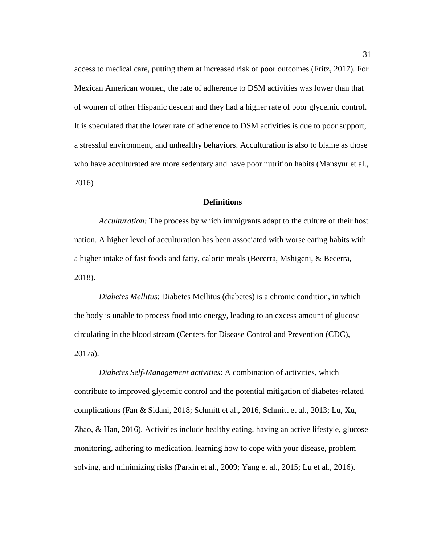access to medical care, putting them at increased risk of poor outcomes (Fritz, 2017). For Mexican American women, the rate of adherence to DSM activities was lower than that of women of other Hispanic descent and they had a higher rate of poor glycemic control. It is speculated that the lower rate of adherence to DSM activities is due to poor support, a stressful environment, and unhealthy behaviors. Acculturation is also to blame as those who have acculturated are more sedentary and have poor nutrition habits (Mansyur et al., 2016)

# **Definitions**

*Acculturation:* The process by which immigrants adapt to the culture of their host nation. A higher level of acculturation has been associated with worse eating habits with a higher intake of fast foods and fatty, caloric meals (Becerra, Mshigeni, & Becerra, 2018).

*Diabetes Mellitus*: Diabetes Mellitus (diabetes) is a chronic condition, in which the body is unable to process food into energy, leading to an excess amount of glucose circulating in the blood stream (Centers for Disease Control and Prevention (CDC), 2017a).

*Diabetes Self-Management activities*: A combination of activities, which contribute to improved glycemic control and the potential mitigation of diabetes-related complications (Fan & Sidani, 2018; Schmitt et al., 2016, Schmitt et al., 2013; Lu, Xu, Zhao, & Han, 2016). Activities include healthy eating, having an active lifestyle, glucose monitoring, adhering to medication, learning how to cope with your disease, problem solving, and minimizing risks (Parkin et al., 2009; Yang et al., 2015; Lu et al., 2016).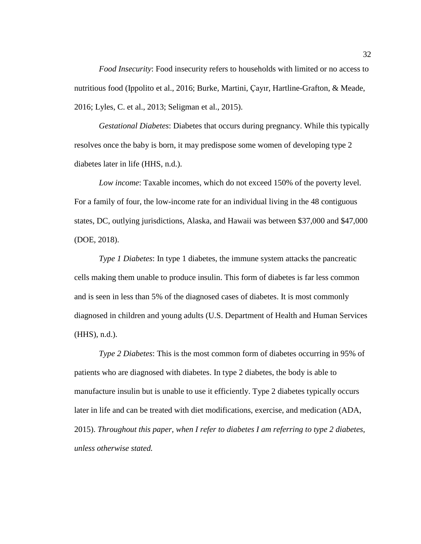*Food Insecurity*: Food insecurity refers to households with limited or no access to nutritious food (Ippolito et al., 2016; Burke, Martini, Çayır, Hartline-Grafton, & Meade, 2016; Lyles, C. et al., 2013; Seligman et al., 2015).

*Gestational Diabetes*: Diabetes that occurs during pregnancy. While this typically resolves once the baby is born, it may predispose some women of developing type 2 diabetes later in life (HHS, n.d.).

*Low income*: Taxable incomes, which do not exceed 150% of the poverty level. For a family of four, the low-income rate for an individual living in the 48 contiguous states, DC, outlying jurisdictions, Alaska, and Hawaii was between \$37,000 and \$47,000 (DOE, 2018).

*Type 1 Diabetes*: In type 1 diabetes, the immune system attacks the pancreatic cells making them unable to produce insulin. This form of diabetes is far less common and is seen in less than 5% of the diagnosed cases of diabetes. It is most commonly diagnosed in children and young adults (U.S. Department of Health and Human Services (HHS), n.d.).

*Type 2 Diabetes*: This is the most common form of diabetes occurring in 95% of patients who are diagnosed with diabetes. In type 2 diabetes, the body is able to manufacture insulin but is unable to use it efficiently. Type 2 diabetes typically occurs later in life and can be treated with diet modifications, exercise, and medication (ADA, 2015). *Throughout this paper, when I refer to diabetes I am referring to type 2 diabetes, unless otherwise stated.*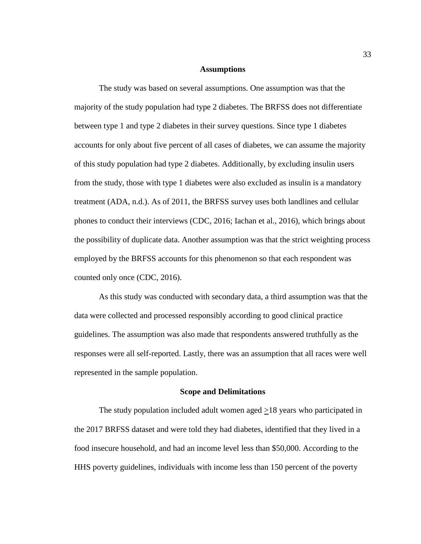## **Assumptions**

The study was based on several assumptions. One assumption was that the majority of the study population had type 2 diabetes. The BRFSS does not differentiate between type 1 and type 2 diabetes in their survey questions. Since type 1 diabetes accounts for only about five percent of all cases of diabetes, we can assume the majority of this study population had type 2 diabetes. Additionally, by excluding insulin users from the study, those with type 1 diabetes were also excluded as insulin is a mandatory treatment (ADA, n.d.). As of 2011, the BRFSS survey uses both landlines and cellular phones to conduct their interviews (CDC, 2016; Iachan et al., 2016), which brings about the possibility of duplicate data. Another assumption was that the strict weighting process employed by the BRFSS accounts for this phenomenon so that each respondent was counted only once (CDC, 2016).

As this study was conducted with secondary data, a third assumption was that the data were collected and processed responsibly according to good clinical practice guidelines. The assumption was also made that respondents answered truthfully as the responses were all self-reported. Lastly, there was an assumption that all races were well represented in the sample population.

#### **Scope and Delimitations**

The study population included adult women aged  $\geq$ 18 years who participated in the 2017 BRFSS dataset and were told they had diabetes, identified that they lived in a food insecure household, and had an income level less than \$50,000. According to the HHS poverty guidelines, individuals with income less than 150 percent of the poverty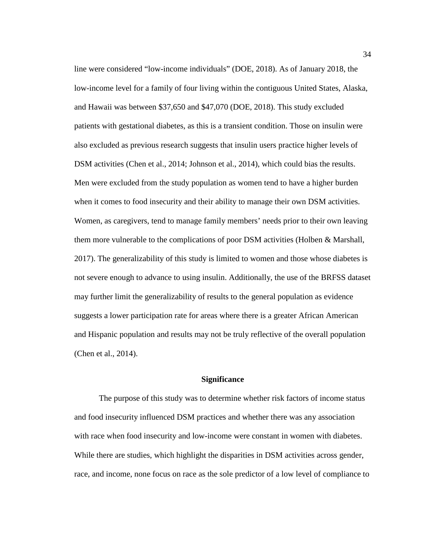line were considered "low-income individuals" (DOE, 2018). As of January 2018, the low-income level for a family of four living within the contiguous United States, Alaska, and Hawaii was between \$37,650 and \$47,070 (DOE, 2018). This study excluded patients with gestational diabetes, as this is a transient condition. Those on insulin were also excluded as previous research suggests that insulin users practice higher levels of DSM activities (Chen et al., 2014; Johnson et al., 2014), which could bias the results. Men were excluded from the study population as women tend to have a higher burden when it comes to food insecurity and their ability to manage their own DSM activities. Women, as caregivers, tend to manage family members' needs prior to their own leaving them more vulnerable to the complications of poor DSM activities (Holben & Marshall, 2017). The generalizability of this study is limited to women and those whose diabetes is not severe enough to advance to using insulin. Additionally, the use of the BRFSS dataset may further limit the generalizability of results to the general population as evidence suggests a lower participation rate for areas where there is a greater African American and Hispanic population and results may not be truly reflective of the overall population (Chen et al., 2014).

# **Significance**

The purpose of this study was to determine whether risk factors of income status and food insecurity influenced DSM practices and whether there was any association with race when food insecurity and low-income were constant in women with diabetes. While there are studies, which highlight the disparities in DSM activities across gender, race, and income, none focus on race as the sole predictor of a low level of compliance to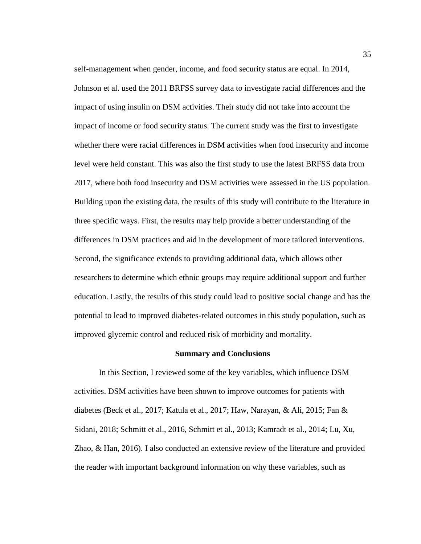self-management when gender, income, and food security status are equal. In 2014, Johnson et al. used the 2011 BRFSS survey data to investigate racial differences and the impact of using insulin on DSM activities. Their study did not take into account the impact of income or food security status. The current study was the first to investigate whether there were racial differences in DSM activities when food insecurity and income level were held constant. This was also the first study to use the latest BRFSS data from 2017, where both food insecurity and DSM activities were assessed in the US population. Building upon the existing data, the results of this study will contribute to the literature in three specific ways. First, the results may help provide a better understanding of the differences in DSM practices and aid in the development of more tailored interventions. Second, the significance extends to providing additional data, which allows other researchers to determine which ethnic groups may require additional support and further education. Lastly, the results of this study could lead to positive social change and has the potential to lead to improved diabetes-related outcomes in this study population, such as improved glycemic control and reduced risk of morbidity and mortality.

#### **Summary and Conclusions**

In this Section, I reviewed some of the key variables, which influence DSM activities. DSM activities have been shown to improve outcomes for patients with diabetes (Beck et al., 2017; Katula et al., 2017; Haw, Narayan, & Ali, 2015; Fan & Sidani, 2018; Schmitt et al., 2016, Schmitt et al., 2013; Kamradt et al., 2014; Lu, Xu, Zhao, & Han, 2016). I also conducted an extensive review of the literature and provided the reader with important background information on why these variables, such as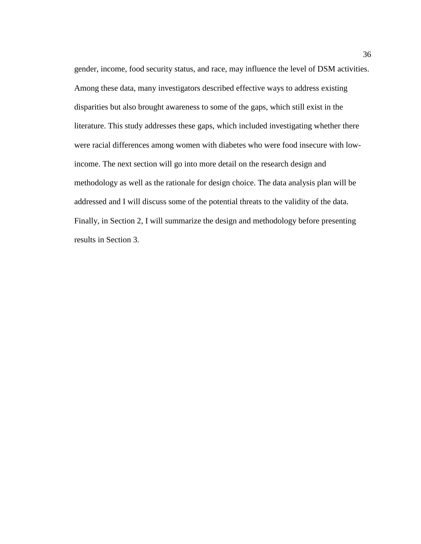gender, income, food security status, and race, may influence the level of DSM activities. Among these data, many investigators described effective ways to address existing disparities but also brought awareness to some of the gaps, which still exist in the literature. This study addresses these gaps, which included investigating whether there were racial differences among women with diabetes who were food insecure with lowincome. The next section will go into more detail on the research design and methodology as well as the rationale for design choice. The data analysis plan will be addressed and I will discuss some of the potential threats to the validity of the data. Finally, in Section 2, I will summarize the design and methodology before presenting results in Section 3.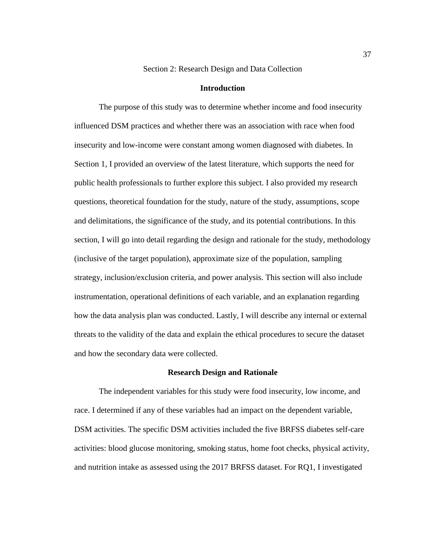#### Section 2: Research Design and Data Collection

#### **Introduction**

The purpose of this study was to determine whether income and food insecurity influenced DSM practices and whether there was an association with race when food insecurity and low-income were constant among women diagnosed with diabetes. In Section 1, I provided an overview of the latest literature, which supports the need for public health professionals to further explore this subject. I also provided my research questions, theoretical foundation for the study, nature of the study, assumptions, scope and delimitations, the significance of the study, and its potential contributions. In this section, I will go into detail regarding the design and rationale for the study, methodology (inclusive of the target population), approximate size of the population, sampling strategy, inclusion/exclusion criteria, and power analysis. This section will also include instrumentation, operational definitions of each variable, and an explanation regarding how the data analysis plan was conducted. Lastly, I will describe any internal or external threats to the validity of the data and explain the ethical procedures to secure the dataset and how the secondary data were collected.

# **Research Design and Rationale**

The independent variables for this study were food insecurity, low income, and race. I determined if any of these variables had an impact on the dependent variable, DSM activities. The specific DSM activities included the five BRFSS diabetes self-care activities: blood glucose monitoring, smoking status, home foot checks, physical activity, and nutrition intake as assessed using the 2017 BRFSS dataset. For RQ1, I investigated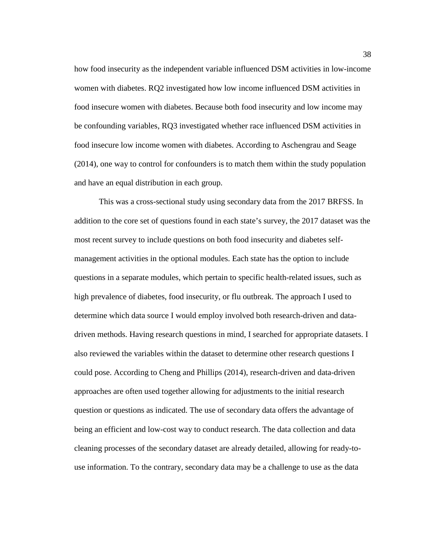how food insecurity as the independent variable influenced DSM activities in low-income women with diabetes. RQ2 investigated how low income influenced DSM activities in food insecure women with diabetes. Because both food insecurity and low income may be confounding variables, RQ3 investigated whether race influenced DSM activities in food insecure low income women with diabetes. According to Aschengrau and Seage (2014), one way to control for confounders is to match them within the study population and have an equal distribution in each group.

This was a cross-sectional study using secondary data from the 2017 BRFSS. In addition to the core set of questions found in each state's survey, the 2017 dataset was the most recent survey to include questions on both food insecurity and diabetes selfmanagement activities in the optional modules. Each state has the option to include questions in a separate modules, which pertain to specific health-related issues, such as high prevalence of diabetes, food insecurity, or flu outbreak. The approach I used to determine which data source I would employ involved both research-driven and datadriven methods. Having research questions in mind, I searched for appropriate datasets. I also reviewed the variables within the dataset to determine other research questions I could pose. According to Cheng and Phillips (2014), research-driven and data-driven approaches are often used together allowing for adjustments to the initial research question or questions as indicated. The use of secondary data offers the advantage of being an efficient and low-cost way to conduct research. The data collection and data cleaning processes of the secondary dataset are already detailed, allowing for ready-touse information. To the contrary, secondary data may be a challenge to use as the data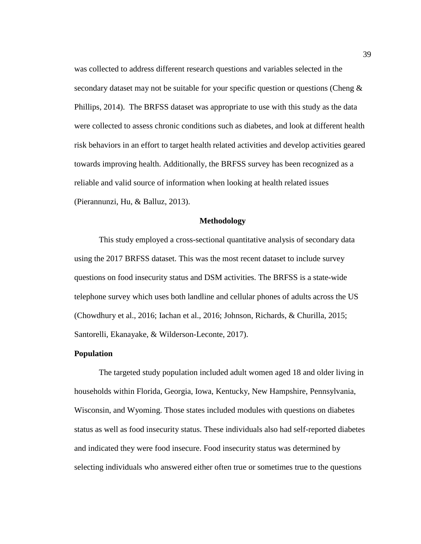was collected to address different research questions and variables selected in the secondary dataset may not be suitable for your specific question or questions (Cheng  $\&$ Phillips, 2014). The BRFSS dataset was appropriate to use with this study as the data were collected to assess chronic conditions such as diabetes, and look at different health risk behaviors in an effort to target health related activities and develop activities geared towards improving health. Additionally, the BRFSS survey has been recognized as a reliable and valid source of information when looking at health related issues (Pierannunzi, Hu, & Balluz, 2013).

#### **Methodology**

This study employed a cross-sectional quantitative analysis of secondary data using the 2017 BRFSS dataset. This was the most recent dataset to include survey questions on food insecurity status and DSM activities. The BRFSS is a state-wide telephone survey which uses both landline and cellular phones of adults across the US (Chowdhury et al., 2016; Iachan et al., 2016; Johnson, Richards, & Churilla, 2015; Santorelli, Ekanayake, & Wilderson-Leconte, 2017).

# **Population**

The targeted study population included adult women aged 18 and older living in households within Florida, Georgia, Iowa, Kentucky, New Hampshire, Pennsylvania, Wisconsin, and Wyoming. Those states included modules with questions on diabetes status as well as food insecurity status. These individuals also had self-reported diabetes and indicated they were food insecure. Food insecurity status was determined by selecting individuals who answered either often true or sometimes true to the questions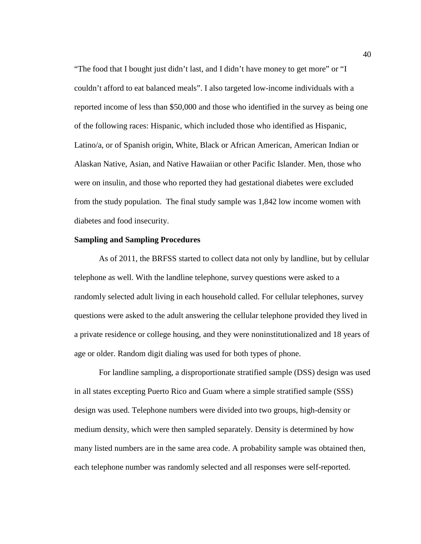"The food that I bought just didn't last, and I didn't have money to get more" or "I couldn't afford to eat balanced meals". I also targeted low-income individuals with a reported income of less than \$50,000 and those who identified in the survey as being one of the following races: Hispanic, which included those who identified as Hispanic, Latino/a, or of Spanish origin, White, Black or African American, American Indian or Alaskan Native, Asian, and Native Hawaiian or other Pacific Islander. Men, those who were on insulin, and those who reported they had gestational diabetes were excluded from the study population. The final study sample was 1,842 low income women with diabetes and food insecurity.

# **Sampling and Sampling Procedures**

As of 2011, the BRFSS started to collect data not only by landline, but by cellular telephone as well. With the landline telephone, survey questions were asked to a randomly selected adult living in each household called. For cellular telephones, survey questions were asked to the adult answering the cellular telephone provided they lived in a private residence or college housing, and they were noninstitutionalized and 18 years of age or older. Random digit dialing was used for both types of phone.

For landline sampling, a disproportionate stratified sample (DSS) design was used in all states excepting Puerto Rico and Guam where a simple stratified sample (SSS) design was used. Telephone numbers were divided into two groups, high-density or medium density, which were then sampled separately. Density is determined by how many listed numbers are in the same area code. A probability sample was obtained then, each telephone number was randomly selected and all responses were self-reported.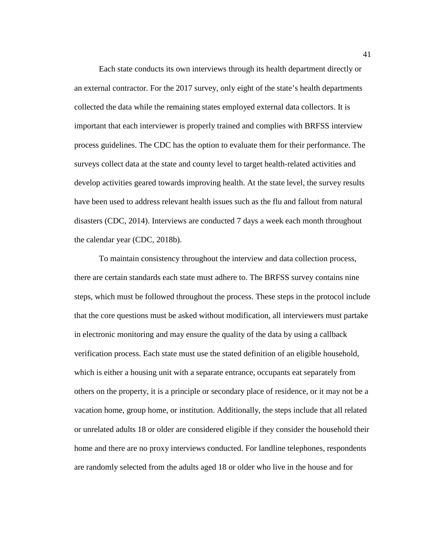Each state conducts its own interviews through its health department directly or an external contractor. For the 2017 survey, only eight of the state's health departments collected the data while the remaining states employed external data collectors. It is important that each interviewer is properly trained and complies with BRFSS interview process guidelines. The CDC has the option to evaluate them for their performance. The surveys collect data at the state and county level to target health-related activities and develop activities geared towards improving health. At the state level, the survey results have been used to address relevant health issues such as the flu and fallout from natural disasters (CDC, 2014). Interviews are conducted 7 days a week each month throughout the calendar year (CDC, 2018b).

To maintain consistency throughout the interview and data collection process, there are certain standards each state must adhere to. The BRFSS survey contains nine steps, which must be followed throughout the process. These steps in the protocol include that the core questions must be asked without modification, all interviewers must partake in electronic monitoring and may ensure the quality of the data by using a callback verification process. Each state must use the stated definition of an eligible household, which is either a housing unit with a separate entrance, occupants eat separately from others on the property, it is a principle or secondary place of residence, or it may not be a vacation home, group home, or institution. Additionally, the steps include that all related or unrelated adults 18 or older are considered eligible if they consider the household their home and there are no proxy interviews conducted. For landline telephones, respondents are randomly selected from the adults aged 18 or older who live in the house and for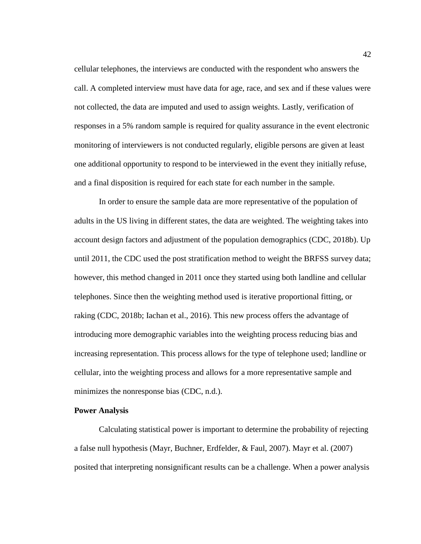cellular telephones, the interviews are conducted with the respondent who answers the call. A completed interview must have data for age, race, and sex and if these values were not collected, the data are imputed and used to assign weights. Lastly, verification of responses in a 5% random sample is required for quality assurance in the event electronic monitoring of interviewers is not conducted regularly, eligible persons are given at least one additional opportunity to respond to be interviewed in the event they initially refuse, and a final disposition is required for each state for each number in the sample.

In order to ensure the sample data are more representative of the population of adults in the US living in different states, the data are weighted. The weighting takes into account design factors and adjustment of the population demographics (CDC, 2018b). Up until 2011, the CDC used the post stratification method to weight the BRFSS survey data; however, this method changed in 2011 once they started using both landline and cellular telephones. Since then the weighting method used is iterative proportional fitting, or raking (CDC, 2018b; Iachan et al., 2016). This new process offers the advantage of introducing more demographic variables into the weighting process reducing bias and increasing representation. This process allows for the type of telephone used; landline or cellular, into the weighting process and allows for a more representative sample and minimizes the nonresponse bias (CDC, n.d.).

# **Power Analysis**

Calculating statistical power is important to determine the probability of rejecting a false null hypothesis (Mayr, Buchner, Erdfelder, & Faul, 2007). Mayr et al. (2007) posited that interpreting nonsignificant results can be a challenge. When a power analysis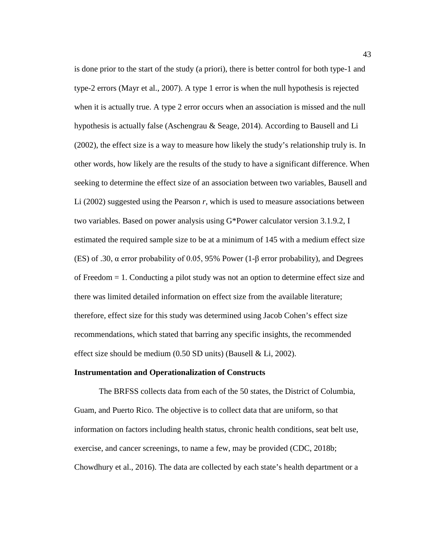is done prior to the start of the study (a priori), there is better control for both type-1 and type-2 errors (Mayr et al., 2007). A type 1 error is when the null hypothesis is rejected when it is actually true. A type 2 error occurs when an association is missed and the null hypothesis is actually false (Aschengrau & Seage, 2014). According to Bausell and Li (2002), the effect size is a way to measure how likely the study's relationship truly is. In other words, how likely are the results of the study to have a significant difference. When seeking to determine the effect size of an association between two variables, Bausell and Li (2002) suggested using the Pearson *r*, which is used to measure associations between two variables. Based on power analysis using G\*Power calculator version 3.1.9.2, I estimated the required sample size to be at a minimum of 145 with a medium effect size (ES) of .30, α error probability of 0.05, 95% Power (1-β error probability), and Degrees of Freedom = 1. Conducting a pilot study was not an option to determine effect size and there was limited detailed information on effect size from the available literature; therefore, effect size for this study was determined using Jacob Cohen's effect size recommendations, which stated that barring any specific insights, the recommended effect size should be medium  $(0.50 S<sub>D</sub>)$  units) (Bausell & Li, 2002).

#### **Instrumentation and Operationalization of Constructs**

The BRFSS collects data from each of the 50 states, the District of Columbia, Guam, and Puerto Rico. The objective is to collect data that are uniform, so that information on factors including health status, chronic health conditions, seat belt use, exercise, and cancer screenings, to name a few, may be provided (CDC, 2018b; Chowdhury et al., 2016). The data are collected by each state's health department or a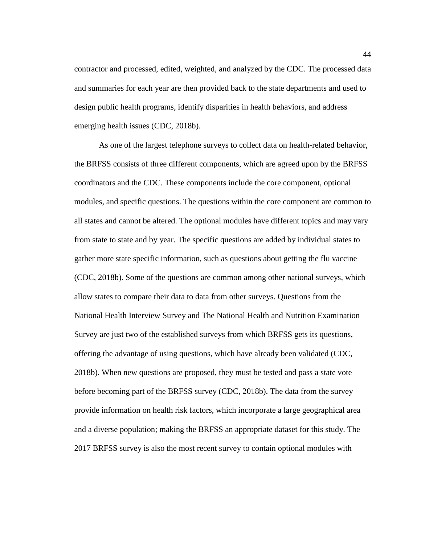contractor and processed, edited, weighted, and analyzed by the CDC. The processed data and summaries for each year are then provided back to the state departments and used to design public health programs, identify disparities in health behaviors, and address emerging health issues (CDC, 2018b).

As one of the largest telephone surveys to collect data on health-related behavior, the BRFSS consists of three different components, which are agreed upon by the BRFSS coordinators and the CDC. These components include the core component, optional modules, and specific questions. The questions within the core component are common to all states and cannot be altered. The optional modules have different topics and may vary from state to state and by year. The specific questions are added by individual states to gather more state specific information, such as questions about getting the flu vaccine (CDC, 2018b). Some of the questions are common among other national surveys, which allow states to compare their data to data from other surveys. Questions from the National Health Interview Survey and The National Health and Nutrition Examination Survey are just two of the established surveys from which BRFSS gets its questions, offering the advantage of using questions, which have already been validated (CDC, 2018b). When new questions are proposed, they must be tested and pass a state vote before becoming part of the BRFSS survey (CDC, 2018b). The data from the survey provide information on health risk factors, which incorporate a large geographical area and a diverse population; making the BRFSS an appropriate dataset for this study. The 2017 BRFSS survey is also the most recent survey to contain optional modules with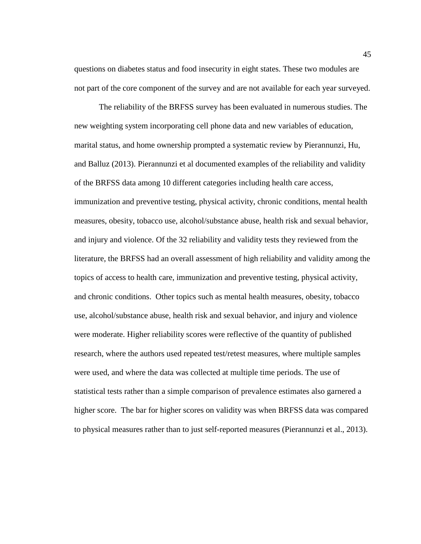questions on diabetes status and food insecurity in eight states. These two modules are not part of the core component of the survey and are not available for each year surveyed.

The reliability of the BRFSS survey has been evaluated in numerous studies. The new weighting system incorporating cell phone data and new variables of education, marital status, and home ownership prompted a systematic review by Pierannunzi, Hu, and Balluz (2013). Pierannunzi et al documented examples of the reliability and validity of the BRFSS data among 10 different categories including health care access, immunization and preventive testing, physical activity, chronic conditions, mental health measures, obesity, tobacco use, alcohol/substance abuse, health risk and sexual behavior, and injury and violence. Of the 32 reliability and validity tests they reviewed from the literature, the BRFSS had an overall assessment of high reliability and validity among the topics of access to health care, immunization and preventive testing, physical activity, and chronic conditions. Other topics such as mental health measures, obesity, tobacco use, alcohol/substance abuse, health risk and sexual behavior, and injury and violence were moderate. Higher reliability scores were reflective of the quantity of published research, where the authors used repeated test/retest measures, where multiple samples were used, and where the data was collected at multiple time periods. The use of statistical tests rather than a simple comparison of prevalence estimates also garnered a higher score. The bar for higher scores on validity was when BRFSS data was compared to physical measures rather than to just self-reported measures (Pierannunzi et al., 2013).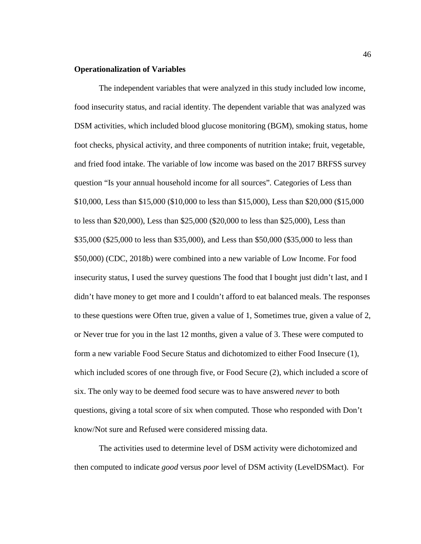# **Operationalization of Variables**

The independent variables that were analyzed in this study included low income, food insecurity status, and racial identity. The dependent variable that was analyzed was DSM activities, which included blood glucose monitoring (BGM), smoking status, home foot checks, physical activity, and three components of nutrition intake; fruit, vegetable, and fried food intake. The variable of low income was based on the 2017 BRFSS survey question "Is your annual household income for all sources"*.* Categories of Less than \$10,000, Less than \$15,000 (\$10,000 to less than \$15,000), Less than \$20,000 (\$15,000 to less than \$20,000), Less than \$25,000 (\$20,000 to less than \$25,000), Less than \$35,000 (\$25,000 to less than \$35,000), and Less than \$50,000 (\$35,000 to less than \$50,000) (CDC, 2018b) were combined into a new variable of Low Income. For food insecurity status, I used the survey questions The food that I bought just didn't last, and I didn't have money to get more and I couldn't afford to eat balanced meals. The responses to these questions were Often true, given a value of 1, Sometimes true, given a value of 2, or Never true for you in the last 12 months, given a value of 3. These were computed to form a new variable Food Secure Status and dichotomized to either Food Insecure (1), which included scores of one through five, or Food Secure (2), which included a score of six. The only way to be deemed food secure was to have answered *never* to both questions, giving a total score of six when computed*.* Those who responded with Don't know/Not sure and Refused were considered missing data.

The activities used to determine level of DSM activity were dichotomized and then computed to indicate *good* versus *poor* level of DSM activity (LevelDSMact). For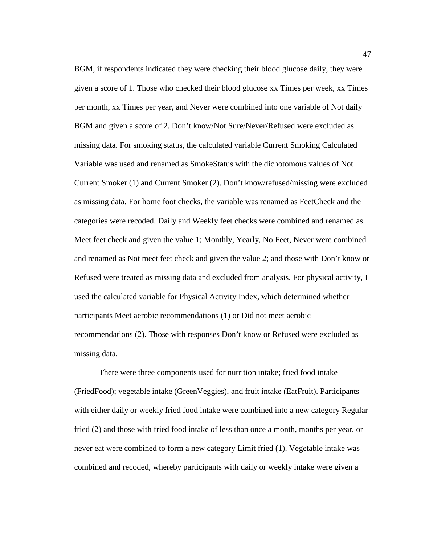BGM, if respondents indicated they were checking their blood glucose daily, they were given a score of 1. Those who checked their blood glucose xx Times per week, xx Times per month, xx Times per year, and Never were combined into one variable of Not daily BGM and given a score of 2. Don't know/Not Sure/Never/Refused were excluded as missing data. For smoking status, the calculated variable Current Smoking Calculated Variable was used and renamed as SmokeStatus with the dichotomous values of Not Current Smoker (1) and Current Smoker (2). Don't know/refused/missing were excluded as missing data. For home foot checks, the variable was renamed as FeetCheck and the categories were recoded. Daily and Weekly feet checks were combined and renamed as Meet feet check and given the value 1; Monthly, Yearly, No Feet, Never were combined and renamed as Not meet feet check and given the value 2; and those with Don't know or Refused were treated as missing data and excluded from analysis. For physical activity, I used the calculated variable for Physical Activity Index, which determined whether participants Meet aerobic recommendations (1) or Did not meet aerobic recommendations (2). Those with responses Don't know or Refused were excluded as missing data.

There were three components used for nutrition intake; fried food intake (FriedFood); vegetable intake (GreenVeggies), and fruit intake (EatFruit). Participants with either daily or weekly fried food intake were combined into a new category Regular fried (2) and those with fried food intake of less than once a month, months per year, or never eat were combined to form a new category Limit fried (1). Vegetable intake was combined and recoded, whereby participants with daily or weekly intake were given a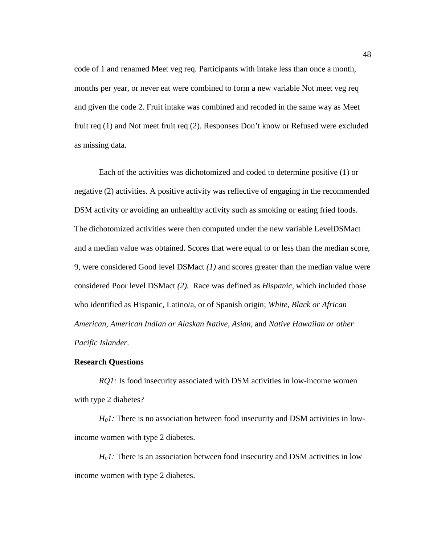code of 1 and renamed Meet veg req*.* Participants with intake less than once a month, months per year, or never eat were combined to form a new variable Not meet veg req and given the code 2. Fruit intake was combined and recoded in the same way as Meet fruit req (1) and Not meet fruit req (2). Responses Don't know or Refused were excluded as missing data.

Each of the activities was dichotomized and coded to determine positive (1) or negative (2) activities. A positive activity was reflective of engaging in the recommended DSM activity or avoiding an unhealthy activity such as smoking or eating fried foods. The dichotomized activities were then computed under the new variable LevelDSMact and a median value was obtained. Scores that were equal to or less than the median score, 9, were considered Good level DSMact *(1)* and scores greater than the median value were considered Poor level DSMact *(2).* Race was defined as *Hispanic*, which included those who identified as Hispanic, Latino/a, or of Spanish origin; *White, Black or African American, American Indian or Alaskan Native, Asian,* and *Native Hawaiian or other Pacific Islander*.

# **Research Questions**

*RQ1:* Is food insecurity associated with DSM activities in low-income women with type 2 diabetes?

*H<sub>0</sub>1*: There is no association between food insecurity and DSM activities in lowincome women with type 2 diabetes.

*H<sub>a</sub>1*: There is an association between food insecurity and DSM activities in low income women with type 2 diabetes.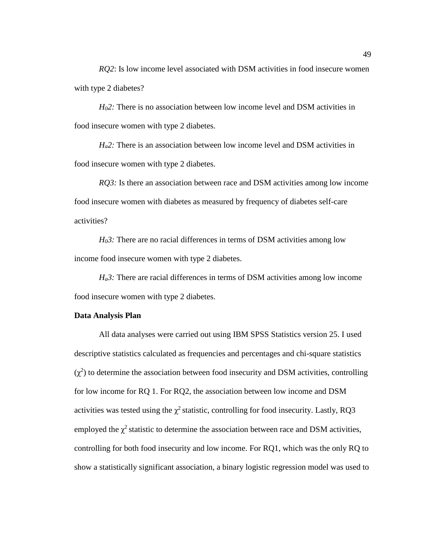*RQ2*: Is low income level associated with DSM activities in food insecure women with type 2 diabetes?

*H02:* There is no association between low income level and DSM activities in food insecure women with type 2 diabetes.

*H<sub>a</sub>2*: There is an association between low income level and DSM activities in food insecure women with type 2 diabetes.

*RO3:* Is there an association between race and DSM activities among low income food insecure women with diabetes as measured by frequency of diabetes self-care activities?

*H<sub>0</sub>3*: There are no racial differences in terms of DSM activities among low income food insecure women with type 2 diabetes.

*H<sub>a</sub>3*: There are racial differences in terms of DSM activities among low income food insecure women with type 2 diabetes.

# **Data Analysis Plan**

All data analyses were carried out using IBM SPSS Statistics version 25. I used descriptive statistics calculated as frequencies and percentages and chi-square statistics  $(\chi^2)$  to determine the association between food insecurity and DSM activities, controlling for low income for RQ 1. For RQ2, the association between low income and DSM activities was tested using the  $\chi^2$  statistic, controlling for food insecurity. Lastly, RQ3 employed the  $\chi^2$  statistic to determine the association between race and DSM activities, controlling for both food insecurity and low income. For RQ1, which was the only RQ to show a statistically significant association, a binary logistic regression model was used to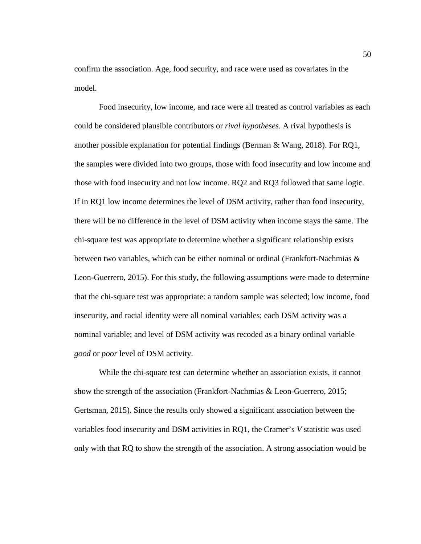confirm the association. Age, food security, and race were used as covariates in the model.

Food insecurity, low income, and race were all treated as control variables as each could be considered plausible contributors or *rival hypotheses*. A rival hypothesis is another possible explanation for potential findings (Berman & Wang, 2018). For RQ1, the samples were divided into two groups, those with food insecurity and low income and those with food insecurity and not low income. RQ2 and RQ3 followed that same logic. If in RQ1 low income determines the level of DSM activity, rather than food insecurity, there will be no difference in the level of DSM activity when income stays the same. The chi-square test was appropriate to determine whether a significant relationship exists between two variables, which can be either nominal or ordinal (Frankfort-Nachmias & Leon-Guerrero, 2015). For this study, the following assumptions were made to determine that the chi-square test was appropriate: a random sample was selected; low income, food insecurity, and racial identity were all nominal variables; each DSM activity was a nominal variable; and level of DSM activity was recoded as a binary ordinal variable *good* or *poor* level of DSM activity.

While the chi-square test can determine whether an association exists, it cannot show the strength of the association (Frankfort-Nachmias & Leon-Guerrero, 2015; Gertsman, 2015). Since the results only showed a significant association between the variables food insecurity and DSM activities in RQ1, the Cramer's *V* statistic was used only with that RQ to show the strength of the association. A strong association would be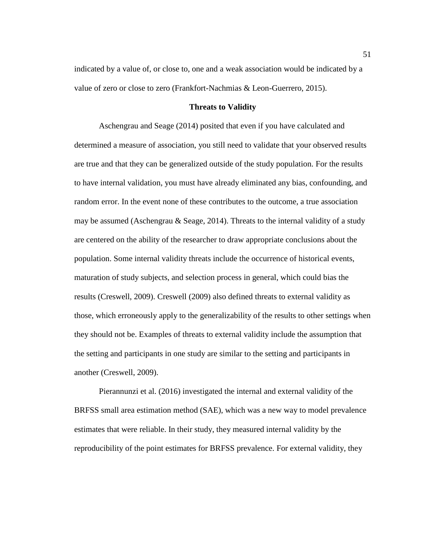indicated by a value of, or close to, one and a weak association would be indicated by a value of zero or close to zero (Frankfort-Nachmias & Leon-Guerrero, 2015).

## **Threats to Validity**

Aschengrau and Seage (2014) posited that even if you have calculated and determined a measure of association, you still need to validate that your observed results are true and that they can be generalized outside of the study population. For the results to have internal validation, you must have already eliminated any bias, confounding, and random error. In the event none of these contributes to the outcome, a true association may be assumed (Aschengrau & Seage, 2014). Threats to the internal validity of a study are centered on the ability of the researcher to draw appropriate conclusions about the population. Some internal validity threats include the occurrence of historical events, maturation of study subjects, and selection process in general, which could bias the results (Creswell, 2009). Creswell (2009) also defined threats to external validity as those, which erroneously apply to the generalizability of the results to other settings when they should not be. Examples of threats to external validity include the assumption that the setting and participants in one study are similar to the setting and participants in another (Creswell, 2009).

Pierannunzi et al. (2016) investigated the internal and external validity of the BRFSS small area estimation method (SAE), which was a new way to model prevalence estimates that were reliable. In their study, they measured internal validity by the reproducibility of the point estimates for BRFSS prevalence. For external validity, they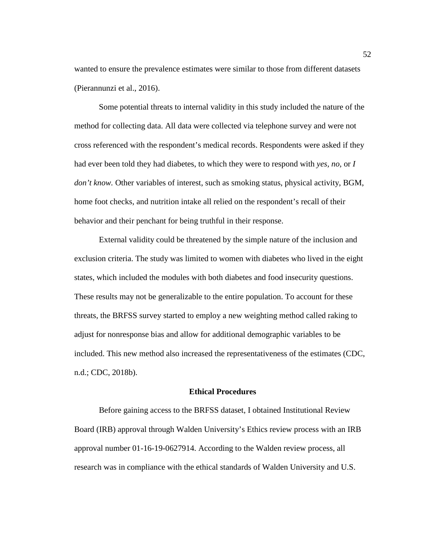wanted to ensure the prevalence estimates were similar to those from different datasets (Pierannunzi et al., 2016).

Some potential threats to internal validity in this study included the nature of the method for collecting data. All data were collected via telephone survey and were not cross referenced with the respondent's medical records. Respondents were asked if they had ever been told they had diabetes, to which they were to respond with *yes, no,* or *I don't know.* Other variables of interest, such as smoking status, physical activity, BGM, home foot checks, and nutrition intake all relied on the respondent's recall of their behavior and their penchant for being truthful in their response.

External validity could be threatened by the simple nature of the inclusion and exclusion criteria. The study was limited to women with diabetes who lived in the eight states, which included the modules with both diabetes and food insecurity questions. These results may not be generalizable to the entire population. To account for these threats, the BRFSS survey started to employ a new weighting method called raking to adjust for nonresponse bias and allow for additional demographic variables to be included. This new method also increased the representativeness of the estimates (CDC, n.d.; CDC, 2018b).

# **Ethical Procedures**

Before gaining access to the BRFSS dataset, I obtained Institutional Review Board (IRB) approval through Walden University's Ethics review process with an IRB approval number 01-16-19-0627914. According to the Walden review process, all research was in compliance with the ethical standards of Walden University and U.S.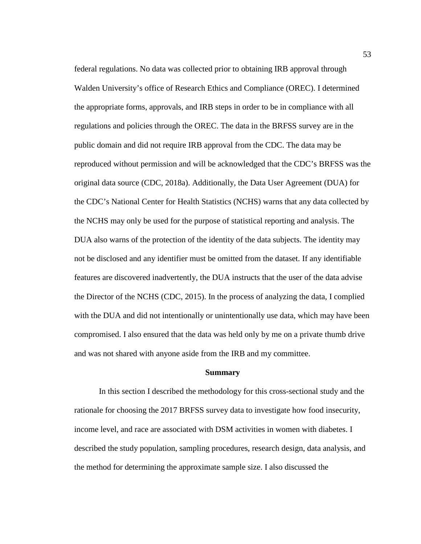federal regulations. No data was collected prior to obtaining IRB approval through Walden University's office of Research Ethics and Compliance (OREC). I determined the appropriate forms, approvals, and IRB steps in order to be in compliance with all regulations and policies through the OREC. The data in the BRFSS survey are in the public domain and did not require IRB approval from the CDC. The data may be reproduced without permission and will be acknowledged that the CDC's BRFSS was the original data source (CDC, 2018a). Additionally, the Data User Agreement (DUA) for the CDC's National Center for Health Statistics (NCHS) warns that any data collected by the NCHS may only be used for the purpose of statistical reporting and analysis. The DUA also warns of the protection of the identity of the data subjects. The identity may not be disclosed and any identifier must be omitted from the dataset. If any identifiable features are discovered inadvertently, the DUA instructs that the user of the data advise the Director of the NCHS (CDC, 2015). In the process of analyzing the data, I complied with the DUA and did not intentionally or unintentionally use data, which may have been compromised. I also ensured that the data was held only by me on a private thumb drive and was not shared with anyone aside from the IRB and my committee.

#### **Summary**

In this section I described the methodology for this cross-sectional study and the rationale for choosing the 2017 BRFSS survey data to investigate how food insecurity, income level, and race are associated with DSM activities in women with diabetes. I described the study population, sampling procedures, research design, data analysis, and the method for determining the approximate sample size. I also discussed the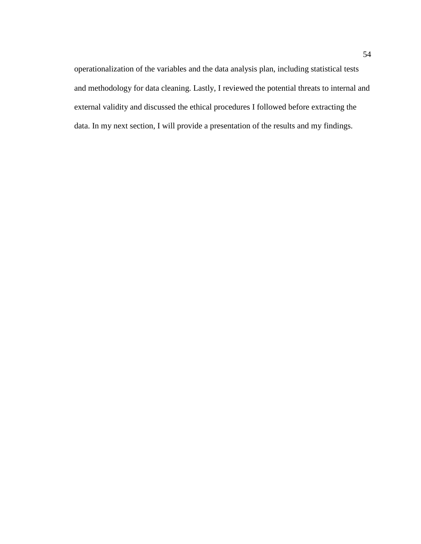operationalization of the variables and the data analysis plan, including statistical tests and methodology for data cleaning. Lastly, I reviewed the potential threats to internal and external validity and discussed the ethical procedures I followed before extracting the data. In my next section, I will provide a presentation of the results and my findings.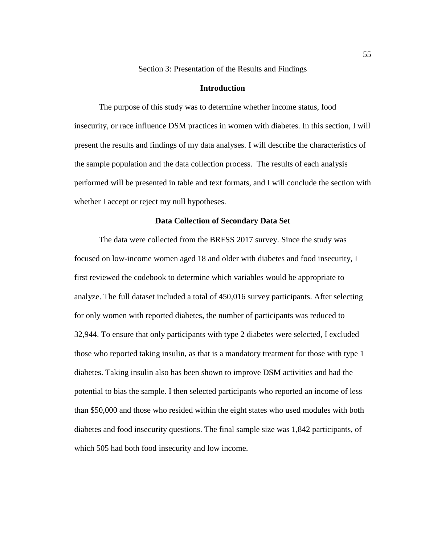Section 3: Presentation of the Results and Findings

# **Introduction**

The purpose of this study was to determine whether income status, food insecurity, or race influence DSM practices in women with diabetes. In this section, I will present the results and findings of my data analyses. I will describe the characteristics of the sample population and the data collection process. The results of each analysis performed will be presented in table and text formats, and I will conclude the section with whether I accept or reject my null hypotheses.

## **Data Collection of Secondary Data Set**

The data were collected from the BRFSS 2017 survey. Since the study was focused on low-income women aged 18 and older with diabetes and food insecurity, I first reviewed the codebook to determine which variables would be appropriate to analyze. The full dataset included a total of 450,016 survey participants. After selecting for only women with reported diabetes, the number of participants was reduced to 32,944. To ensure that only participants with type 2 diabetes were selected, I excluded those who reported taking insulin, as that is a mandatory treatment for those with type 1 diabetes. Taking insulin also has been shown to improve DSM activities and had the potential to bias the sample. I then selected participants who reported an income of less than \$50,000 and those who resided within the eight states who used modules with both diabetes and food insecurity questions. The final sample size was 1,842 participants, of which 505 had both food insecurity and low income.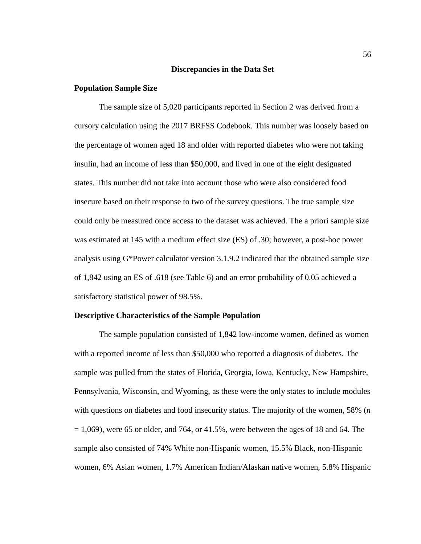### **Discrepancies in the Data Set**

### **Population Sample Size**

The sample size of 5,020 participants reported in Section 2 was derived from a cursory calculation using the 2017 BRFSS Codebook. This number was loosely based on the percentage of women aged 18 and older with reported diabetes who were not taking insulin, had an income of less than \$50,000, and lived in one of the eight designated states. This number did not take into account those who were also considered food insecure based on their response to two of the survey questions. The true sample size could only be measured once access to the dataset was achieved. The a priori sample size was estimated at 145 with a medium effect size (ES) of .30; however, a post-hoc power analysis using G\*Power calculator version 3.1.9.2 indicated that the obtained sample size of 1,842 using an ES of .618 (see Table 6) and an error probability of 0.05 achieved a satisfactory statistical power of 98.5%.

#### **Descriptive Characteristics of the Sample Population**

The sample population consisted of 1,842 low-income women, defined as women with a reported income of less than \$50,000 who reported a diagnosis of diabetes. The sample was pulled from the states of Florida, Georgia, Iowa, Kentucky, New Hampshire, Pennsylvania, Wisconsin, and Wyoming, as these were the only states to include modules with questions on diabetes and food insecurity status. The majority of the women, 58% (*n*  $= 1,069$ , were 65 or older, and 764, or 41.5%, were between the ages of 18 and 64. The sample also consisted of 74% White non-Hispanic women, 15.5% Black, non-Hispanic women, 6% Asian women, 1.7% American Indian/Alaskan native women, 5.8% Hispanic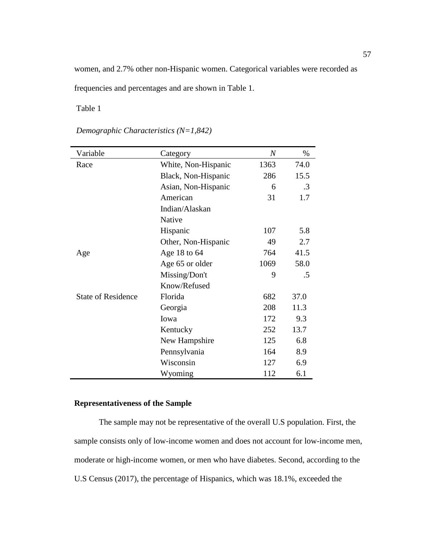women, and 2.7% other non-Hispanic women. Categorical variables were recorded as frequencies and percentages and are shown in Table 1.

Table 1

| Variable                  | Category            | $\boldsymbol{N}$ | $\%$      |
|---------------------------|---------------------|------------------|-----------|
| Race                      | White, Non-Hispanic | 1363             | 74.0      |
|                           | Black, Non-Hispanic | 286              | 15.5      |
|                           | Asian, Non-Hispanic | 6                | $\cdot$ 3 |
|                           | American            | 31               | 1.7       |
|                           | Indian/Alaskan      |                  |           |
|                           | Native              |                  |           |
|                           | Hispanic            | 107              | 5.8       |
|                           | Other, Non-Hispanic | 49               | 2.7       |
| Age                       | Age 18 to 64        | 764              | 41.5      |
|                           | Age 65 or older     | 1069             | 58.0      |
|                           | Missing/Don't       | 9                | .5        |
|                           | Know/Refused        |                  |           |
| <b>State of Residence</b> | Florida             | 682              | 37.0      |
|                           | Georgia             | 208              | 11.3      |
|                           | Iowa                | 172              | 9.3       |
|                           | Kentucky            | 252              | 13.7      |
|                           | New Hampshire       | 125              | 6.8       |
|                           | Pennsylvania        | 164              | 8.9       |
|                           | Wisconsin           | 127              | 6.9       |
|                           | Wyoming             | 112              | 6.1       |

*Demographic Characteristics (N=1,842)*

# **Representativeness of the Sample**

The sample may not be representative of the overall U.S population. First, the sample consists only of low-income women and does not account for low-income men, moderate or high-income women, or men who have diabetes. Second, according to the U.S Census (2017), the percentage of Hispanics, which was 18.1%, exceeded the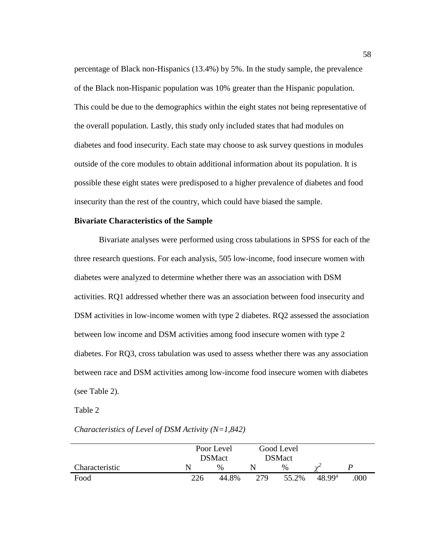percentage of Black non-Hispanics (13.4%) by 5%. In the study sample, the prevalence of the Black non-Hispanic population was 10% greater than the Hispanic population. This could be due to the demographics within the eight states not being representative of the overall population. Lastly, this study only included states that had modules on diabetes and food insecurity. Each state may choose to ask survey questions in modules outside of the core modules to obtain additional information about its population. It is possible these eight states were predisposed to a higher prevalence of diabetes and food insecurity than the rest of the country, which could have biased the sample.

# **Bivariate Characteristics of the Sample**

Bivariate analyses were performed using cross tabulations in SPSS for each of the three research questions. For each analysis, 505 low-income, food insecure women with diabetes were analyzed to determine whether there was an association with DSM activities. RQ1 addressed whether there was an association between food insecurity and DSM activities in low-income women with type 2 diabetes. RQ2 assessed the association between low income and DSM activities among food insecure women with type 2 diabetes. For RQ3, cross tabulation was used to assess whether there was any association between race and DSM activities among low-income food insecure women with diabetes (see Table 2).

Table 2

|                | Poor Level    |               | Good Level    |       |                    |      |
|----------------|---------------|---------------|---------------|-------|--------------------|------|
|                | <b>DSMact</b> |               | <b>DSMact</b> |       |                    |      |
| Characteristic | N             | $\frac{0}{0}$ |               | $\%$  |                    |      |
| Food           | 226           | 44.8%         | 279           | 55.2% | 48.99 <sup>a</sup> | .000 |

# *Characteristics of Level of DSM Activity (N=1,842)*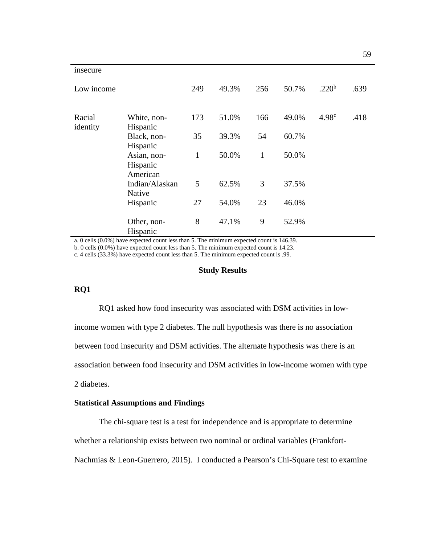| insecure           |                                     |              |       |              |       |                   |      |
|--------------------|-------------------------------------|--------------|-------|--------------|-------|-------------------|------|
| Low income         |                                     | 249          | 49.3% | 256          | 50.7% | .220 <sup>b</sup> | .639 |
| Racial<br>identity | White, non-<br>Hispanic             | 173          | 51.0% | 166          | 49.0% | 4.98 <sup>c</sup> | .418 |
|                    | Black, non-                         | 35           | 39.3% | 54           | 60.7% |                   |      |
|                    | Hispanic                            |              |       |              |       |                   |      |
|                    | Asian, non-<br>Hispanic<br>American | $\mathbf{1}$ | 50.0% | $\mathbf{1}$ | 50.0% |                   |      |
|                    | Indian/Alaskan<br>Native            | 5            | 62.5% | 3            | 37.5% |                   |      |
|                    | Hispanic                            | 27           | 54.0% | 23           | 46.0% |                   |      |
|                    | Other, non-<br>Hispanic             | 8            | 47.1% | 9            | 52.9% |                   |      |

a. 0 cells (0.0%) have expected count less than 5. The minimum expected count is 146.39.

b. 0 cells (0.0%) have expected count less than 5. The minimum expected count is 14.23.

c. 4 cells (33.3%) have expected count less than 5. The minimum expected count is .99.

# **Study Results**

# **RQ1**

RQ1 asked how food insecurity was associated with DSM activities in low-

income women with type 2 diabetes. The null hypothesis was there is no association

between food insecurity and DSM activities. The alternate hypothesis was there is an

association between food insecurity and DSM activities in low-income women with type

2 diabetes.

# **Statistical Assumptions and Findings**

The chi-square test is a test for independence and is appropriate to determine

whether a relationship exists between two nominal or ordinal variables (Frankfort-

Nachmias & Leon-Guerrero, 2015). I conducted a Pearson's Chi-Square test to examine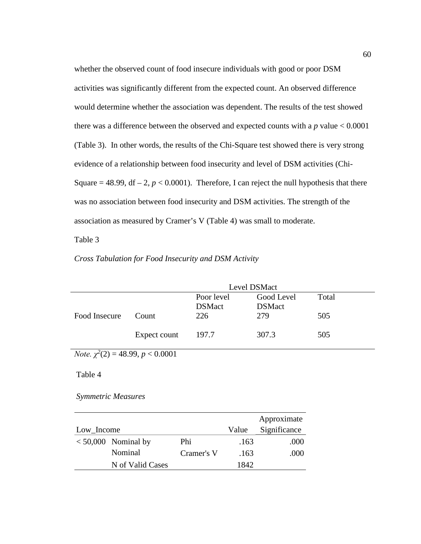whether the observed count of food insecure individuals with good or poor DSM activities was significantly different from the expected count. An observed difference would determine whether the association was dependent. The results of the test showed there was a difference between the observed and expected counts with a *p* value < 0.0001 (Table 3). In other words, the results of the Chi-Square test showed there is very strong evidence of a relationship between food insecurity and level of DSM activities (Chi-Square = 48.99,  $df - 2$ ,  $p < 0.0001$ ). Therefore, I can reject the null hypothesis that there was no association between food insecurity and DSM activities. The strength of the association as measured by Cramer's V (Table 4) was small to moderate.

Table 3

# *Cross Tabulation for Food Insecurity and DSM Activity*

|               | Level DSMact |                             |                             |       |  |  |
|---------------|--------------|-----------------------------|-----------------------------|-------|--|--|
|               |              | Poor level<br><b>DSMact</b> | Good Level<br><b>DSMact</b> | Total |  |  |
| Food Insecure | Count        | 226                         | 279                         | 505   |  |  |
|               | Expect count | 197.7                       | 307.3                       | 505   |  |  |

*Note. χ<sup>2</sup>* (2) = 48.99, *p* < 0.0001

Table 4

*Symmetric Measures*

|            |                       |            |       | Approximate  |
|------------|-----------------------|------------|-------|--------------|
| Low_Income |                       |            | Value | Significance |
|            | $< 50,000$ Nominal by | Phi        | .163  | .000         |
|            | Nominal               | Cramer's V | .163  | .000         |
|            | N of Valid Cases      |            | 1842. |              |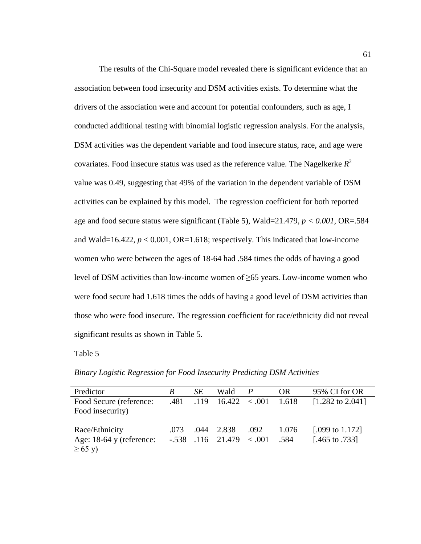The results of the Chi-Square model revealed there is significant evidence that an association between food insecurity and DSM activities exists. To determine what the drivers of the association were and account for potential confounders, such as age, I conducted additional testing with binomial logistic regression analysis. For the analysis, DSM activities was the dependent variable and food insecure status, race, and age were covariates. Food insecure status was used as the reference value. The Nagelkerke  $R^2$ value was 0.49, suggesting that 49% of the variation in the dependent variable of DSM activities can be explained by this model. The regression coefficient for both reported age and food secure status were significant (Table 5), Wald=21.479, *p < 0.001,* OR=.584 and Wald=16.422,  $p < 0.001$ , OR=1.618; respectively. This indicated that low-income women who were between the ages of 18-64 had .584 times the odds of having a good level of DSM activities than low-income women of ≥65 years. Low-income women who were food secure had 1.618 times the odds of having a good level of DSM activities than those who were food insecure. The regression coefficient for race/ethnicity did not reveal significant results as shown in Table 5.

Table 5

*Binary Logistic Regression for Food Insecurity Predicting DSM Activities*

| Predictor                  | B    | SE.  | Wald                           |      | OR.     | 95% CI for OR               |
|----------------------------|------|------|--------------------------------|------|---------|-----------------------------|
| Food Secure (reference:    | .481 | .119 | $16.422 \div 0.001$            |      | - 1.618 | $[1.282 \text{ to } 2.041]$ |
| Food insecurity)           |      |      |                                |      |         |                             |
|                            |      |      |                                |      |         |                             |
| Race/Ethnicity             | .073 | .044 | 2.838                          | .092 | 1.076   | [.099 to $1.172$ ]          |
| Age: $18-64$ y (reference: |      |      | $-.538$ $.116$ $.21.479$ < 001 |      | .584    | [.465 to .733]              |
| $\geq 65$ y)               |      |      |                                |      |         |                             |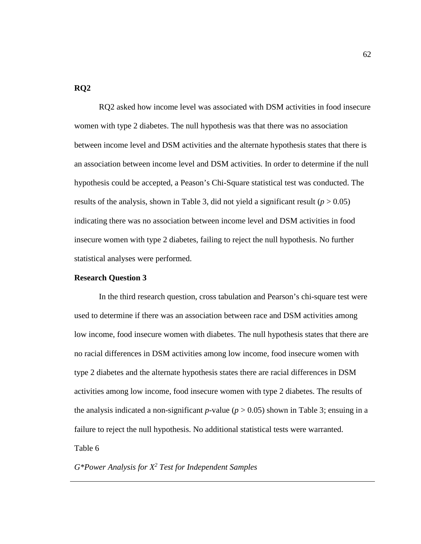# **RQ2**

RQ2 asked how income level was associated with DSM activities in food insecure women with type 2 diabetes. The null hypothesis was that there was no association between income level and DSM activities and the alternate hypothesis states that there is an association between income level and DSM activities. In order to determine if the null hypothesis could be accepted, a Peason's Chi-Square statistical test was conducted. The results of the analysis, shown in Table 3, did not yield a significant result  $(p > 0.05)$ indicating there was no association between income level and DSM activities in food insecure women with type 2 diabetes, failing to reject the null hypothesis. No further statistical analyses were performed.

## **Research Question 3**

In the third research question, cross tabulation and Pearson's chi-square test were used to determine if there was an association between race and DSM activities among low income, food insecure women with diabetes. The null hypothesis states that there are no racial differences in DSM activities among low income, food insecure women with type 2 diabetes and the alternate hypothesis states there are racial differences in DSM activities among low income, food insecure women with type 2 diabetes. The results of the analysis indicated a non-significant  $p$ -value ( $p > 0.05$ ) shown in Table 3; ensuing in a failure to reject the null hypothesis. No additional statistical tests were warranted. Table 6

*G\*Power Analysis for X2 Test for Independent Samples*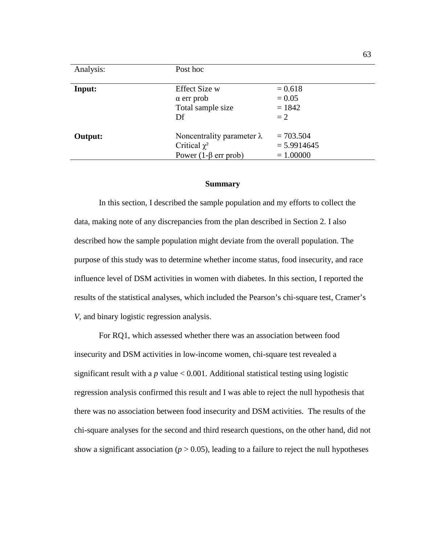| Analysis: | Post hoc                                                                             |                                             |
|-----------|--------------------------------------------------------------------------------------|---------------------------------------------|
| Input:    | <b>Effect Size w</b><br>$\alpha$ err prob<br>Total sample size<br>Df                 | $= 0.618$<br>$= 0.05$<br>$= 1842$<br>$= 2$  |
| Output:   | Noncentrality parameter $\lambda$<br>Critical $\chi^2$<br>Power $(1-\beta$ err prob) | $= 703.504$<br>$= 5.9914645$<br>$= 1.00000$ |

## **Summary**

In this section, I described the sample population and my efforts to collect the data, making note of any discrepancies from the plan described in Section 2. I also described how the sample population might deviate from the overall population. The purpose of this study was to determine whether income status, food insecurity, and race influence level of DSM activities in women with diabetes. In this section, I reported the results of the statistical analyses, which included the Pearson's chi-square test, Cramer's *V*, and binary logistic regression analysis.

For RQ1, which assessed whether there was an association between food insecurity and DSM activities in low-income women, chi-square test revealed a significant result with a  $p$  value  $< 0.001$ . Additional statistical testing using logistic regression analysis confirmed this result and I was able to reject the null hypothesis that there was no association between food insecurity and DSM activities. The results of the chi-square analyses for the second and third research questions, on the other hand, did not show a significant association ( $p > 0.05$ ), leading to a failure to reject the null hypotheses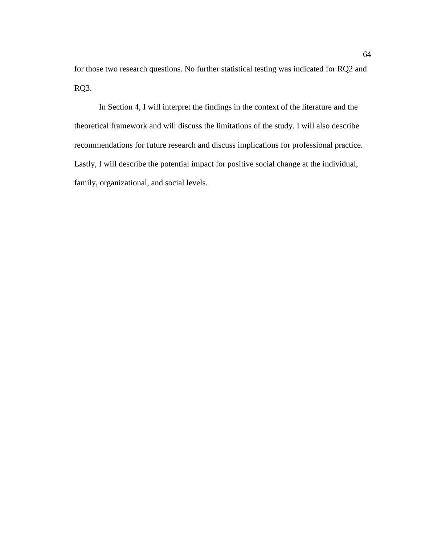for those two research questions. No further statistical testing was indicated for RQ2 and RQ3.

In Section 4, I will interpret the findings in the context of the literature and the theoretical framework and will discuss the limitations of the study. I will also describe recommendations for future research and discuss implications for professional practice. Lastly, I will describe the potential impact for positive social change at the individual, family, organizational, and social levels.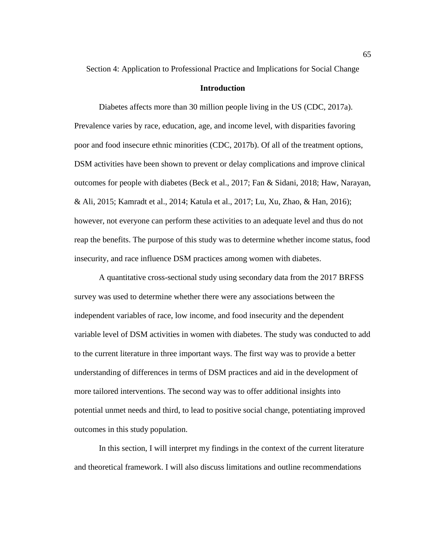Section 4: Application to Professional Practice and Implications for Social Change

## **Introduction**

Diabetes affects more than 30 million people living in the US (CDC, 2017a). Prevalence varies by race, education, age, and income level, with disparities favoring poor and food insecure ethnic minorities (CDC, 2017b). Of all of the treatment options, DSM activities have been shown to prevent or delay complications and improve clinical outcomes for people with diabetes (Beck et al., 2017; Fan & Sidani, 2018; Haw, Narayan, & Ali, 2015; Kamradt et al., 2014; Katula et al., 2017; Lu, Xu, Zhao, & Han, 2016); however, not everyone can perform these activities to an adequate level and thus do not reap the benefits. The purpose of this study was to determine whether income status, food insecurity, and race influence DSM practices among women with diabetes.

A quantitative cross-sectional study using secondary data from the 2017 BRFSS survey was used to determine whether there were any associations between the independent variables of race, low income, and food insecurity and the dependent variable level of DSM activities in women with diabetes. The study was conducted to add to the current literature in three important ways. The first way was to provide a better understanding of differences in terms of DSM practices and aid in the development of more tailored interventions. The second way was to offer additional insights into potential unmet needs and third, to lead to positive social change, potentiating improved outcomes in this study population.

In this section, I will interpret my findings in the context of the current literature and theoretical framework. I will also discuss limitations and outline recommendations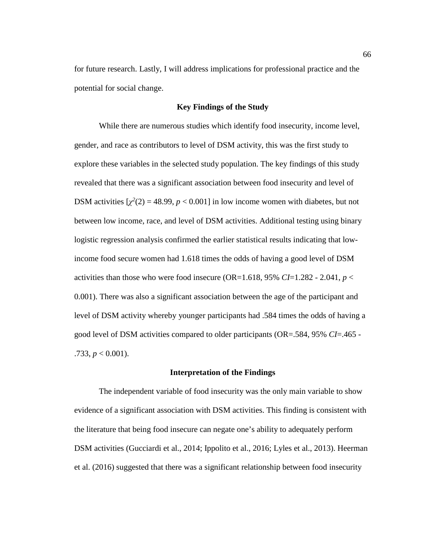for future research. Lastly, I will address implications for professional practice and the potential for social change.

## **Key Findings of the Study**

While there are numerous studies which identify food insecurity, income level, gender, and race as contributors to level of DSM activity, this was the first study to explore these variables in the selected study population. The key findings of this study revealed that there was a significant association between food insecurity and level of DSM activities  $[\chi^2(2) = 48.99, p < 0.001]$  in low income women with diabetes, but not between low income, race, and level of DSM activities. Additional testing using binary logistic regression analysis confirmed the earlier statistical results indicating that lowincome food secure women had 1.618 times the odds of having a good level of DSM activities than those who were food insecure (OR=1.618, 95% *CI*=1.282 - 2.041,  $p <$ 0.001). There was also a significant association between the age of the participant and level of DSM activity whereby younger participants had .584 times the odds of having a good level of DSM activities compared to older participants (OR=.584, 95% *CI*=.465 -  $.733, p < 0.001$ ).

## **Interpretation of the Findings**

The independent variable of food insecurity was the only main variable to show evidence of a significant association with DSM activities. This finding is consistent with the literature that being food insecure can negate one's ability to adequately perform DSM activities (Gucciardi et al., 2014; Ippolito et al., 2016; Lyles et al., 2013). Heerman et al. (2016) suggested that there was a significant relationship between food insecurity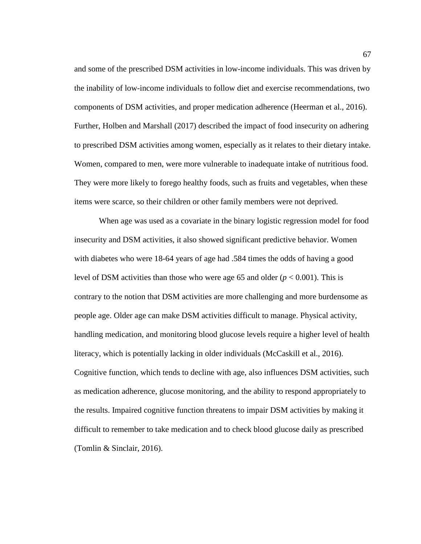and some of the prescribed DSM activities in low-income individuals. This was driven by the inability of low-income individuals to follow diet and exercise recommendations, two components of DSM activities, and proper medication adherence (Heerman et al., 2016). Further, Holben and Marshall (2017) described the impact of food insecurity on adhering to prescribed DSM activities among women, especially as it relates to their dietary intake. Women, compared to men, were more vulnerable to inadequate intake of nutritious food. They were more likely to forego healthy foods, such as fruits and vegetables, when these items were scarce, so their children or other family members were not deprived.

When age was used as a covariate in the binary logistic regression model for food insecurity and DSM activities, it also showed significant predictive behavior. Women with diabetes who were 18-64 years of age had .584 times the odds of having a good level of DSM activities than those who were age 65 and older (*p* < 0.001). This is contrary to the notion that DSM activities are more challenging and more burdensome as people age. Older age can make DSM activities difficult to manage. Physical activity, handling medication, and monitoring blood glucose levels require a higher level of health literacy, which is potentially lacking in older individuals (McCaskill et al., 2016). Cognitive function, which tends to decline with age, also influences DSM activities, such as medication adherence, glucose monitoring, and the ability to respond appropriately to the results. Impaired cognitive function threatens to impair DSM activities by making it difficult to remember to take medication and to check blood glucose daily as prescribed (Tomlin & Sinclair, 2016).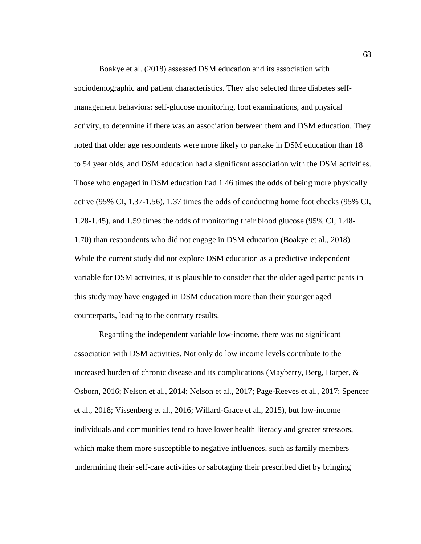Boakye et al. (2018) assessed DSM education and its association with sociodemographic and patient characteristics. They also selected three diabetes selfmanagement behaviors: self-glucose monitoring, foot examinations, and physical activity, to determine if there was an association between them and DSM education. They noted that older age respondents were more likely to partake in DSM education than 18 to 54 year olds, and DSM education had a significant association with the DSM activities. Those who engaged in DSM education had 1.46 times the odds of being more physically active (95% CI, 1.37-1.56), 1.37 times the odds of conducting home foot checks (95% CI, 1.28-1.45), and 1.59 times the odds of monitoring their blood glucose (95% CI, 1.48- 1.70) than respondents who did not engage in DSM education (Boakye et al., 2018). While the current study did not explore DSM education as a predictive independent variable for DSM activities, it is plausible to consider that the older aged participants in this study may have engaged in DSM education more than their younger aged counterparts, leading to the contrary results.

Regarding the independent variable low-income, there was no significant association with DSM activities. Not only do low income levels contribute to the increased burden of chronic disease and its complications (Mayberry, Berg, Harper, & Osborn, 2016; Nelson et al., 2014; Nelson et al., 2017; Page-Reeves et al., 2017; Spencer et al., 2018; Vissenberg et al., 2016; Willard-Grace et al., 2015), but low-income individuals and communities tend to have lower health literacy and greater stressors, which make them more susceptible to negative influences, such as family members undermining their self-care activities or sabotaging their prescribed diet by bringing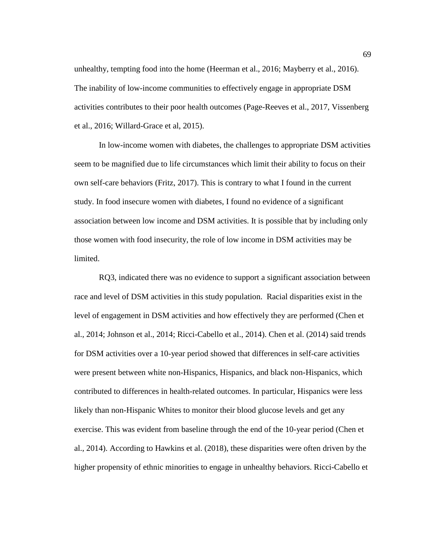unhealthy, tempting food into the home (Heerman et al., 2016; Mayberry et al., 2016). The inability of low-income communities to effectively engage in appropriate DSM activities contributes to their poor health outcomes (Page-Reeves et al., 2017, Vissenberg et al., 2016; Willard-Grace et al, 2015).

In low-income women with diabetes, the challenges to appropriate DSM activities seem to be magnified due to life circumstances which limit their ability to focus on their own self-care behaviors (Fritz, 2017). This is contrary to what I found in the current study. In food insecure women with diabetes, I found no evidence of a significant association between low income and DSM activities. It is possible that by including only those women with food insecurity, the role of low income in DSM activities may be limited.

RQ3, indicated there was no evidence to support a significant association between race and level of DSM activities in this study population. Racial disparities exist in the level of engagement in DSM activities and how effectively they are performed (Chen et al., 2014; Johnson et al., 2014; Ricci-Cabello et al., 2014). Chen et al. (2014) said trends for DSM activities over a 10-year period showed that differences in self-care activities were present between white non-Hispanics, Hispanics, and black non-Hispanics, which contributed to differences in health-related outcomes. In particular, Hispanics were less likely than non-Hispanic Whites to monitor their blood glucose levels and get any exercise. This was evident from baseline through the end of the 10-year period (Chen et al., 2014). According to Hawkins et al. (2018), these disparities were often driven by the higher propensity of ethnic minorities to engage in unhealthy behaviors. Ricci-Cabello et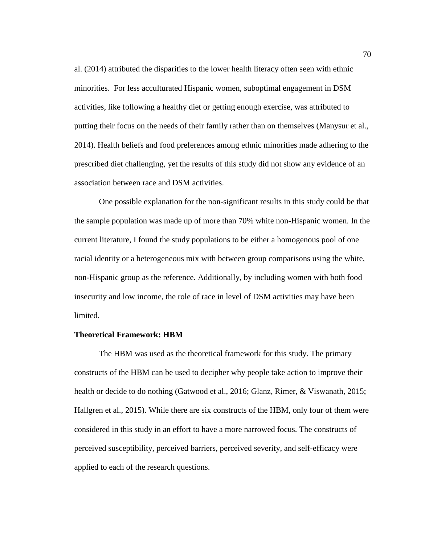al. (2014) attributed the disparities to the lower health literacy often seen with ethnic minorities. For less acculturated Hispanic women, suboptimal engagement in DSM activities, like following a healthy diet or getting enough exercise, was attributed to putting their focus on the needs of their family rather than on themselves (Manysur et al., 2014). Health beliefs and food preferences among ethnic minorities made adhering to the prescribed diet challenging, yet the results of this study did not show any evidence of an association between race and DSM activities.

One possible explanation for the non-significant results in this study could be that the sample population was made up of more than 70% white non-Hispanic women. In the current literature, I found the study populations to be either a homogenous pool of one racial identity or a heterogeneous mix with between group comparisons using the white, non-Hispanic group as the reference. Additionally, by including women with both food insecurity and low income, the role of race in level of DSM activities may have been limited.

### **Theoretical Framework: HBM**

The HBM was used as the theoretical framework for this study. The primary constructs of the HBM can be used to decipher why people take action to improve their health or decide to do nothing (Gatwood et al., 2016; Glanz, Rimer, & Viswanath, 2015; Hallgren et al., 2015). While there are six constructs of the HBM, only four of them were considered in this study in an effort to have a more narrowed focus. The constructs of perceived susceptibility, perceived barriers, perceived severity, and self-efficacy were applied to each of the research questions.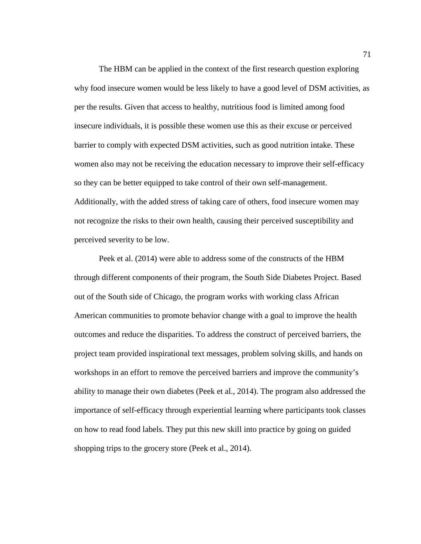The HBM can be applied in the context of the first research question exploring why food insecure women would be less likely to have a good level of DSM activities, as per the results. Given that access to healthy, nutritious food is limited among food insecure individuals, it is possible these women use this as their excuse or perceived barrier to comply with expected DSM activities, such as good nutrition intake. These women also may not be receiving the education necessary to improve their self-efficacy so they can be better equipped to take control of their own self-management. Additionally, with the added stress of taking care of others, food insecure women may not recognize the risks to their own health, causing their perceived susceptibility and perceived severity to be low.

Peek et al. (2014) were able to address some of the constructs of the HBM through different components of their program, the South Side Diabetes Project. Based out of the South side of Chicago, the program works with working class African American communities to promote behavior change with a goal to improve the health outcomes and reduce the disparities. To address the construct of perceived barriers, the project team provided inspirational text messages, problem solving skills, and hands on workshops in an effort to remove the perceived barriers and improve the community's ability to manage their own diabetes (Peek et al., 2014). The program also addressed the importance of self-efficacy through experiential learning where participants took classes on how to read food labels. They put this new skill into practice by going on guided shopping trips to the grocery store (Peek et al., 2014).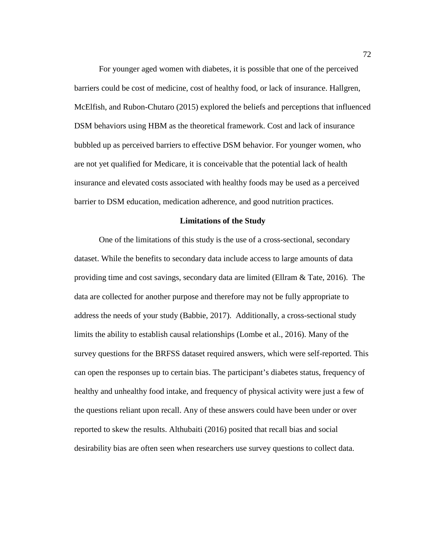For younger aged women with diabetes, it is possible that one of the perceived barriers could be cost of medicine, cost of healthy food, or lack of insurance. Hallgren, McElfish, and Rubon-Chutaro (2015) explored the beliefs and perceptions that influenced DSM behaviors using HBM as the theoretical framework. Cost and lack of insurance bubbled up as perceived barriers to effective DSM behavior. For younger women, who are not yet qualified for Medicare, it is conceivable that the potential lack of health insurance and elevated costs associated with healthy foods may be used as a perceived barrier to DSM education, medication adherence, and good nutrition practices.

#### **Limitations of the Study**

One of the limitations of this study is the use of a cross-sectional, secondary dataset. While the benefits to secondary data include access to large amounts of data providing time and cost savings, secondary data are limited (Ellram & Tate, 2016). The data are collected for another purpose and therefore may not be fully appropriate to address the needs of your study (Babbie, 2017). Additionally, a cross-sectional study limits the ability to establish causal relationships (Lombe et al., 2016). Many of the survey questions for the BRFSS dataset required answers, which were self-reported. This can open the responses up to certain bias. The participant's diabetes status, frequency of healthy and unhealthy food intake, and frequency of physical activity were just a few of the questions reliant upon recall. Any of these answers could have been under or over reported to skew the results. Althubaiti (2016) posited that recall bias and social desirability bias are often seen when researchers use survey questions to collect data.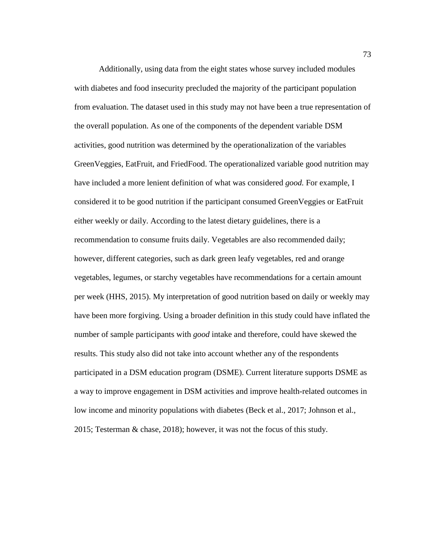Additionally, using data from the eight states whose survey included modules with diabetes and food insecurity precluded the majority of the participant population from evaluation. The dataset used in this study may not have been a true representation of the overall population. As one of the components of the dependent variable DSM activities, good nutrition was determined by the operationalization of the variables GreenVeggies, EatFruit, and FriedFood. The operationalized variable good nutrition may have included a more lenient definition of what was considered *good.* For example, I considered it to be good nutrition if the participant consumed GreenVeggies or EatFruit either weekly or daily. According to the latest dietary guidelines, there is a recommendation to consume fruits daily. Vegetables are also recommended daily; however, different categories, such as dark green leafy vegetables, red and orange vegetables, legumes, or starchy vegetables have recommendations for a certain amount per week (HHS, 2015). My interpretation of good nutrition based on daily or weekly may have been more forgiving. Using a broader definition in this study could have inflated the number of sample participants with *good* intake and therefore, could have skewed the results. This study also did not take into account whether any of the respondents participated in a DSM education program (DSME). Current literature supports DSME as a way to improve engagement in DSM activities and improve health-related outcomes in low income and minority populations with diabetes (Beck et al., 2017; Johnson et al., 2015; Testerman & chase, 2018); however, it was not the focus of this study.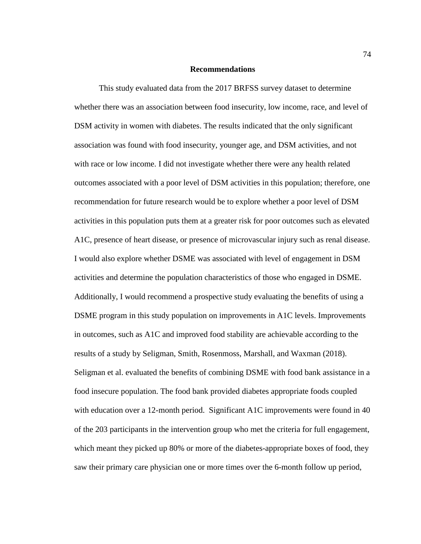## **Recommendations**

This study evaluated data from the 2017 BRFSS survey dataset to determine whether there was an association between food insecurity, low income, race, and level of DSM activity in women with diabetes. The results indicated that the only significant association was found with food insecurity, younger age, and DSM activities, and not with race or low income. I did not investigate whether there were any health related outcomes associated with a poor level of DSM activities in this population; therefore, one recommendation for future research would be to explore whether a poor level of DSM activities in this population puts them at a greater risk for poor outcomes such as elevated A1C, presence of heart disease, or presence of microvascular injury such as renal disease. I would also explore whether DSME was associated with level of engagement in DSM activities and determine the population characteristics of those who engaged in DSME. Additionally, I would recommend a prospective study evaluating the benefits of using a DSME program in this study population on improvements in A1C levels. Improvements in outcomes, such as A1C and improved food stability are achievable according to the results of a study by Seligman, Smith, Rosenmoss, Marshall, and Waxman (2018). Seligman et al. evaluated the benefits of combining DSME with food bank assistance in a food insecure population. The food bank provided diabetes appropriate foods coupled with education over a 12-month period. Significant A1C improvements were found in 40 of the 203 participants in the intervention group who met the criteria for full engagement, which meant they picked up 80% or more of the diabetes-appropriate boxes of food, they saw their primary care physician one or more times over the 6-month follow up period,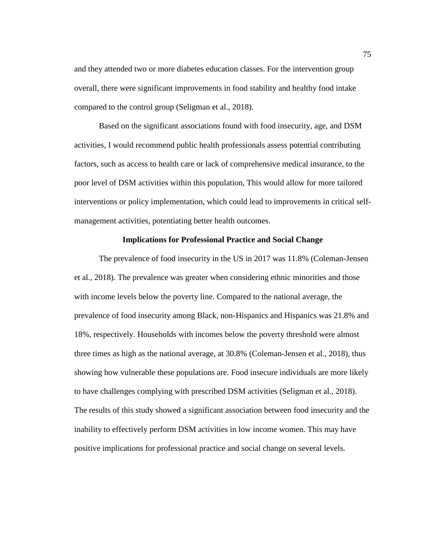and they attended two or more diabetes education classes. For the intervention group overall, there were significant improvements in food stability and healthy food intake compared to the control group (Seligman et al., 2018).

Based on the significant associations found with food insecurity, age, and DSM activities, I would recommend public health professionals assess potential contributing factors, such as access to health care or lack of comprehensive medical insurance, to the poor level of DSM activities within this population, This would allow for more tailored interventions or policy implementation, which could lead to improvements in critical selfmanagement activities, potentiating better health outcomes.

## **Implications for Professional Practice and Social Change**

The prevalence of food insecurity in the US in 2017 was 11.8% (Coleman-Jensen et al., 2018). The prevalence was greater when considering ethnic minorities and those with income levels below the poverty line. Compared to the national average, the prevalence of food insecurity among Black, non-Hispanics and Hispanics was 21.8% and 18%, respectively. Households with incomes below the poverty threshold were almost three times as high as the national average, at 30.8% (Coleman-Jensen et al., 2018), thus showing how vulnerable these populations are. Food insecure individuals are more likely to have challenges complying with prescribed DSM activities (Seligman et al., 2018). The results of this study showed a significant association between food insecurity and the inability to effectively perform DSM activities in low income women. This may have positive implications for professional practice and social change on several levels.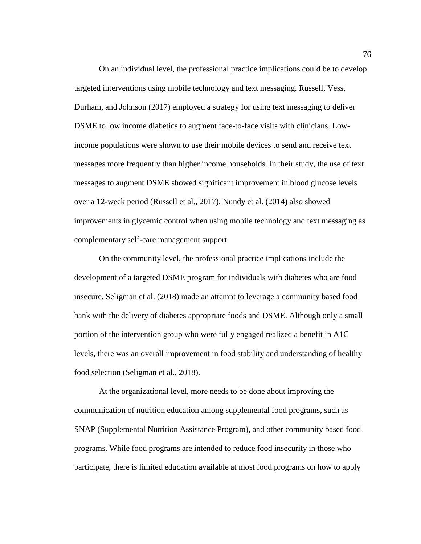On an individual level, the professional practice implications could be to develop targeted interventions using mobile technology and text messaging. Russell, Vess, Durham, and Johnson (2017) employed a strategy for using text messaging to deliver DSME to low income diabetics to augment face-to-face visits with clinicians. Lowincome populations were shown to use their mobile devices to send and receive text messages more frequently than higher income households. In their study, the use of text messages to augment DSME showed significant improvement in blood glucose levels over a 12-week period (Russell et al., 2017). Nundy et al. (2014) also showed improvements in glycemic control when using mobile technology and text messaging as complementary self-care management support.

On the community level, the professional practice implications include the development of a targeted DSME program for individuals with diabetes who are food insecure. Seligman et al. (2018) made an attempt to leverage a community based food bank with the delivery of diabetes appropriate foods and DSME. Although only a small portion of the intervention group who were fully engaged realized a benefit in A1C levels, there was an overall improvement in food stability and understanding of healthy food selection (Seligman et al., 2018).

At the organizational level, more needs to be done about improving the communication of nutrition education among supplemental food programs, such as SNAP (Supplemental Nutrition Assistance Program), and other community based food programs. While food programs are intended to reduce food insecurity in those who participate, there is limited education available at most food programs on how to apply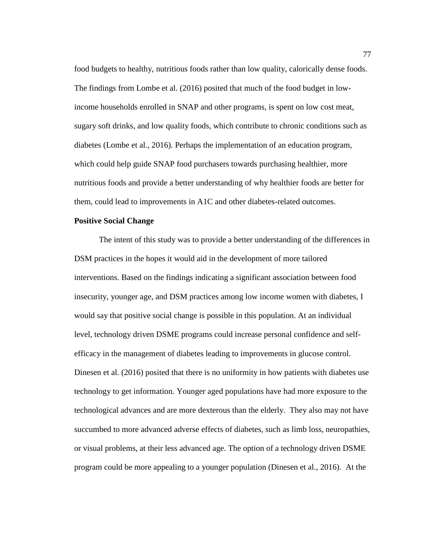food budgets to healthy, nutritious foods rather than low quality, calorically dense foods. The findings from Lombe et al. (2016) posited that much of the food budget in lowincome households enrolled in SNAP and other programs, is spent on low cost meat, sugary soft drinks, and low quality foods, which contribute to chronic conditions such as diabetes (Lombe et al., 2016). Perhaps the implementation of an education program, which could help guide SNAP food purchasers towards purchasing healthier, more nutritious foods and provide a better understanding of why healthier foods are better for them, could lead to improvements in A1C and other diabetes-related outcomes.

## **Positive Social Change**

The intent of this study was to provide a better understanding of the differences in DSM practices in the hopes it would aid in the development of more tailored interventions. Based on the findings indicating a significant association between food insecurity, younger age, and DSM practices among low income women with diabetes, I would say that positive social change is possible in this population. At an individual level, technology driven DSME programs could increase personal confidence and selfefficacy in the management of diabetes leading to improvements in glucose control. Dinesen et al. (2016) posited that there is no uniformity in how patients with diabetes use technology to get information. Younger aged populations have had more exposure to the technological advances and are more dexterous than the elderly. They also may not have succumbed to more advanced adverse effects of diabetes, such as limb loss, neuropathies, or visual problems, at their less advanced age. The option of a technology driven DSME program could be more appealing to a younger population (Dinesen et al., 2016). At the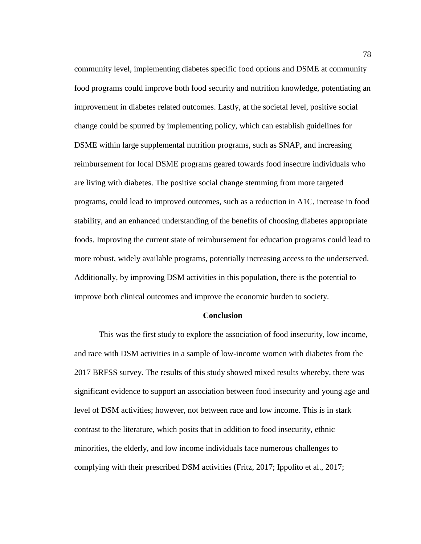community level, implementing diabetes specific food options and DSME at community food programs could improve both food security and nutrition knowledge, potentiating an improvement in diabetes related outcomes. Lastly, at the societal level, positive social change could be spurred by implementing policy, which can establish guidelines for DSME within large supplemental nutrition programs, such as SNAP, and increasing reimbursement for local DSME programs geared towards food insecure individuals who are living with diabetes. The positive social change stemming from more targeted programs, could lead to improved outcomes, such as a reduction in A1C, increase in food stability, and an enhanced understanding of the benefits of choosing diabetes appropriate foods. Improving the current state of reimbursement for education programs could lead to more robust, widely available programs, potentially increasing access to the underserved. Additionally, by improving DSM activities in this population, there is the potential to improve both clinical outcomes and improve the economic burden to society.

## **Conclusion**

This was the first study to explore the association of food insecurity, low income, and race with DSM activities in a sample of low-income women with diabetes from the 2017 BRFSS survey. The results of this study showed mixed results whereby, there was significant evidence to support an association between food insecurity and young age and level of DSM activities; however, not between race and low income. This is in stark contrast to the literature, which posits that in addition to food insecurity, ethnic minorities, the elderly, and low income individuals face numerous challenges to complying with their prescribed DSM activities (Fritz, 2017; Ippolito et al., 2017;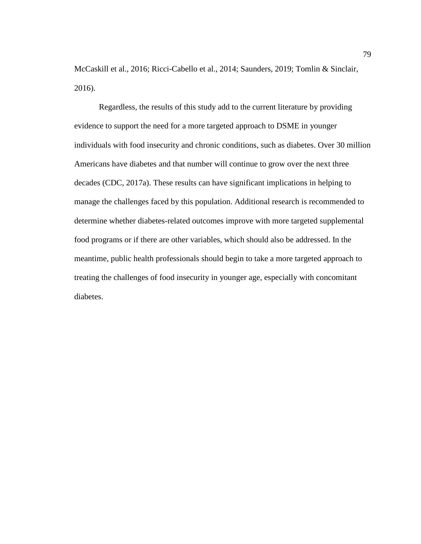McCaskill et al., 2016; Ricci-Cabello et al., 2014; Saunders, 2019; Tomlin & Sinclair, 2016).

Regardless, the results of this study add to the current literature by providing evidence to support the need for a more targeted approach to DSME in younger individuals with food insecurity and chronic conditions, such as diabetes. Over 30 million Americans have diabetes and that number will continue to grow over the next three decades (CDC, 2017a). These results can have significant implications in helping to manage the challenges faced by this population. Additional research is recommended to determine whether diabetes-related outcomes improve with more targeted supplemental food programs or if there are other variables, which should also be addressed. In the meantime, public health professionals should begin to take a more targeted approach to treating the challenges of food insecurity in younger age, especially with concomitant diabetes.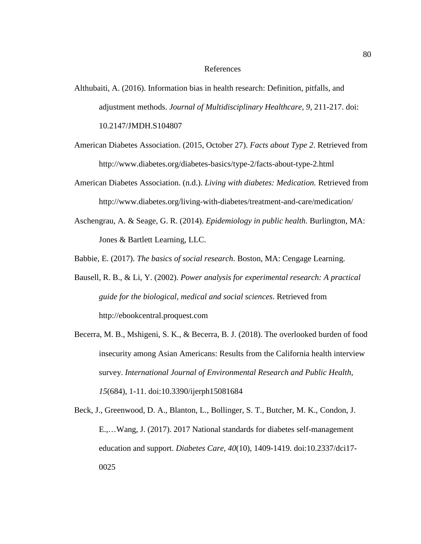## References

- Althubaiti, A. (2016). Information bias in health research: Definition, pitfalls, and adjustment methods. *Journal of Multidisciplinary Healthcare, 9*, 211-217. doi: 10.2147/JMDH.S104807
- American Diabetes Association. (2015, October 27). *Facts about Type 2*. Retrieved from http://www.diabetes.org/diabetes-basics/type-2/facts-about-type-2.html
- American Diabetes Association. (n.d.). *Living with diabetes: Medication.* Retrieved from http://www.diabetes.org/living-with-diabetes/treatment-and-care/medication/
- Aschengrau, A. & Seage, G. R. (2014). *Epidemiology in public health.* Burlington, MA: Jones & Bartlett Learning, LLC.
- Babbie, E. (2017). *The basics of social research*. Boston, MA: Cengage Learning.
- Bausell, R. B., & Li, Y. (2002). *Power analysis for experimental research: A practical guide for the biological, medical and social sciences*. Retrieved from http://ebookcentral.proquest.com
- Becerra, M. B., Mshigeni, S. K., & Becerra, B. J. (2018). The overlooked burden of food insecurity among Asian Americans: Results from the California health interview survey. *International Journal of Environmental Research and Public Health, 15*(684), 1-11. doi:10.3390/ijerph15081684
- Beck, J., Greenwood, D. A., Blanton, L., Bollinger, S. T., Butcher, M. K., Condon, J. E.,…Wang, J. (2017). 2017 National standards for diabetes self-management education and support. *Diabetes Care, 40*(10), 1409-1419. doi:10.2337/dci17- 0025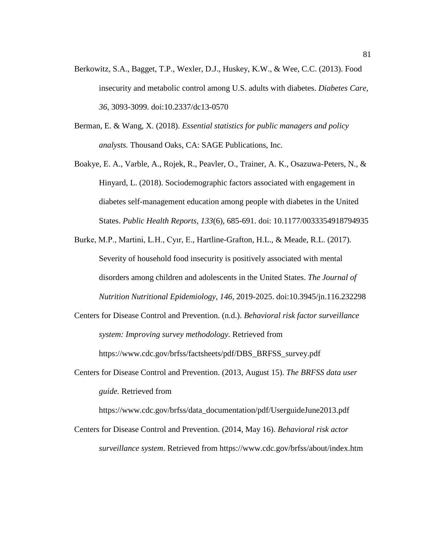- Berkowitz, S.A., Bagget, T.P., Wexler, D.J., Huskey, K.W., & Wee, C.C. (2013). Food insecurity and metabolic control among U.S. adults with diabetes. *Diabetes Care, 36,* 3093-3099. doi:10.2337/dc13-0570
- Berman, E. & Wang, X. (2018). *Essential statistics for public managers and policy analysts.* Thousand Oaks, CA: SAGE Publications, Inc.
- Boakye, E. A., Varble, A., Rojek, R., Peavler, O., Trainer, A. K., Osazuwa-Peters, N., & Hinyard, L. (2018). Sociodemographic factors associated with engagement in diabetes self-management education among people with diabetes in the United States. *Public Health Reports, 133*(6), 685-691. doi: 10.1177/0033354918794935
- Burke, M.P., Martini, L.H., Cyır, E., Hartline-Grafton, H.L., & Meade, R.L. (2017). Severity of household food insecurity is positively associated with mental disorders among children and adolescents in the United States. *The Journal of Nutrition Nutritional Epidemiology, 146*, 2019-2025. doi:10.3945/jn.116.232298
- Centers for Disease Control and Prevention. (n.d.). *Behavioral risk factor surveillance system: Improving survey methodology.* Retrieved from https://www.cdc.gov/brfss/factsheets/pdf/DBS\_BRFSS\_survey.pdf
- Centers for Disease Control and Prevention. (2013, August 15). *The BRFSS data user guide.* Retrieved from

https://www.cdc.gov/brfss/data\_documentation/pdf/UserguideJune2013.pdf

Centers for Disease Control and Prevention. (2014, May 16). *Behavioral risk actor surveillance system*. Retrieved from https://www.cdc.gov/brfss/about/index.htm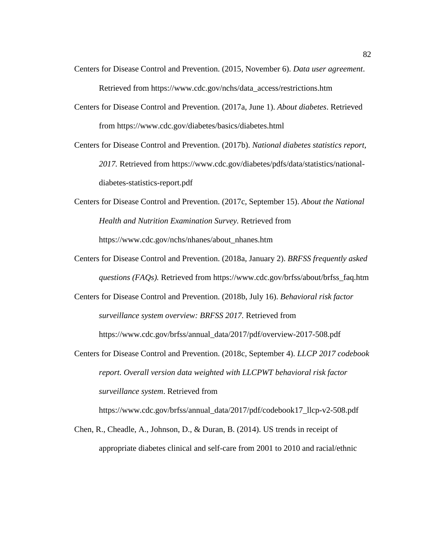- Centers for Disease Control and Prevention. (2015, November 6). *Data user agreement*. Retrieved from https://www.cdc.gov/nchs/data\_access/restrictions.htm
- Centers for Disease Control and Prevention. (2017a, June 1). *About diabetes*. Retrieved from https://www.cdc.gov/diabetes/basics/diabetes.html
- Centers for Disease Control and Prevention. (2017b). *National diabetes statistics report, 2017.* Retrieved from https://www.cdc.gov/diabetes/pdfs/data/statistics/nationaldiabetes-statistics-report.pdf
- Centers for Disease Control and Prevention. (2017c, September 15). *About the National Health and Nutrition Examination Survey.* Retrieved from https://www.cdc.gov/nchs/nhanes/about\_nhanes.htm
- Centers for Disease Control and Prevention. (2018a, January 2). *BRFSS frequently asked questions (FAQs).* Retrieved from https://www.cdc.gov/brfss/about/brfss\_faq.htm
- Centers for Disease Control and Prevention. (2018b, July 16). *Behavioral risk factor surveillance system overview: BRFSS 2017.* Retrieved from

https://www.cdc.gov/brfss/annual\_data/2017/pdf/overview-2017-508.pdf

Centers for Disease Control and Prevention. (2018c, September 4). *LLCP 2017 codebook report. Overall version data weighted with LLCPWT behavioral risk factor surveillance system*. Retrieved from

https://www.cdc.gov/brfss/annual\_data/2017/pdf/codebook17\_llcp-v2-508.pdf

Chen, R., Cheadle, A., Johnson, D., & Duran, B. (2014). US trends in receipt of appropriate diabetes clinical and self-care from 2001 to 2010 and racial/ethnic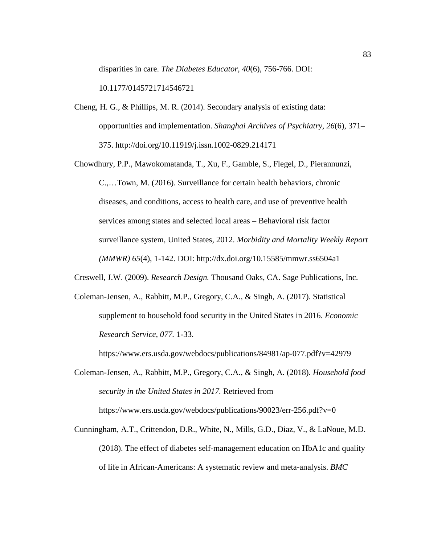disparities in care. *The Diabetes Educator, 40*(6), 756-766. DOI:

10.1177/0145721714546721

Cheng, H. G., & Phillips, M. R. (2014). Secondary analysis of existing data: opportunities and implementation. *Shanghai Archives of Psychiatry, 26*(6), 371– 375. http://doi.org/10.11919/j.issn.1002-0829.214171

Chowdhury, P.P., Mawokomatanda, T., Xu, F., Gamble, S., Flegel, D., Pierannunzi, C.,…Town, M. (2016). Surveillance for certain health behaviors, chronic diseases, and conditions, access to health care, and use of preventive health services among states and selected local areas – Behavioral risk factor surveillance system, United States, 2012. *Morbidity and Mortality Weekly Report (MMWR) 65*(4), 1-142. DOI: http://dx.doi.org/10.15585/mmwr.ss6504a1

Creswell, J.W. (2009). *Research Design.* Thousand Oaks, CA. Sage Publications, Inc.

Coleman-Jensen, A., Rabbitt, M.P., Gregory, C.A., & Singh, A. (2017). Statistical supplement to household food security in the United States in 2016. *Economic Research Service, 077.* 1-33.

https://www.ers.usda.gov/webdocs/publications/84981/ap-077.pdf?v=42979

- Coleman-Jensen, A., Rabbitt, M.P., Gregory, C.A., & Singh, A. (2018). *Household food security in the United States in 2017.* Retrieved from https://www.ers.usda.gov/webdocs/publications/90023/err-256.pdf?v=0
- Cunningham, A.T., Crittendon, D.R., White, N., Mills, G.D., Diaz, V., & LaNoue, M.D. (2018). The effect of diabetes self-management education on HbA1c and quality of life in African-Americans: A systematic review and meta-analysis. *BMC*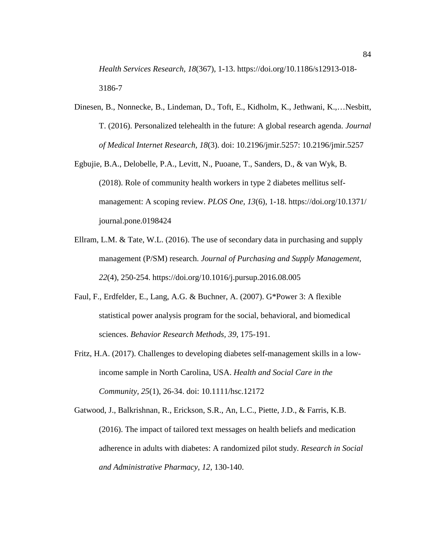*Health Services Research, 18*(367), 1-13. https://doi.org/10.1186/s12913-018- 3186-7

- Dinesen, B., Nonnecke, B., Lindeman, D., Toft, E., Kidholm, K., Jethwani, K.,…Nesbitt, T. (2016). Personalized telehealth in the future: A global research agenda. *Journal of Medical Internet Research, 18*(3). doi: 10.2196/jmir.5257: 10.2196/jmir.5257
- Egbujie, B.A., Delobelle, P.A., Levitt, N., Puoane, T., Sanders, D., & van Wyk, B. (2018). Role of community health workers in type 2 diabetes mellitus selfmanagement: A scoping review. *PLOS One, 13*(6), 1-18. https://doi.org/10.1371/ journal.pone.0198424
- Ellram, L.M. & Tate, W.L. (2016). The use of secondary data in purchasing and supply management (P/SM) research. *Journal of Purchasing and Supply Management, 22*(4), 250-254. https://doi.org/10.1016/j.pursup.2016.08.005
- Faul, F., Erdfelder, E., Lang, A.G. & Buchner, A. (2007). G\*Power 3: A flexible statistical power analysis program for the social, behavioral, and biomedical sciences. *Behavior Research Methods, 39*, 175-191.
- Fritz, H.A. (2017). Challenges to developing diabetes self-management skills in a lowincome sample in North Carolina, USA. *Health and Social Care in the Community, 25*(1), 26-34. doi: 10.1111/hsc.12172

Gatwood, J., Balkrishnan, R., Erickson, S.R., An, L.C., Piette, J.D., & Farris, K.B. (2016). The impact of tailored text messages on health beliefs and medication adherence in adults with diabetes: A randomized pilot study. *Research in Social and Administrative Pharmacy, 12*, 130-140.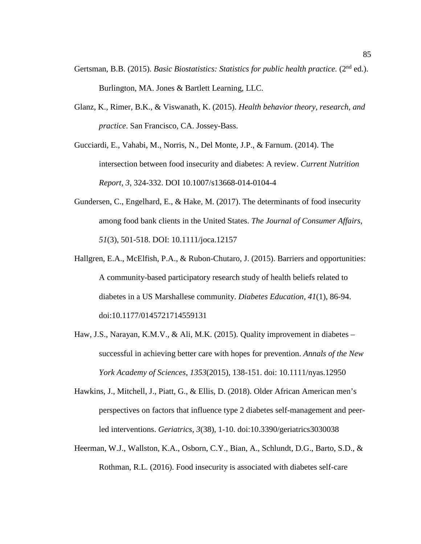- Gertsman, B.B. (2015). *Basic Biostatistics: Statistics for public health practice.* (2<sup>nd</sup> ed.). Burlington, MA. Jones & Bartlett Learning, LLC.
- Glanz, K., Rimer, B.K., & Viswanath, K. (2015). *Health behavior theory, research, and practice*. San Francisco, CA. Jossey-Bass.

Gucciardi, E., Vahabi, M., Norris, N., Del Monte, J.P., & Farnum. (2014). The intersection between food insecurity and diabetes: A review. *Current Nutrition Report, 3*, 324-332. DOI 10.1007/s13668-014-0104-4

- Gundersen, C., Engelhard, E., & Hake, M. (2017). The determinants of food insecurity among food bank clients in the United States. *The Journal of Consumer Affairs, 51*(3), 501-518. DOI: 10.1111/joca.12157
- Hallgren, E.A., McElfish, P.A., & Rubon-Chutaro, J. (2015). Barriers and opportunities: A community-based participatory research study of health beliefs related to diabetes in a US Marshallese community. *Diabetes Education, 41*(1), 86-94. doi:10.1177/0145721714559131
- Haw, J.S., Narayan, K.M.V., & Ali, M.K. (2015). Quality improvement in diabetes successful in achieving better care with hopes for prevention. *Annals of the New York Academy of Sciences, 1353*(2015), 138-151. doi: 10.1111/nyas.12950
- Hawkins, J., Mitchell, J., Piatt, G., & Ellis, D. (2018). Older African American men's perspectives on factors that influence type 2 diabetes self-management and peerled interventions. *Geriatrics, 3*(38), 1-10. doi:10.3390/geriatrics3030038
- Heerman, W.J., Wallston, K.A., Osborn, C.Y., Bian, A., Schlundt, D.G., Barto, S.D., & Rothman, R.L. (2016). Food insecurity is associated with diabetes self-care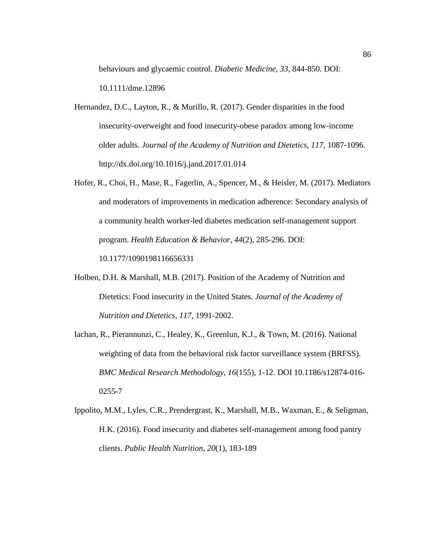behaviours and glycaemic control. *Diabetic Medicine, 33,* 844-850. DOI: 10.1111/dme.12896

- Hernandez, D.C., Layton, R., & Murillo, R. (2017). Gender disparities in the food insecurity-overweight and food insecurity-obese paradox among low-income older adults. *Journal of the Academy of Nutrition and Dietetics, 117,* 1087-1096. http://dx.doi.org/10.1016/j.jand.2017.01.014
- Hofer, R., Choi, H., Mase, R., Fagerlin, A., Spencer, M., & Heisler, M. (2017). Mediators and moderators of improvements in medication adherence: Secondary analysis of a community health worker-led diabetes medication self-management support program. *Health Education & Behavior, 44*(2), 285-296. DOI: 10.1177/1090198116656331
- Holben, D.H. & Marshall, M.B. (2017). Position of the Academy of Nutrition and Dietetics: Food insecurity in the United States. *Journal of the Academy of Nutrition and Dietetics, 117*, 1991-2002.
- Iachan, R., Pierannunzi, C., Healey, K., Greenlun, K.J., & Town, M. (2016). National weighting of data from the behavioral risk factor surveillance system (BRFSS). *BMC Medical Research Methodology, 16*(155), 1-12. DOI 10.1186/s12874-016- 0255-7
- Ippolito, M.M., Lyles, C.R., Prendergrast, K., Marshall, M.B., Waxman, E., & Seligman, H.K. (2016). Food insecurity and diabetes self-management among food pantry clients. *Public Health Nutrition, 20*(1), 183-189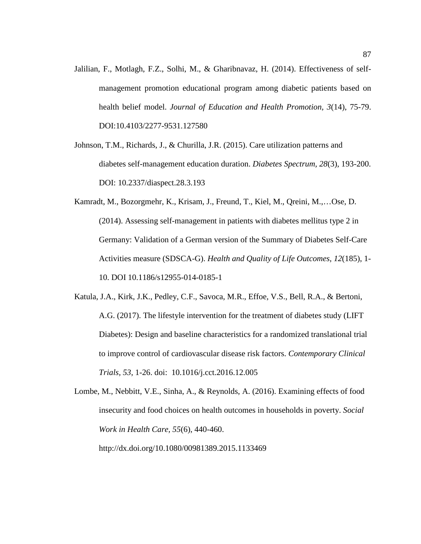Jalilian, F., Motlagh, F.Z., Solhi, M., & Gharibnavaz, H. (2014). Effectiveness of selfmanagement promotion educational program among diabetic patients based on health belief model. *Journal of Education and Health Promotion, 3*(14), 75-79. DOI:10.4103/2277-9531.127580

Johnson, T.M., Richards, J., & Churilla, J.R. (2015). Care utilization patterns and diabetes self-management education duration. *Diabetes Spectrum, 28*(3), 193-200. DOI: 10.2337/diaspect.28.3.193

- Kamradt, M., Bozorgmehr, K., Krisam, J., Freund, T., Kiel, M., Qreini, M.,…Ose, D. (2014). Assessing self-management in patients with diabetes mellitus type 2 in Germany: Validation of a German version of the Summary of Diabetes Self-Care Activities measure (SDSCA-G). *Health and Quality of Life Outcomes, 12*(185), 1- 10. DOI 10.1186/s12955-014-0185-1
- Katula, J.A., Kirk, J.K., Pedley, C.F., Savoca, M.R., Effoe, V.S., Bell, R.A., & Bertoni, A.G. (2017). The lifestyle intervention for the treatment of diabetes study (LIFT Diabetes): Design and baseline characteristics for a randomized translational trial to improve control of cardiovascular disease risk factors. *Contemporary Clinical Trials, 53*, 1-26. doi: 10.1016/j.cct.2016.12.005

Lombe, M., Nebbitt, V.E., Sinha, A., & Reynolds, A. (2016). Examining effects of food insecurity and food choices on health outcomes in households in poverty. *Social Work in Health Care, 55*(6), 440-460. http://dx.doi.org/10.1080/00981389.2015.1133469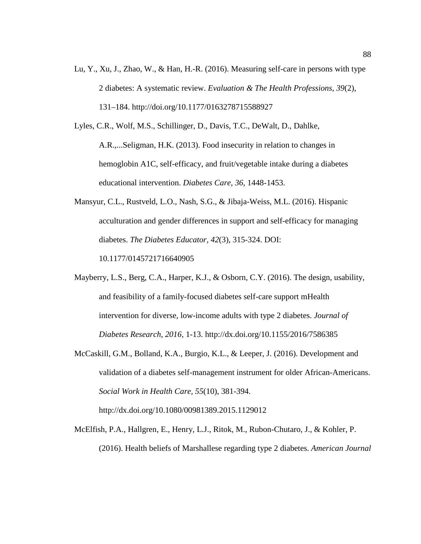Lu, Y., Xu, J., Zhao, W., & Han, H.-R. (2016). Measuring self-care in persons with type 2 diabetes: A systematic review. *Evaluation & The Health Professions, 39*(2), 131–184. http://doi.org/10.1177/0163278715588927

Lyles, C.R., Wolf, M.S., Schillinger, D., Davis, T.C., DeWalt, D., Dahlke,

A.R.,...Seligman, H.K. (2013). Food insecurity in relation to changes in hemoglobin A1C, self-efficacy, and fruit/vegetable intake during a diabetes educational intervention. *Diabetes Care, 36*, 1448-1453.

Mansyur, C.L., Rustveld, L.O., Nash, S.G., & Jibaja-Weiss, M.L. (2016). Hispanic acculturation and gender differences in support and self-efficacy for managing diabetes. *The Diabetes Educator, 42*(3), 315-324. DOI: 10.1177/0145721716640905

Mayberry, L.S., Berg, C.A., Harper, K.J., & Osborn, C.Y. (2016). The design, usability, and feasibility of a family-focused diabetes self-care support mHealth intervention for diverse, low-income adults with type 2 diabetes. *Journal of Diabetes Research, 2016,* 1-13. http://dx.doi.org/10.1155/2016/7586385

McCaskill, G.M., Bolland, K.A., Burgio, K.L., & Leeper, J. (2016). Development and validation of a diabetes self-management instrument for older African-Americans. *Social Work in Health Care, 55*(10), 381-394.

http://dx.doi.org/10.1080/00981389.2015.1129012

McElfish, P.A., Hallgren, E., Henry, L.J., Ritok, M., Rubon-Chutaro, J., & Kohler, P. (2016). Health beliefs of Marshallese regarding type 2 diabetes. *American Journal*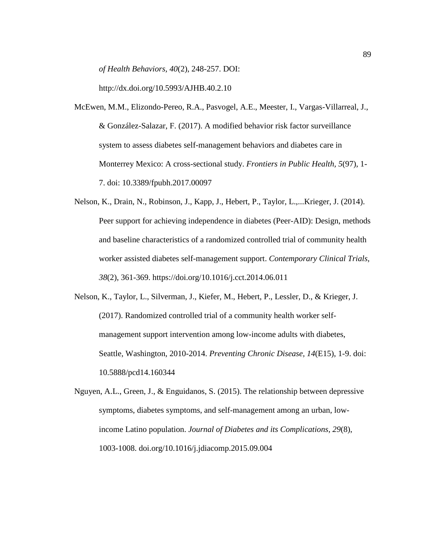*of Health Behaviors, 40*(2), 248-257. DOI:

http://dx.doi.org/10.5993/AJHB.40.2.10

- McEwen, M.M., Elizondo-Pereo, R.A., Pasvogel, A.E., Meester, I., Vargas-Villarreal, J., & González-Salazar, F. (2017). A modified behavior risk factor surveillance system to assess diabetes self-management behaviors and diabetes care in Monterrey Mexico: A cross-sectional study. *Frontiers in Public Health, 5*(97), 1- 7. doi: 10.3389/fpubh.2017.00097
- Nelson, K., Drain, N., Robinson, J., Kapp, J., Hebert, P., Taylor, L.,...Krieger, J. (2014). Peer support for achieving independence in diabetes (Peer-AID): Design, methods and baseline characteristics of a randomized controlled trial of community health worker assisted diabetes self-management support. *Contemporary Clinical Trials, 38*(2), 361-369. https://doi.org/10.1016/j.cct.2014.06.011
- Nelson, K., Taylor, L., Silverman, J., Kiefer, M., Hebert, P., Lessler, D., & Krieger, J. (2017). Randomized controlled trial of a community health worker selfmanagement support intervention among low-income adults with diabetes, Seattle, Washington, 2010-2014. *Preventing Chronic Disease, 14*(E15), 1-9. doi: 10.5888/pcd14.160344
- Nguyen, A.L., Green, J., & Enguidanos, S. (2015). The relationship between depressive symptoms, diabetes symptoms, and self-management among an urban, lowincome Latino population. *Journal of Diabetes and its Complications, 29*(8), 1003-1008. doi.org/10.1016/j.jdiacomp.2015.09.004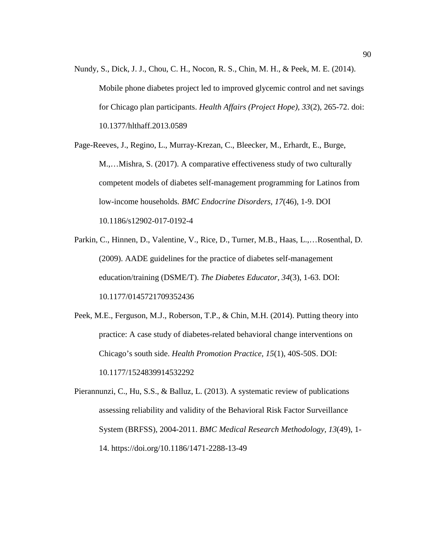Nundy, S., Dick, J. J., Chou, C. H., Nocon, R. S., Chin, M. H., & Peek, M. E. (2014). Mobile phone diabetes project led to improved glycemic control and net savings for Chicago plan participants. *Health Affairs (Project Hope), 33*(2), 265-72. doi: 10.1377/hlthaff.2013.0589

Page-Reeves, J., Regino, L., Murray-Krezan, C., Bleecker, M., Erhardt, E., Burge, M.,…Mishra, S. (2017). A comparative effectiveness study of two culturally competent models of diabetes self-management programming for Latinos from low-income households*. BMC Endocrine Disorders, 17*(46), 1-9. DOI 10.1186/s12902-017-0192-4

- Parkin, C., Hinnen, D., Valentine, V., Rice, D., Turner, M.B., Haas, L.,…Rosenthal, D. (2009). AADE guidelines for the practice of diabetes self-management education/training (DSME/T). *The Diabetes Educator, 34*(3), 1-63. DOI: 10.1177/0145721709352436
- Peek, M.E., Ferguson, M.J., Roberson, T.P., & Chin, M.H. (2014). Putting theory into practice: A case study of diabetes-related behavioral change interventions on Chicago's south side. *Health Promotion Practice, 15*(1), 40S-50S. DOI: 10.1177/1524839914532292

Pierannunzi, C., Hu, S.S., & Balluz, L. (2013). A systematic review of publications assessing reliability and validity of the Behavioral Risk Factor Surveillance System (BRFSS), 2004-2011. *BMC Medical Research Methodology, 13*(49), 1- 14. https://doi.org/10.1186/1471-2288-13-49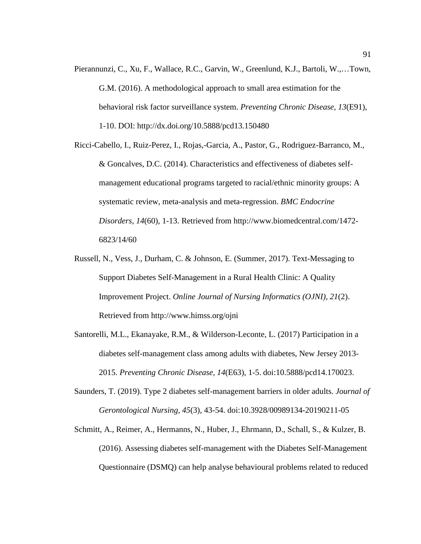- Pierannunzi, C., Xu, F., Wallace, R.C., Garvin, W., Greenlund, K.J., Bartoli, W.,…Town, G.M. (2016). A methodological approach to small area estimation for the behavioral risk factor surveillance system. *Preventing Chronic Disease, 13*(E91), 1-10. DOI: http://dx.doi.org/10.5888/pcd13.150480
- Ricci-Cabello, I., Ruiz-Perez, I., Rojas,-Garcia, A., Pastor, G., Rodriguez-Barranco, M., & Goncalves, D.C. (2014). Characteristics and effectiveness of diabetes selfmanagement educational programs targeted to racial/ethnic minority groups: A systematic review, meta-analysis and meta-regression. *BMC Endocrine Disorders, 14*(60), 1-13. Retrieved from http://www.biomedcentral.com/1472- 6823/14/60
- Russell, N., Vess, J., Durham, C. & Johnson, E. (Summer, 2017). Text-Messaging to Support Diabetes Self-Management in a Rural Health Clinic: A Quality Improvement Project. *Online Journal of Nursing Informatics (OJNI), 21*(2). Retrieved from http://www.himss.org/ojni
- Santorelli, M.L., Ekanayake, R.M., & Wilderson-Leconte, L. (2017) Participation in a diabetes self-management class among adults with diabetes, New Jersey 2013- 2015. *Preventing Chronic Disease, 14*(E63), 1-5. doi:10.5888/pcd14.170023.
- Saunders, T. (2019). Type 2 diabetes self-management barriers in older adults. *Journal of Gerontological Nursing, 45*(3), 43-54. doi:10.3928/00989134-20190211-05
- Schmitt, A., Reimer, A., Hermanns, N., Huber, J., Ehrmann, D., Schall, S., & Kulzer, B. (2016). Assessing diabetes self-management with the Diabetes Self-Management Questionnaire (DSMQ) can help analyse behavioural problems related to reduced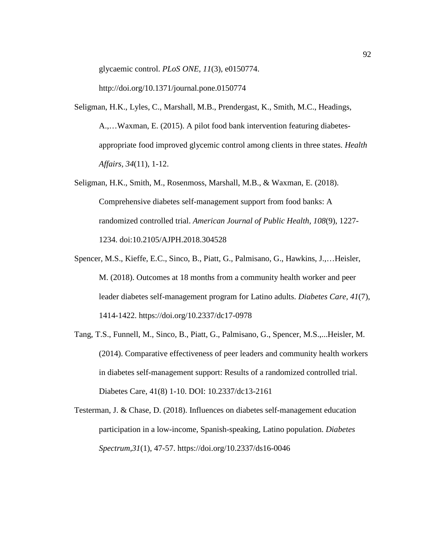glycaemic control. *PLoS ONE, 11*(3), e0150774.

http://doi.org/10.1371/journal.pone.0150774

- Seligman, H.K., Lyles, C., Marshall, M.B., Prendergast, K., Smith, M.C., Headings, A.,…Waxman, E. (2015). A pilot food bank intervention featuring diabetesappropriate food improved glycemic control among clients in three states. *Health Affairs, 34*(11), 1-12.
- Seligman, H.K., Smith, M., Rosenmoss, Marshall, M.B., & Waxman, E. (2018). Comprehensive diabetes self-management support from food banks: A randomized controlled trial. *American Journal of Public Health, 108*(9), 1227- 1234. doi:10.2105/AJPH.2018.304528
- Spencer, M.S., Kieffe, E.C., Sinco, B., Piatt, G., Palmisano, G., Hawkins, J.,…Heisler, M. (2018). Outcomes at 18 months from a community health worker and peer leader diabetes self-management program for Latino adults. *Diabetes Care, 41*(7), 1414-1422. https://doi.org/10.2337/dc17-0978
- Tang, T.S., Funnell, M., Sinco, B., Piatt, G., Palmisano, G., Spencer, M.S.,...Heisler, M. (2014). Comparative effectiveness of peer leaders and community health workers in diabetes self-management support: Results of a randomized controlled trial. Diabetes Care, 41(8) 1-10. DOI: 10.2337/dc13-2161
- Testerman, J. & Chase, D. (2018). Influences on diabetes self-management education participation in a low-income, Spanish-speaking, Latino population. *Diabetes Spectrum,31*(1), 47-57. https://doi.org/10.2337/ds16-0046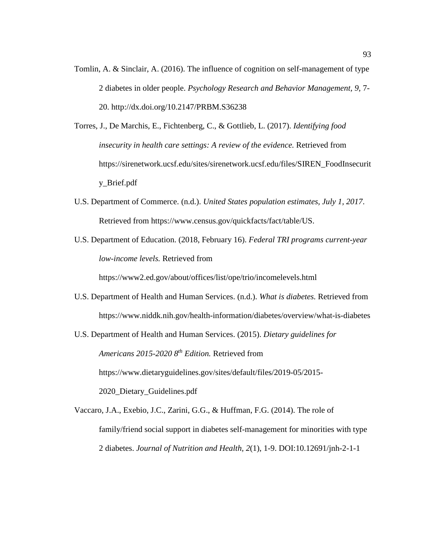- Tomlin, A. & Sinclair, A. (2016). The influence of cognition on self-management of type 2 diabetes in older people. *Psychology Research and Behavior Management, 9,* 7- 20. http://dx.doi.org/10.2147/PRBM.S36238
- Torres, J., De Marchis, E., Fichtenberg, C., & Gottlieb, L. (2017). *Identifying food insecurity in health care settings: A review of the evidence.* Retrieved from https://sirenetwork.ucsf.edu/sites/sirenetwork.ucsf.edu/files/SIREN\_FoodInsecurit y\_Brief.pdf
- U.S. Department of Commerce. (n.d.). *United States population estimates, July 1, 2017*. Retrieved from https://www.census.gov/quickfacts/fact/table/US.
- U.S. Department of Education. (2018, February 16). *Federal TRI programs current-year low-income levels.* Retrieved from

https://www2.ed.gov/about/offices/list/ope/trio/incomelevels.html

U.S. Department of Health and Human Services. (n.d.). *What is diabetes.* Retrieved from https://www.niddk.nih.gov/health-information/diabetes/overview/what-is-diabetes

U.S. Department of Health and Human Services. (2015). *Dietary guidelines for Americans 2015-2020 8th Edition.* Retrieved from https://www.dietaryguidelines.gov/sites/default/files/2019-05/2015- 2020\_Dietary\_Guidelines.pdf

Vaccaro, J.A., Exebio, J.C., Zarini, G.G., & Huffman, F.G. (2014). The role of family/friend social support in diabetes self-management for minorities with type 2 diabetes. *Journal of Nutrition and Health, 2*(1), 1-9. DOI:10.12691/jnh-2-1-1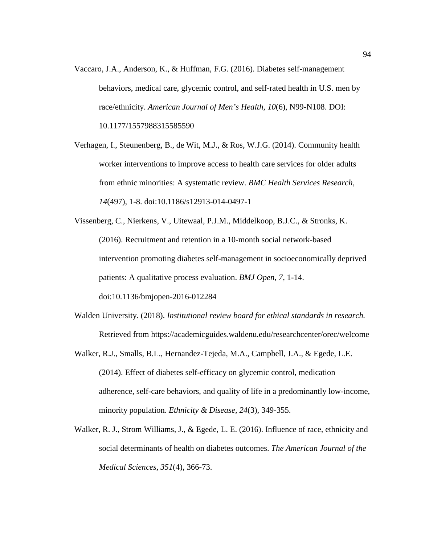- Vaccaro, J.A., Anderson, K., & Huffman, F.G. (2016). Diabetes self-management behaviors, medical care, glycemic control, and self-rated health in U.S. men by race/ethnicity. *American Journal of Men's Health, 10*(6), N99-N108. DOI: 10.1177/1557988315585590
- Verhagen, I., Steunenberg, B., de Wit, M.J., & Ros, W.J.G. (2014). Community health worker interventions to improve access to health care services for older adults from ethnic minorities: A systematic review. *BMC Health Services Research, 14*(497), 1-8. doi:10.1186/s12913-014-0497-1
- Vissenberg, C., Nierkens, V., Uitewaal, P.J.M., Middelkoop, B.J.C., & Stronks, K. (2016). Recruitment and retention in a 10-month social network-based intervention promoting diabetes self-management in socioeconomically deprived patients: A qualitative process evaluation. *BMJ Open, 7,* 1-14. doi:10.1136/bmjopen-2016-012284
- Walden University. (2018). *Institutional review board for ethical standards in research.*  Retrieved from https://academicguides.waldenu.edu/researchcenter/orec/welcome
- Walker, R.J., Smalls, B.L., Hernandez-Tejeda, M.A., Campbell, J.A., & Egede, L.E. (2014). Effect of diabetes self-efficacy on glycemic control, medication adherence, self-care behaviors, and quality of life in a predominantly low-income, minority population. *Ethnicity & Disease, 24*(3), 349-355.
- Walker, R. J., Strom Williams, J., & Egede, L. E. (2016). Influence of race, ethnicity and social determinants of health on diabetes outcomes. *The American Journal of the Medical Sciences*, *351*(4), 366-73.